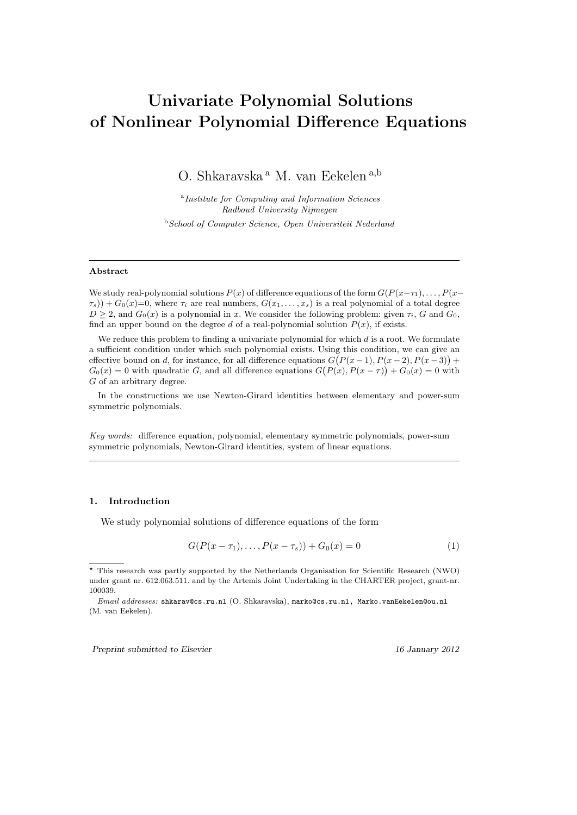# Univariate Polynomial Solutions of Nonlinear Polynomial Difference Equations

O. Shkaravska <sup>a</sup> M. van Eekelen <sup>a,b</sup>

<sup>a</sup> Institute for Computing and Information Sciences Radboud University Nijmegen <sup>b</sup> School of Computer Science, Open Universiteit Nederland

## Abstract

We study real-polynomial solutions  $P(x)$  of difference equations of the form  $G(P(x-\tau_1), \ldots, P(x-\tau_n))$  $\tau_s$ ) +  $G_0(x)=0$ , where  $\tau_i$  are real numbers,  $G(x_1,\ldots,x_s)$  is a real polynomial of a total degree  $D \geq 2$ , and  $G_0(x)$  is a polynomial in x. We consider the following problem: given  $\tau_i$ , G and  $G_0$ , find an upper bound on the degree d of a real-polynomial solution  $P(x)$ , if exists.

We reduce this problem to finding a univariate polynomial for which  $d$  is a root. We formulate a sufficient condition under which such polynomial exists. Using this condition, we can give an effective bound on d, for instance, for all difference equations  $G(P(x-1), P(x-2), P(x-3))$  +  $G_0(x) = 0$  with quadratic G, and all difference equations  $G(P(x), P(x - \tau)) + G_0(x) = 0$  with G of an arbitrary degree.

In the constructions we use Newton-Girard identities between elementary and power-sum symmetric polynomials.

Key words: difference equation, polynomial, elementary symmetric polynomials, power-sum symmetric polynomials, Newton-Girard identities, system of linear equations.

## 1. Introduction

We study polynomial solutions of difference equations of the form

$$
G(P(x - \tau_1), \dots, P(x - \tau_s)) + G_0(x) = 0
$$
\n(1)

Preprint submitted to Elsevier 16 January 2012

<sup>?</sup> This research was partly supported by the Netherlands Organisation for Scientific Research (NWO) under grant nr. 612.063.511. and by the Artemis Joint Undertaking in the CHARTER project, grant-nr. 100039.

Email addresses: shkarav@cs.ru.nl (O. Shkaravska), marko@cs.ru.nl, Marko.vanEekelen@ou.nl (M. van Eekelen).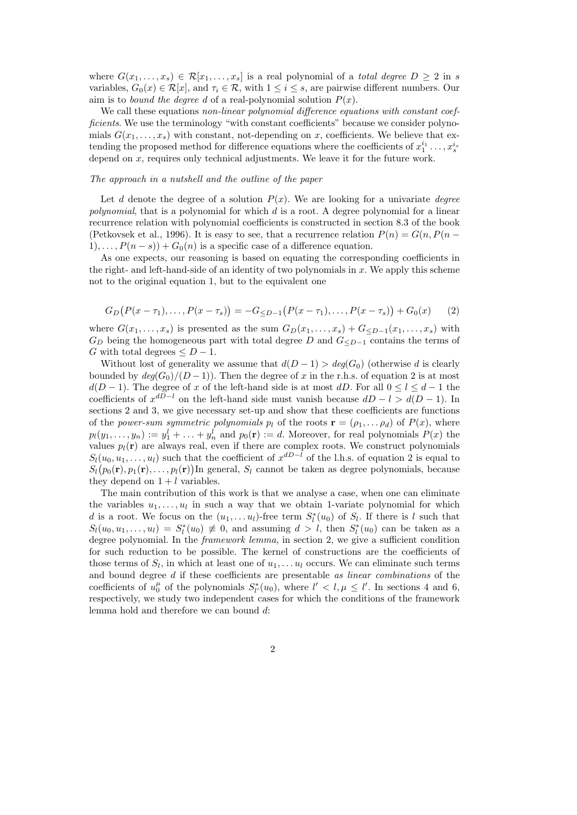where  $G(x_1, \ldots, x_s) \in \mathcal{R}[x_1, \ldots, x_s]$  is a real polynomial of a *total degree*  $D \geq 2$  in s variables,  $G_0(x) \in \mathcal{R}[x]$ , and  $\tau_i \in \mathcal{R}$ , with  $1 \leq i \leq s$ , are pairwise different numbers. Our aim is to *bound the degree d* of a real-polynomial solution  $P(x)$ .

We call these equations non-linear polynomial difference equations with constant coefficients. We use the terminology "with constant coefficients" because we consider polynomials  $G(x_1, \ldots, x_s)$  with constant, not-depending on x, coefficients. We believe that extending the proposed method for difference equations where the coefficients of  $x_1^{i_1} \ldots, x_s^{i_s}$ depend on  $x$ , requires only technical adjustments. We leave it for the future work.

#### The approach in a nutshell and the outline of the paper

Let d denote the degree of a solution  $P(x)$ . We are looking for a univariate degree polynomial, that is a polynomial for which  $d$  is a root. A degree polynomial for a linear recurrence relation with polynomial coefficients is constructed in section 8.3 of the book (Petkovsek et al., 1996). It is easy to see, that a recurrence relation  $P(n) = G(n, P(n 1), \ldots, P(n - s)$  +  $G_0(n)$  is a specific case of a difference equation.

As one expects, our reasoning is based on equating the corresponding coefficients in the right- and left-hand-side of an identity of two polynomials in  $x$ . We apply this scheme not to the original equation 1, but to the equivalent one

$$
G_D(P(x-\tau_1),...,P(x-\tau_s)) = -G_{\leq D-1}(P(x-\tau_1),...,P(x-\tau_s)) + G_0(x) \qquad (2)
$$

where  $G(x_1, \ldots, x_s)$  is presented as the sum  $G_D(x_1, \ldots, x_s) + G_{\leq D-1}(x_1, \ldots, x_s)$  with  $G_D$  being the homogeneous part with total degree D and  $G_{\leq D-1}$  contains the terms of G with total degrees  $\leq D-1$ .

Without lost of generality we assume that  $d(D-1) > deg(G_0)$  (otherwise d is clearly bounded by  $deg(G_0)/(D-1)$ . Then the degree of x in the r.h.s. of equation 2 is at most  $d(D-1)$ . The degree of x of the left-hand side is at most dD. For all  $0 \le l \le d-1$  the coefficients of  $x^{dD-l}$  on the left-hand side must vanish because  $dD - l > d(D - 1)$ . In sections 2 and 3, we give necessary set-up and show that these coefficients are functions of the power-sum symmetric polynomials  $p_l$  of the roots  $\mathbf{r} = (\rho_1, \ldots, \rho_d)$  of  $P(x)$ , where  $p_l(y_1, \ldots, y_n) := y_1^l + \ldots + y_n^l$  and  $p_0(\mathbf{r}) := d$ . Moreover, for real polynomials  $P(x)$  the values  $p_l(\mathbf{r})$  are always real, even if there are complex roots. We construct polynomials  $S_l(u_0, u_1, \ldots, u_l)$  such that the coefficient of  $x^{dD-l}$  of the l.h.s. of equation 2 is equal to  $S_l(p_0(\mathbf{r}), p_1(\mathbf{r}), \ldots, p_l(\mathbf{r}))$ In general,  $S_l$  cannot be taken as degree polynomials, because they depend on  $1 + l$  variables.

The main contribution of this work is that we analyse a case, when one can eliminate the variables  $u_1, \ldots, u_l$  in such a way that we obtain 1-variate polynomial for which d is a root. We focus on the  $(u_1, \ldots u_l)$ -free term  $S_l^*(u_0)$  of  $S_l$ . If there is l such that  $S_l(u_0, u_1, \ldots, u_l) = S_l^*(u_0) \neq 0$ , and assuming  $d > l$ , then  $S_l^*(u_0)$  can be taken as a degree polynomial. In the framework lemma, in section 2, we give a sufficient condition for such reduction to be possible. The kernel of constructions are the coefficients of those terms of  $S_l$ , in which at least one of  $u_1, \ldots u_l$  occurs. We can eliminate such terms and bound degree d if these coefficients are presentable as linear combinations of the coefficients of  $u_0^{\mu}$  of the polynomials  $S_{l'}^*(u_0)$ , where  $l' < l, \mu \leq l'$ . In sections 4 and 6, respectively, we study two independent cases for which the conditions of the framework lemma hold and therefore we can bound d: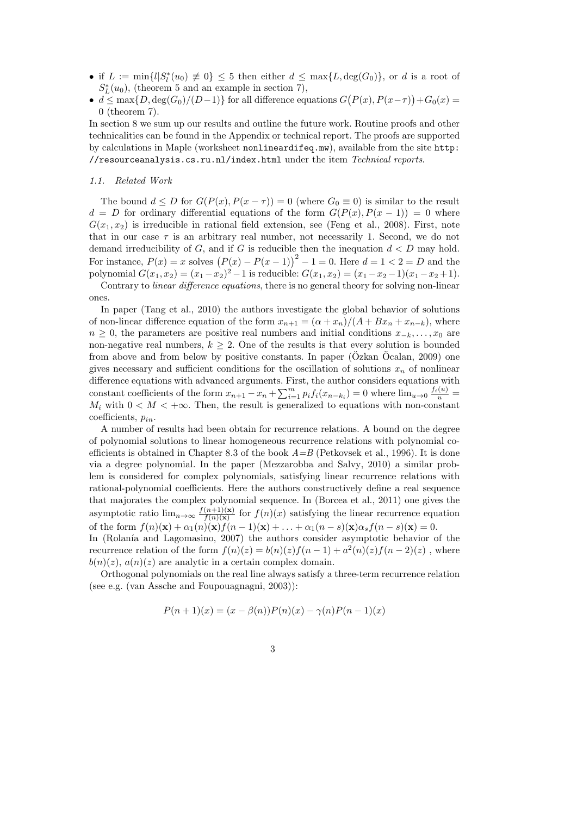- if  $L := \min\{l | S_l^*(u_0) \neq 0\} \leq 5$  then either  $d \leq \max\{L, \deg(G_0)\}$ , or d is a root of  $S_L^*(u_0)$ , (theorem 5 and an example in section 7),
- $d \leq \max\{D, \deg(G_0)/(D-1)\}\$  for all difference equations  $G(P(x), P(x-\tau)) + G_0(x) =$ 0 (theorem 7).

In section 8 we sum up our results and outline the future work. Routine proofs and other technicalities can be found in the Appendix or technical report. The proofs are supported by calculations in Maple (worksheet nonlineardifeq.mw), available from the site http: //resourceanalysis.cs.ru.nl/index.html under the item Technical reports.

## 1.1. Related Work

The bound  $d \leq D$  for  $G(P(x), P(x - \tau)) = 0$  (where  $G_0 \equiv 0$ ) is similar to the result  $d = D$  for ordinary differential equations of the form  $G(P(x), P(x - 1)) = 0$  where  $G(x_1, x_2)$  is irreducible in rational field extension, see (Feng et al., 2008). First, note that in our case  $\tau$  is an arbitrary real number, not necessarily 1. Second, we do not demand irreducibility of  $G$ , and if  $G$  is reducible then the inequation  $d < D$  may hold. For instance,  $P(x) = x$  solves  $(P(x) - P(x-1))^2 - 1 = 0$ . Here  $d = 1 < 2 = D$  and the polynomial  $G(x_1, x_2) = (x_1 - x_2)^2 - 1$  is reducible:  $G(x_1, x_2) = (x_1 - x_2 - 1)(x_1 - x_2 + 1)$ .

Contrary to linear difference equations, there is no general theory for solving non-linear ones.

In paper (Tang et al., 2010) the authors investigate the global behavior of solutions of non-linear difference equation of the form  $x_{n+1} = (\alpha + x_n)/(A + Bx_n + x_{n-k})$ , where  $n \geq 0$ , the parameters are positive real numbers and initial conditions  $x_{-k}, \ldots, x_0$  are non-negative real numbers,  $k > 2$ . One of the results is that every solution is bounded from above and from below by positive constants. In paper  $(Özkan Öcalan, 2009)$  one gives necessary and sufficient conditions for the oscillation of solutions  $x_n$  of nonlinear difference equations with advanced arguments. First, the author considers equations with constant coefficients of the form  $x_{n+1} - x_n + \sum_{i=1}^m p_i f_i(x_{n-k_i}) = 0$  where  $\lim_{u\to 0} \frac{f_i(u)}{u} =$  $M_i$  with  $0 < M < +\infty$ . Then, the result is generalized to equations with non-constant coefficients,  $p_{in}$ .

A number of results had been obtain for recurrence relations. A bound on the degree of polynomial solutions to linear homogeneous recurrence relations with polynomial coefficients is obtained in Chapter 8.3 of the book  $A=B$  (Petkovsek et al., 1996). It is done via a degree polynomial. In the paper (Mezzarobba and Salvy, 2010) a similar problem is considered for complex polynomials, satisfying linear recurrence relations with rational-polynomial coefficients. Here the authors constructively define a real sequence that majorates the complex polynomial sequence. In (Borcea et al., 2011) one gives the asymptotic ratio  $\lim_{n\to\infty} \frac{f(n+1)(\mathbf{x})}{f(n)(\mathbf{x})}$  $\frac{(n+1)(\mathbf{x})}{f(n)(\mathbf{x})}$  for  $f(n)(x)$  satisfying the linear recurrence equation of the form  $f(n)(\mathbf{x}) + \alpha_1(n)(\mathbf{x})f(n-1)(\mathbf{x}) + \ldots + \alpha_1(n-s)(\mathbf{x})\alpha_s f(n-s)(\mathbf{x}) = 0.$ 

In (Rolanía and Lagomasino, 2007) the authors consider asymptotic behavior of the recurrence relation of the form  $f(n)(z) = b(n)(z) f(n-1) + a^2(n)(z) f(n-2)(z)$ , where  $b(n)(z)$ ,  $a(n)(z)$  are analytic in a certain complex domain.

Orthogonal polynomials on the real line always satisfy a three-term recurrence relation (see e.g. (van Assche and Foupouagnagni, 2003)):

$$
P(n + 1)(x) = (x - \beta(n))P(n)(x) - \gamma(n)P(n - 1)(x)
$$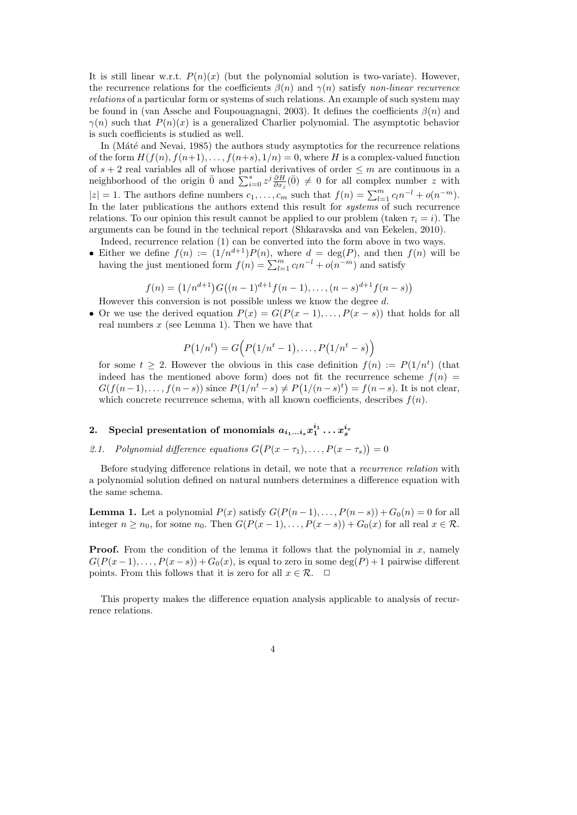It is still linear w.r.t.  $P(n)(x)$  (but the polynomial solution is two-variate). However, the recurrence relations for the coefficients  $\beta(n)$  and  $\gamma(n)$  satisfy non-linear recurrence relations of a particular form or systems of such relations. An example of such system may be found in (van Assche and Foupouagnagni, 2003). It defines the coefficients  $\beta(n)$  and  $\gamma(n)$  such that  $P(n)(x)$  is a generalized Charlier polynomial. The asymptotic behavior is such coefficients is studied as well.

In (Máté and Nevai, 1985) the authors study asymptotics for the recurrence relations of the form  $H(f(n), f(n+1), \ldots, f(n+s), 1/n) = 0$ , where H is a complex-valued function of  $s + 2$  real variables all of whose partial derivatives of order  $\leq m$  are continuous in a neighborhood of the origin  $\bar{0}$  and  $\sum_{i=0}^{s} z^{j} \frac{\partial H}{\partial x_{i}}(\bar{0}) \neq 0$  for all complex number z with  $|z| = 1$ . The authors define numbers  $c_1, \ldots, c_m$  such that  $f(n) = \sum_{l=1}^m c_l n^{-l} + o(n^{-m})$ . In the later publications the authors extend this result for *systems* of such recurrence relations. To our opinion this result cannot be applied to our problem (taken  $\tau_i = i$ ). The arguments can be found in the technical report (Shkaravska and van Eekelen, 2010).

- Indeed, recurrence relation (1) can be converted into the form above in two ways. • Either we define  $f(n) := (1/n^{d+1})P(n)$ , where  $d = \deg(P)$ , and then  $f(n)$  will be
- having the just mentioned form  $f(n) = \sum_{l=1}^{m} c_l n^{-l} + o(n^{-m})$  and satisfy

$$
f(n) = (1/n^{d+1})G((n-1)^{d+1}f(n-1), \ldots, (n-s)^{d+1}f(n-s))
$$

- However this conversion is not possible unless we know the degree d.
- Or we use the derived equation  $P(x) = G(P(x-1), \ldots, P(x-s))$  that holds for all real numbers  $x$  (see Lemma 1). Then we have that

$$
P(1/nt) = G(P(1/nt - 1), \ldots, P(1/nt - s))
$$

for some  $t \geq 2$ . However the obvious in this case definition  $f(n) := P(1/n^t)$  (that indeed has the mentioned above form) does not fit the recurrence scheme  $f(n)$  =  $G(f(n-1),..., f(n-s))$  since  $P(1/n^t - s) \neq P(1/(n-s)^t) = f(n-s)$ . It is not clear, which concrete recurrence schema, with all known coefficients, describes  $f(n)$ .

## 2. Special presentation of monomials  $a_{i_1...i_s}x_1^{i_1} \ldots x_s^{i_s}$

2.1. Polynomial difference equations  $G(P(x - \tau_1), \ldots, P(x - \tau_s)) = 0$ 

Before studying difference relations in detail, we note that a *recurrence relation* with a polynomial solution defined on natural numbers determines a difference equation with the same schema.

**Lemma 1.** Let a polynomial  $P(x)$  satisfy  $G(P(n-1), \ldots, P(n-s)) + G_0(n) = 0$  for all integer  $n \ge n_0$ , for some  $n_0$ . Then  $G(P(x-1), \ldots, P(x-s)) + G_0(x)$  for all real  $x \in \mathcal{R}$ .

**Proof.** From the condition of the lemma it follows that the polynomial in  $x$ , namely  $G(P(x-1), \ldots, P(x-s)) + G_0(x)$ , is equal to zero in some deg(P) + 1 pairwise different points. From this follows that it is zero for all  $x \in \mathcal{R}$ .  $\Box$ 

This property makes the difference equation analysis applicable to analysis of recurrence relations.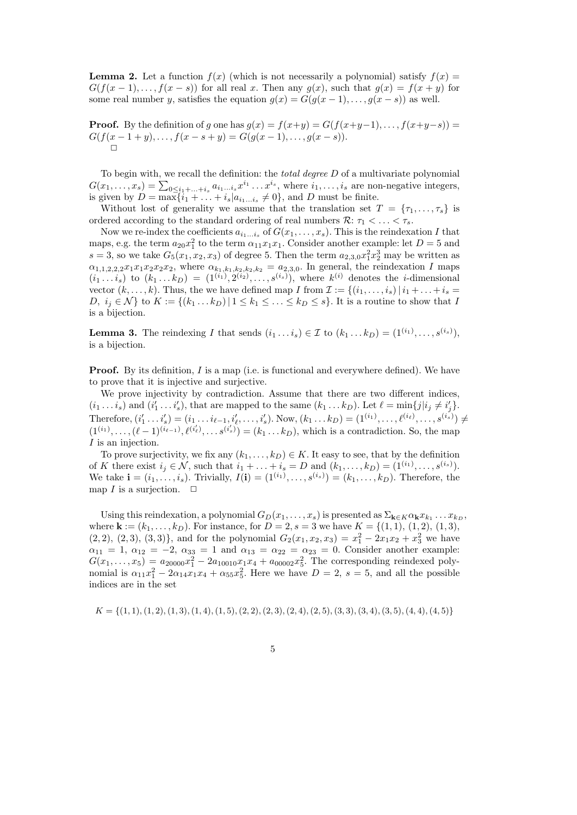**Lemma 2.** Let a function  $f(x)$  (which is not necessarily a polynomial) satisfy  $f(x) =$  $G(f(x-1),...,f(x-s))$  for all real x. Then any  $g(x)$ , such that  $g(x) = f(x+y)$  for some real number y, satisfies the equation  $g(x) = G(g(x-1), \ldots, g(x-s))$  as well.

**Proof.** By the definition of g one has  $g(x) = f(x+y) = G(f(x+y-1), \ldots, f(x+y-s)) =$  $G(f(x-1+y),..., f(x-s+y) = G(g(x-1),..., g(x-s)).$  $\Box$ 

To begin with, we recall the definition: the *total degree*  $D$  of a multivariate polynomial  $G(x_1,\ldots,x_s) = \sum_{0 \leq i_1+\ldots+i_s} a_{i_1\ldots i_s} x^{i_1} \ldots x^{i_s}$ , where  $i_1,\ldots,i_s$  are non-negative integers, is given by  $D = \max\{i_1 + \ldots + i_s | a_{i_1 \ldots i_s} \neq 0\}$ , and D must be finite.

Without lost of generality we assume that the translation set  $T = \{\tau_1, \ldots, \tau_s\}$  is ordered according to the standard ordering of real numbers  $\mathcal{R}: \tau_1 < \ldots < \tau_s$ .

Now we re-index the coefficients  $a_{i_1...i_s}$  of  $G(x_1,...,x_s)$ . This is the reindexation I that maps, e.g. the term  $a_{20}x_1^2$  to the term  $\alpha_{11}x_1x_1$ . Consider another example: let  $D=5$  and  $s = 3$ , so we take  $G_5(x_1, x_2, x_3)$  of degree 5. Then the term  $a_{2,3,0}x_1^2x_2^3$  may be written as  $\alpha_{1,1,2,2,2}x_1x_1x_2x_2x_2$ , where  $\alpha_{k_1,k_1,k_2,k_2,k_2} = a_{2,3,0}$ . In general, the reindexation I maps  $(i_1 \ldots i_s)$  to  $(k_1 \ldots k_D) = (1^{(i_1)}, 2^{(i_2)}, \ldots, s^{(i_s)}),$  where  $k^{(i)}$  denotes the *i*-dimensional vector  $(k, \ldots, k)$ . Thus, the we have defined map I from  $\mathcal{I} := \{(i_1, \ldots, i_s) | i_1 + \ldots + i_s =$ D,  $i_j \in \mathcal{N}$  to  $K := \{(k_1 \dots k_D) | 1 \leq k_1 \leq \dots \leq k_D \leq s\}$ . It is a routine to show that I is a bijection.

**Lemma 3.** The reindexing I that sends  $(i_1 \dots i_s) \in \mathcal{I}$  to  $(k_1 \dots k_D) = (1^{(i_1)}, \dots, s^{(i_s)}),$ is a bijection.

**Proof.** By its definition,  $I$  is a map (i.e. is functional and everywhere defined). We have to prove that it is injective and surjective.

We prove injectivity by contradiction. Assume that there are two different indices,  $(i_1 \ldots i_s)$  and  $(i'_1 \ldots i'_s)$ , that are mapped to the same  $(k_1 \ldots k_D)$ . Let  $\ell = \min\{j|i_j \neq i'_j\}$ . Therefore,  $(i'_1 \ldots i'_s) = (i_1 \ldots i_{\ell-1}, i'_{\ell}, \ldots, i'_{s})$ . Now,  $(k_1 \ldots k_D) = (1^{(i_1)}, \ldots, \ell^{(i_{\ell})}, \ldots, s^{(i_s)}) \neq$  $(1^{(i_1)}, \ldots, (\ell-1)^{(i_{\ell-1})}, \ell^{(i'_{\ell})}, \ldots, s^{(i'_{s})}) = (k_1 \ldots k_D)$ , which is a contradiction. So, the map I is an injection.

To prove surjectivity, we fix any  $(k_1, \ldots, k_D) \in K$ . It easy to see, that by the definition of K there exist  $i_j \in \mathcal{N}$ , such that  $i_1 + \ldots + i_s = D$  and  $(k_1, \ldots, k_D) = (1^{(i_1)}, \ldots, s^{(i_s)})$ . We take  $\mathbf{i} = (i_1, ..., i_s)$ . Trivially,  $I(\mathbf{i}) = (1^{(i_1)}, ..., s^{(i_s)}) = (k_1, ..., k_D)$ . Therefore, the map *I* is a surjection.  $\Box$ 

Using this reindexation, a polynomial  $G_D(x_1, \ldots, x_s)$  is presented as  $\Sigma_{\mathbf{k} \in K} \alpha_{\mathbf{k}} x_{k_1} \ldots x_{k_D}$ , where  $\mathbf{k} := (k_1, \ldots, k_D)$ . For instance, for  $D = 2, s = 3$  we have  $K = \{(1, 1), (1, 2), (1, 3),$  $(2, 2), (2, 3), (3, 3)$ , and for the polynomial  $G_2(x_1, x_2, x_3) = x_1^2 - 2x_1x_2 + x_3^2$  we have  $\alpha_{11} = 1, \ \alpha_{12} = -2, \ \alpha_{33} = 1 \text{ and } \alpha_{13} = \alpha_{22} = \alpha_{23} = 0. \text{ Consider another example:}$  $G(x_1,...,x_5) = a_{20000}x_1^2 - 2a_{10010}x_1x_4 + a_{00002}x_5^2$ . The corresponding reindexed polynomial is  $\alpha_{11}x_1^2 - 2\alpha_{14}x_1x_4 + \alpha_{55}x_5^2$ . Here we have  $D = 2$ ,  $s = 5$ , and all the possible indices are in the set

$$
K = \{(1, 1), (1, 2), (1, 3), (1, 4), (1, 5), (2, 2), (2, 3), (2, 4), (2, 5), (3, 3), (3, 4), (3, 5), (4, 4), (4, 5)\}
$$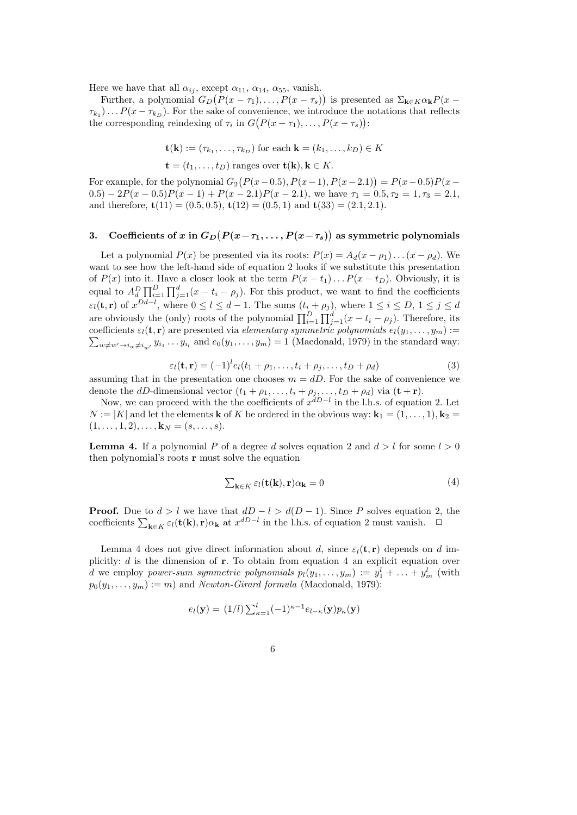Here we have that all  $\alpha_{ij}$ , except  $\alpha_{11}$ ,  $\alpha_{14}$ ,  $\alpha_{55}$ , vanish.

Further, a polynomial  $G_D(P(x - \tau_1), \ldots, P(x - \tau_s))$  is presented as  $\Sigma_{\mathbf{k} \in K} \alpha_{\mathbf{k}} P(x - \tau_s)$  $\tau_{k_1}$ )...  $P(x - \tau_{k_D})$ . For the sake of convenience, we introduce the notations that reflects the corresponding reindexing of  $\tau_i$  in  $G(P(x - \tau_1), \ldots, P(x - \tau_s))$ :

$$
\mathbf{t}(\mathbf{k}):=(\tau_{k_1},\ldots,\tau_{k_D})\text{ for each }\mathbf{k}=(k_1,\ldots,k_D)\in K
$$

 $\mathbf{t} = (t_1, \ldots, t_D)$  ranges over  $\mathbf{t}(\mathbf{k}), \mathbf{k} \in K$ .

For example, for the polynomial  $G_2(P(x-0.5), P(x-1), P(x-2.1)) = P(x-0.5)P(x-1)$  $(0.5) - 2P(x - 0.5)P(x - 1) + P(x - 2.1)P(x - 2.1)$ , we have  $\tau_1 = 0.5, \tau_2 = 1, \tau_3 = 2.1$ , and therefore,  $\mathbf{t}(11) = (0.5, 0.5), \mathbf{t}(12) = (0.5, 1)$  and  $\mathbf{t}(33) = (2.1, 2.1).$ 

## 3. Coefficients of x in  $G_D(P(x-\tau_1, \dots, P(x-\tau_s))$  as symmetric polynomials

Let a polynomial  $P(x)$  be presented via its roots:  $P(x) = A_d(x - \rho_1) \dots (x - \rho_d)$ . We want to see how the left-hand side of equation 2 looks if we substitute this presentation of  $P(x)$  into it. Have a closer look at the term  $P(x - t_1)...P(x - t_D)$ . Obviously, it is equal to  $A_d^D \prod_{i=1}^D \prod_{j=1}^d (x-t_i-\rho_j)$ . For this product, we want to find the coefficients  $\varepsilon_l(\mathbf{t}, \mathbf{r})$  of  $x^{Dd-l}$ , where  $0 \le l \le d-1$ . The sums  $(t_i + \rho_j)$ , where  $1 \le i \le D, 1 \le j \le d$ are obviously the (only) roots of the polynomial  $\prod_{i=1}^{D} \prod_{j=1}^{d} (x - t_i - \rho_j)$ . Therefore, its coefficients  $\varepsilon_l(\mathbf{t}, \mathbf{r})$  are presented via *elementary symmetric polynomials*  $e_l(y_1, \ldots, y_m) :=$  $\sum_{w \neq w' \rightarrow i_w \neq i_{w'}} y_{i_1} \dots y_{i_l}$  and  $e_0(y_1, \dots, y_m) = 1$  (Macdonald, 1979) in the standard way:

$$
\varepsilon_l(\mathbf{t}, \mathbf{r}) = (-1)^l e_l(t_1 + \rho_1, \dots, t_i + \rho_j, \dots, t_D + \rho_d)
$$
\n(3)

assuming that in the presentation one chooses  $m = dD$ . For the sake of convenience we denote the dD-dimensional vector  $(t_1 + \rho_1, \ldots, t_i + \rho_j, \ldots, t_D + \rho_d)$  via  $(\mathbf{t} + \mathbf{r})$ .

Now, we can proceed with the the coefficients of  $x^{dD-l}$  in the l.h.s. of equation 2. Let  $N := |K|$  and let the elements **k** of K be ordered in the obvious way:  $\mathbf{k}_1 = (1, \ldots, 1), \mathbf{k}_2 =$  $(1, \ldots, 1, 2), \ldots, \mathbf{k}_N = (s, \ldots, s).$ 

**Lemma 4.** If a polynomial P of a degree d solves equation 2 and  $d > l$  for some  $l > 0$ then polynomial's roots r must solve the equation

$$
\sum_{\mathbf{k}\in K}\varepsilon_l(\mathbf{t}(\mathbf{k}),\mathbf{r})\alpha_\mathbf{k}=0\tag{4}
$$

**Proof.** Due to  $d > l$  we have that  $dD - l > d(D - 1)$ . Since P solves equation 2, the coefficients  $\sum_{\mathbf{k}\in K} \varepsilon_l(\mathbf{t}(\mathbf{k}), \mathbf{r}) \alpha_{\mathbf{k}}$  at  $x^{dD-l}$  in the l.h.s. of equation 2 must vanish.  $\Box$ 

Lemma 4 does not give direct information about d, since  $\varepsilon_i(\mathbf{t}, \mathbf{r})$  depends on d implicitly:  $d$  is the dimension of  $r$ . To obtain from equation 4 an explicit equation over d we employ power-sum symmetric polynomials  $p_l(y_1, \ldots, y_m) := y_1^l + \ldots + y_m^l$  (with  $p_0(y_1, \ldots, y_m) := m$  and *Newton-Girard formula* (Macdonald, 1979):

$$
e_l(\mathbf{y}) = (1/l) \sum_{\kappa=1}^l (-1)^{\kappa-1} e_{l-\kappa}(\mathbf{y}) p_{\kappa}(\mathbf{y})
$$

6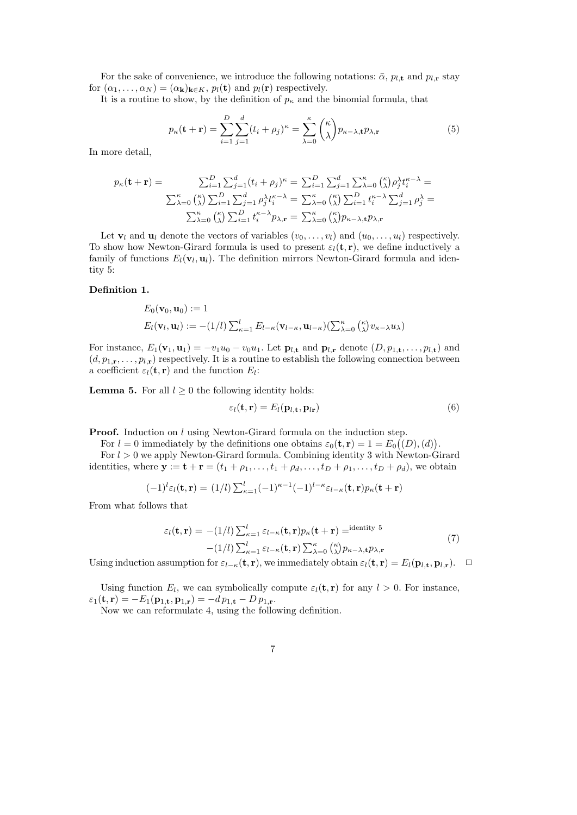For the sake of convenience, we introduce the following notations:  $\bar{\alpha}$ ,  $p_{l,\mathbf{t}}$  and  $p_{l,\mathbf{r}}$  stay for  $(\alpha_1, \ldots, \alpha_N) = (\alpha_k)_{k \in K}, p_l(\mathbf{t})$  and  $p_l(\mathbf{r})$  respectively.

It is a routine to show, by the definition of  $p_{\kappa}$  and the binomial formula, that

$$
p_{\kappa}(\mathbf{t} + \mathbf{r}) = \sum_{i=1}^{D} \sum_{j=1}^{d} (t_i + \rho_j)^{\kappa} = \sum_{\lambda=0}^{\kappa} {\binom{\kappa}{\lambda}} p_{\kappa-\lambda, \mathbf{t}} p_{\lambda, \mathbf{r}}
$$
(5)

In more detail,

$$
p_{\kappa}(\mathbf{t} + \mathbf{r}) = \sum_{i=1}^{D} \sum_{j=1}^{d} (t_i + \rho_j)^{\kappa} = \sum_{i=1}^{D} \sum_{j=1}^{d} \sum_{\lambda=0}^{\kappa} {n \choose \lambda} \rho_j^{\lambda} t_i^{\kappa - \lambda} =
$$

$$
\sum_{\lambda=0}^{\kappa} {n \choose \lambda} \sum_{i=1}^{D} \sum_{j=1}^{d} \rho_j^{\lambda} t_i^{\kappa - \lambda} = \sum_{\lambda=0}^{\kappa} {n \choose \lambda} \sum_{i=1}^{D} t_i^{\kappa - \lambda} \sum_{j=1}^{d} \rho_j^{\lambda} =
$$

$$
\sum_{\lambda=0}^{\kappa} {n \choose \lambda} \sum_{i=1}^{D} t_i^{\kappa - \lambda} p_{\lambda, \mathbf{r}} = \sum_{\lambda=0}^{\kappa} {n \choose \lambda} p_{\kappa - \lambda, \mathbf{t}} p_{\lambda, \mathbf{r}}
$$

Let  $\mathbf{v}_l$  and  $\mathbf{u}_l$  denote the vectors of variables  $(v_0, \ldots, v_l)$  and  $(u_0, \ldots, u_l)$  respectively. To show how Newton-Girard formula is used to present  $\varepsilon_l(\mathbf{t}, \mathbf{r})$ , we define inductively a family of functions  $E_l(\mathbf{v}_l, \mathbf{u}_l)$ . The definition mirrors Newton-Girard formula and identity 5:

## Definition 1.

$$
E_0(\mathbf{v}_0, \mathbf{u}_0) := 1
$$
  
 
$$
E_l(\mathbf{v}_l, \mathbf{u}_l) := -(1/l) \sum_{\kappa=1}^l E_{l-\kappa}(\mathbf{v}_{l-\kappa}, \mathbf{u}_{l-\kappa}) (\sum_{\lambda=0}^{\kappa} {\kappa \choose \lambda} v_{\kappa-\lambda} u_{\lambda})
$$

For instance,  $E_1(\mathbf{v}_1, \mathbf{u}_1) = -v_1u_0 - v_0u_1$ . Let  $\mathbf{p}_{l,\mathbf{t}}$  and  $\mathbf{p}_{l,\mathbf{r}}$  denote  $(D, p_{1,\mathbf{t}}, \ldots, p_{l,\mathbf{t}})$  and  $(d, p_{1,\mathbf{r}}, \ldots, p_{l,\mathbf{r}})$  respectively. It is a routine to establish the following connection between a coefficient  $\varepsilon_l(\mathbf{t}, \mathbf{r})$  and the function  $E_l$ :

**Lemma 5.** For all  $l \geq 0$  the following identity holds:

$$
\varepsilon_l(\mathbf{t}, \mathbf{r}) = E_l(\mathbf{p}_{l, \mathbf{t}}, \mathbf{p}_{l\mathbf{r}}) \tag{6}
$$

**Proof.** Induction on l using Newton-Girard formula on the induction step.

For  $l = 0$  immediately by the definitions one obtains  $\varepsilon_0(\mathbf{t}, \mathbf{r}) = 1 = E_0((D), (d)).$ 

For  $l > 0$  we apply Newton-Girard formula. Combining identity 3 with Newton-Girard identities, where  $\mathbf{y} := \mathbf{t} + \mathbf{r} = (t_1 + \rho_1, \dots, t_1 + \rho_d, \dots, t_D + \rho_1, \dots, t_D + \rho_d)$ , we obtain

$$
(-1)^{l} \varepsilon_{l}(\mathbf{t}, \mathbf{r}) = (1/l) \sum_{\kappa=1}^{l} (-1)^{\kappa-1} (-1)^{l-\kappa} \varepsilon_{l-\kappa}(\mathbf{t}, \mathbf{r}) p_{\kappa}(\mathbf{t} + \mathbf{r})
$$

From what follows that

$$
\varepsilon_l(\mathbf{t}, \mathbf{r}) = -(1/l) \sum_{\kappa=1}^l \varepsilon_{l-\kappa}(\mathbf{t}, \mathbf{r}) p_\kappa(\mathbf{t} + \mathbf{r}) = \text{identity }^5 -(1/l) \sum_{\kappa=1}^l \varepsilon_{l-\kappa}(\mathbf{t}, \mathbf{r}) \sum_{\lambda=0}^\kappa \binom{\kappa}{\lambda} p_{\kappa-\lambda, \mathbf{t}} p_{\lambda, \mathbf{r}}
$$
(7)

Using induction assumption for  $\varepsilon_{l-\kappa}(\mathbf{t}, \mathbf{r})$ , we immediately obtain  $\varepsilon_l(\mathbf{t}, \mathbf{r}) = E_l(\mathbf{p}_{l,\mathbf{t}}, \mathbf{p}_{l,\mathbf{r}})$ .  $\Box$ 

Using function  $E_l$ , we can symbolically compute  $\varepsilon_l(\mathbf{t}, \mathbf{r})$  for any  $l > 0$ . For instance,  $\varepsilon_1(t, r) = -E_1(p_{1,t}, p_{1,r}) = -dp_{1,t} - D p_{1,r}.$ 

Now we can reformulate 4, using the following definition.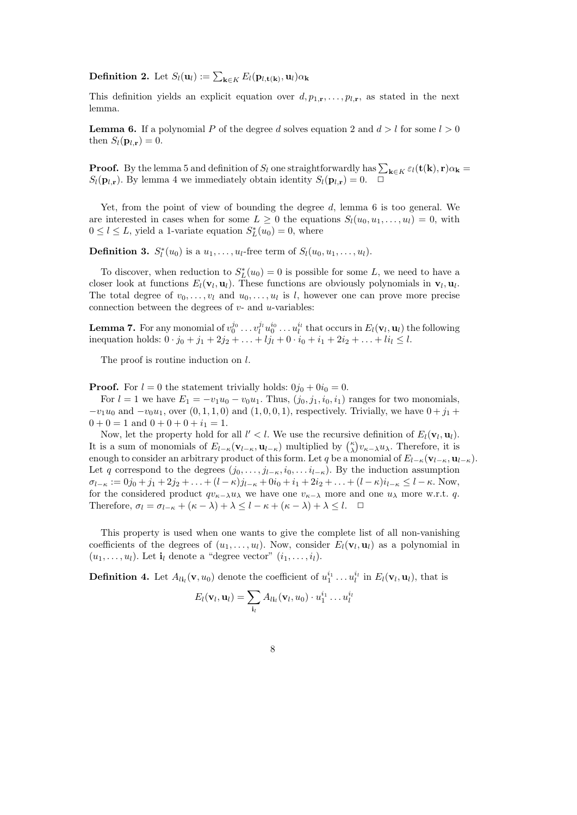**Definition 2.** Let  $S_l(\mathbf{u}_l) := \sum_{\mathbf{k} \in K} E_l(\mathbf{p}_{l,\mathbf{t}(\mathbf{k})}, \mathbf{u}_l) \alpha_{\mathbf{k}}$ 

This definition yields an explicit equation over  $d, p_{1,\mathbf{r}}, \ldots, p_{l,\mathbf{r}}$ , as stated in the next lemma.

**Lemma 6.** If a polynomial P of the degree d solves equation 2 and  $d > l$  for some  $l > 0$ then  $S_l(\mathbf{p}_{l,\mathbf{r}})=0$ .

**Proof.** By the lemma 5 and definition of  $S_l$  one straightforwardly has  $\sum_{k \in K} \varepsilon_l(t(k), r) \alpha_k =$  $S_l(\mathbf{p}_{l,r})$ . By lemma 4 we immediately obtain identity  $S_l(\mathbf{p}_{l,r}) = 0$ .  $\Box$ 

Yet, from the point of view of bounding the degree  $d$ , lemma 6 is too general. We are interested in cases when for some  $L \geq 0$  the equations  $S_l(u_0, u_1, \ldots, u_l) = 0$ , with  $0 \le l \le L$ , yield a 1-variate equation  $S_L^*(u_0) = 0$ , where

**Definition 3.**  $S_l^*(u_0)$  is a  $u_1, \ldots, u_l$ -free term of  $S_l(u_0, u_1, \ldots, u_l)$ .

To discover, when reduction to  $S_L^*(u_0) = 0$  is possible for some L, we need to have a closer look at functions  $E_l(\mathbf{v}_l, \mathbf{u}_l)$ . These functions are obviously polynomials in  $\mathbf{v}_l, \mathbf{u}_l$ . The total degree of  $v_0, \ldots, v_l$  and  $u_0, \ldots, u_l$  is l, however one can prove more precise connection between the degrees of  $v$ - and  $u$ -variables:

**Lemma 7.** For any monomial of  $v_0^{j_0} \ldots v_l^{j_l} u_0^{i_0} \ldots u_l^{i_l}$  that occurs in  $E_l(\mathbf{v}_l, \mathbf{u}_l)$  the following inequation holds:  $0 \cdot j_0 + j_1 + 2j_2 + \ldots + lj_l + 0 \cdot i_0 + i_1 + 2i_2 + \ldots + li_l \leq l$ .

The proof is routine induction on l.

**Proof.** For  $l = 0$  the statement trivially holds:  $0j_0 + 0i_0 = 0$ .

For  $l = 1$  we have  $E_1 = -v_1u_0 - v_0u_1$ . Thus,  $(j_0, j_1, i_0, i_1)$  ranges for two monomials,  $-v_1u_0$  and  $-v_0u_1$ , over  $(0, 1, 1, 0)$  and  $(1, 0, 0, 1)$ , respectively. Trivially, we have  $0 + j_1 +$  $0 + 0 = 1$  and  $0 + 0 + 0 + i_1 = 1$ .

Now, let the property hold for all  $l' < l$ . We use the recursive definition of  $E_l(\mathbf{v}_l, \mathbf{u}_l)$ . It is a sum of monomials of  $E_{l-\kappa}(\mathbf{v}_{l-\kappa}, \mathbf{u}_{l-\kappa})$  multiplied by  $\binom{\kappa}{\lambda} v_{\kappa-\lambda} u_{\lambda}$ . Therefore, it is enough to consider an arbitrary product of this form. Let q be a monomial of  $E_{l-\kappa}(\mathbf{v}_{l-\kappa}, \mathbf{u}_{l-\kappa})$ . Let q correspond to the degrees  $(j_0, \ldots, j_{l-\kappa}, i_0, \ldots, i_{l-\kappa})$ . By the induction assumption  $\sigma_{l-\kappa} := 0j_0 + j_1 + 2j_2 + \ldots + (l - \kappa)j_{l-\kappa} + 0i_0 + i_1 + 2i_2 + \ldots + (l - \kappa)i_{l-\kappa} \leq l - \kappa$ . Now, for the considered product  $qv_{\kappa-\lambda}u_\lambda$  we have one  $v_{\kappa-\lambda}$  more and one  $u_\lambda$  more w.r.t. q. Therefore,  $\sigma_l = \sigma_{l-\kappa} + (\kappa - \lambda) + \lambda \leq l - \kappa + (\kappa - \lambda) + \lambda \leq l$ .  $\Box$ 

This property is used when one wants to give the complete list of all non-vanishing coefficients of the degrees of  $(u_1, \ldots, u_l)$ . Now, consider  $E_l(\mathbf{v}_l, \mathbf{u}_l)$  as a polynomial in  $(u_1, \ldots, u_l)$ . Let  $\mathbf{i}_l$  denote a "degree vector"  $(i_1, \ldots, i_l)$ .

**Definition 4.** Let  $A_{li_l}(\mathbf{v}, u_0)$  denote the coefficient of  $u_1^{i_1} \dots u_l^{i_l}$  in  $E_l(\mathbf{v}_l, \mathbf{u}_l)$ , that is

$$
E_l(\mathbf{v}_l, \mathbf{u}_l) = \sum_{\mathbf{i}_l} A_{l\mathbf{i}_l}(\mathbf{v}_l, u_0) \cdot u_1^{i_1} \dots u_l^{i_l}
$$

| ٠            |        |
|--------------|--------|
|              | ٦      |
| ł<br>I<br>۰. |        |
|              |        |
|              | I<br>٧ |
|              |        |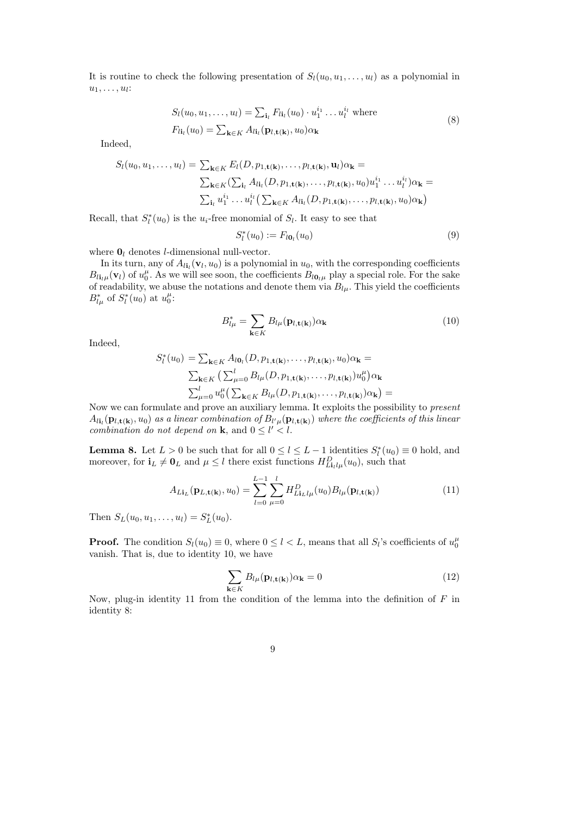It is routine to check the following presentation of  $S_l(u_0, u_1, \ldots, u_l)$  as a polynomial in  $u_1, \ldots, u_l$ :

$$
S_l(u_0, u_1, \dots, u_l) = \sum_{\mathbf{i}_l} F_{l\mathbf{i}_l}(u_0) \cdot u_1^{i_1} \dots u_l^{i_l}
$$
 where  

$$
F_{l\mathbf{i}_l}(u_0) = \sum_{\mathbf{k} \in K} A_{l\mathbf{i}_l}(\mathbf{p}_{l, \mathbf{t}(\mathbf{k})}, u_0) \alpha_{\mathbf{k}}
$$
 (8)

Indeed,

$$
S_l(u_0, u_1, \dots, u_l) = \sum_{\mathbf{k} \in K} E_l(D, p_{1, \mathbf{t}(\mathbf{k})}, \dots, p_{l, \mathbf{t}(\mathbf{k})}, \mathbf{u}_l) \alpha_{\mathbf{k}} =
$$
  

$$
\sum_{\mathbf{k} \in K} (\sum_{\mathbf{i}_l} A_{l\mathbf{i}_l}(D, p_{1, \mathbf{t}(\mathbf{k})}, \dots, p_{l, \mathbf{t}(\mathbf{k})}, u_0) u_1^{i_1} \dots u_l^{i_l}) \alpha_{\mathbf{k}} =
$$
  

$$
\sum_{\mathbf{i}_l} u_1^{i_1} \dots u_l^{i_l} (\sum_{\mathbf{k} \in K} A_{l\mathbf{i}_l}(D, p_{1, \mathbf{t}(\mathbf{k})}, \dots, p_{l, \mathbf{t}(\mathbf{k})}, u_0) \alpha_{\mathbf{k}})
$$

Recall, that  $S_l^*(u_0)$  is the  $u_i$ -free monomial of  $S_l$ . It easy to see that

$$
S_l^*(u_0) := F_{l\mathbf{0}_l}(u_0) \tag{9}
$$

where  $\mathbf{0}_l$  denotes *l*-dimensional null-vector.

In its turn, any of  $A_{l i_l}(\mathbf{v}_l, u_0)$  is a polynomial in  $u_0$ , with the corresponding coefficients  $B_{li\mu}(\mathbf{v}_l)$  of  $u_0^{\mu}$ . As we will see soon, the coefficients  $B_{l0\mu}$  play a special role. For the sake of readability, we abuse the notations and denote them via  $B_{l\mu}$ . This yield the coefficients  $B_{l\mu}^*$  of  $S_l^*(u_0)$  at  $u_0^{\mu}$ :

$$
B_{l\mu}^* = \sum_{\mathbf{k} \in K} B_{l\mu}(\mathbf{p}_{l,\mathbf{t}(\mathbf{k})}) \alpha_{\mathbf{k}} \tag{10}
$$

Indeed,

$$
S_l^*(u_0) = \sum_{\mathbf{k} \in K} A_{l0_l}(D, p_{1, \mathbf{t}(\mathbf{k})}, \dots, p_{l, \mathbf{t}(\mathbf{k})}, u_0) \alpha_{\mathbf{k}} =
$$
  

$$
\sum_{\mathbf{k} \in K} \left( \sum_{\mu=0}^l B_{l\mu}(D, p_{1, \mathbf{t}(\mathbf{k})}, \dots, p_{l, \mathbf{t}(\mathbf{k})}) u_0^{\mu} \right) \alpha_{\mathbf{k}}
$$
  

$$
\sum_{\mu=0}^l u_0^{\mu} \left( \sum_{\mathbf{k} \in K} B_{l\mu}(D, p_{1, \mathbf{t}(\mathbf{k})}, \dots, p_{l, \mathbf{t}(\mathbf{k})}) \alpha_{\mathbf{k}} \right) =
$$

Now we can formulate and prove an auxiliary lemma. It exploits the possibility to present  $A_{l{\bf i}_l}({\bf p}_{l,{\bf t}({\bf k})},u_0)$  as a linear combination of  $B_{l'\mu}({\bf p}_{l,{\bf t}({\bf k})})$  where the coefficients of this linear combination do not depend on **k**, and  $0 \leq l' < l$ .

**Lemma 8.** Let  $L > 0$  be such that for all  $0 \le l \le L - 1$  identities  $S_l^*(u_0) \equiv 0$  hold, and moreover, for  $\mathbf{i}_L \neq \mathbf{0}_L$  and  $\mu \leq l$  there exist functions  $H_{Li_l\mu}^D(u_0)$ , such that

$$
A_{Li_{L}}(\mathbf{p}_{L,\mathbf{t}(\mathbf{k})},u_{0}) = \sum_{l=0}^{L-1} \sum_{\mu=0}^{l} H_{Li_{L}l\mu}^{D}(u_{0}) B_{l\mu}(\mathbf{p}_{l,\mathbf{t}(\mathbf{k})})
$$
(11)

Then  $S_L(u_0, u_1, \ldots, u_l) = S_L^*(u_0)$ .

**Proof.** The condition  $S_l(u_0) \equiv 0$ , where  $0 \le l < L$ , means that all  $S_l$ 's coefficients of  $u_0^{\mu}$ vanish. That is, due to identity 10, we have

$$
\sum_{\mathbf{k}\in K} B_{l\mu}(\mathbf{p}_{l,\mathbf{t}(\mathbf{k})})\alpha_{\mathbf{k}} = 0
$$
\n(12)

Now, plug-in identity 11 from the condition of the lemma into the definition of  $F$  in identity 8:

9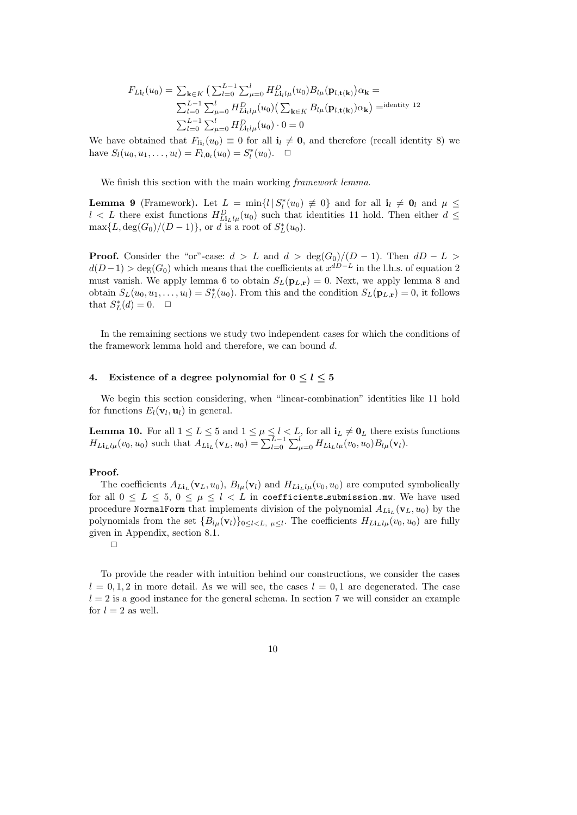$$
F_{Li_l}(u_0) = \sum_{\mathbf{k} \in K} \left( \sum_{l=0}^{L-1} \sum_{\mu=0}^{l} H_{Li_l l\mu}^D(u_0) B_{l\mu}(\mathbf{p}_{l, \mathbf{t}(\mathbf{k})}) \alpha_{\mathbf{k}} \right) =
$$
  

$$
\sum_{l=0}^{L-1} \sum_{\mu=0}^{l} H_{Li_l l\mu}^D(u_0) \left( \sum_{\mathbf{k} \in K} B_{l\mu}(\mathbf{p}_{l, \mathbf{t}(\mathbf{k})}) \alpha_{\mathbf{k}} \right) =
$$
  

$$
\sum_{l=0}^{L-1} \sum_{\mu=0}^{l} H_{Li_l l\mu}^D(u_0) \cdot 0 = 0
$$

We have obtained that  $F_{li}(u_0) \equiv 0$  for all  $i_l \neq 0$ , and therefore (recall identity 8) we have  $S_l(u_0, u_1, \ldots, u_l) = F_{l, \mathbf{0}_l}(u_0) = S_l^*(u_0)$ .  $\Box$ 

We finish this section with the main working *framework lemma*.

**Lemma 9** (Framework). Let  $L = \min\{l | S_l^*(u_0) \neq 0\}$  and for all  $i_l \neq 0_l$  and  $\mu \leq$  $l < L$  there exist functions  $H_{Li_1l\mu}^D(u_0)$  such that identities 11 hold. Then either  $d \leq$  $\max\{L, \deg(G_0)/(D-1)\}\)$ , or d is a root of  $S^*_{L}(u_0)$ .

**Proof.** Consider the "or"-case:  $d > L$  and  $d > \deg(G_0)/(D-1)$ . Then  $dD - L >$  $d(D-1) > deg(G_0)$  which means that the coefficients at  $x^{dD-L}$  in the l.h.s. of equation 2 must vanish. We apply lemma 6 to obtain  $S_L(\mathbf{p}_{L,r}) = 0$ . Next, we apply lemma 8 and obtain  $S_L(u_0, u_1, \ldots, u_l) = S_L^*(u_0)$ . From this and the condition  $S_L(\mathbf{p}_{L,\mathbf{r}}) = 0$ , it follows that  $S_L^*(d) = 0$ .  $\Box$ 

In the remaining sections we study two independent cases for which the conditions of the framework lemma hold and therefore, we can bound d.

## 4. Existence of a degree polynomial for  $0 \le l \le 5$

We begin this section considering, when "linear-combination" identities like 11 hold for functions  $E_l(\mathbf{v}_l, \mathbf{u}_l)$  in general.

**Lemma 10.** For all  $1 \le L \le 5$  and  $1 \le \mu \le l \le L$ , for all  $i_L \ne \mathbf{0}_L$  there exists functions  $H_{Li_Ll\mu}(v_0, u_0)$  such that  $A_{Li_L}(\mathbf{v}_L, u_0) = \sum_{l=0}^{L-1} \sum_{\mu=0}^{l} H_{Li_Ll\mu}(v_0, u_0) B_{l\mu}(\mathbf{v}_l)$ .

## Proof.

The coefficients  $A_{Li}(v_L, u_0)$ ,  $B_{l\mu}(v_l)$  and  $H_{Li}(v_l, u_0)$  are computed symbolically for all  $0 \le L \le 5$ ,  $0 \le \mu \le l < L$  in coefficients submission.mw. We have used procedure NormalForm that implements division of the polynomial  $A_{Li_{L}}(\mathbf{v}_{L}, u_{0})$  by the polynomials from the set  ${B_{l\mu}(\mathbf{v}_l)}_{0 \leq l < L, \mu \leq l}$ . The coefficients  $H_{Li_Ll\mu}(v_0, u_0)$  are fully given in Appendix, section 8.1.

 $\Box$ 

To provide the reader with intuition behind our constructions, we consider the cases  $l = 0, 1, 2$  in more detail. As we will see, the cases  $l = 0, 1$  are degenerated. The case  $l = 2$  is a good instance for the general schema. In section 7 we will consider an example for  $l = 2$  as well.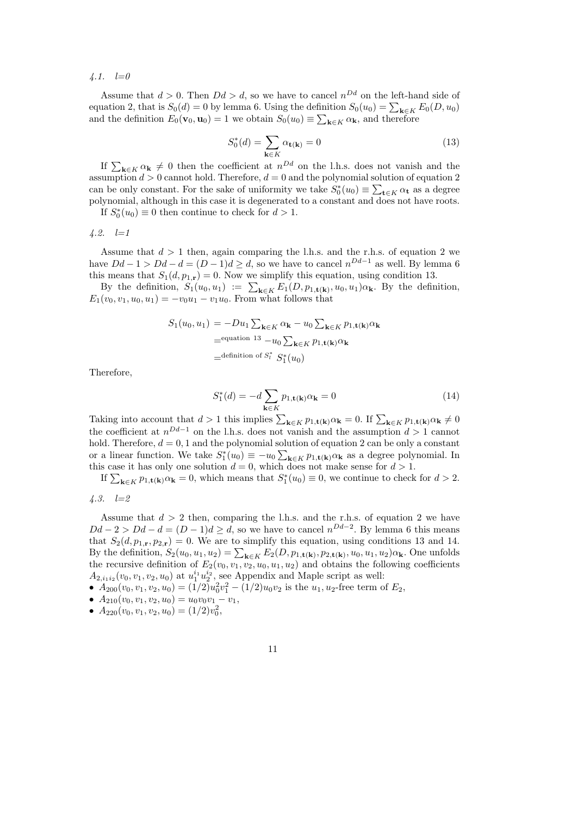4.1.  $l=0$ 

Assume that  $d > 0$ . Then  $Dd > d$ , so we have to cancel  $n^{Dd}$  on the left-hand side of equation 2, that is  $S_0(d) = 0$  by lemma 6. Using the definition  $S_0(u_0) = \sum_{\mathbf{k} \in K} E_0(D, u_0)$ and the definition  $E_0(\mathbf{v}_0, \mathbf{u}_0) = 1$  we obtain  $S_0(u_0) \equiv \sum_{\mathbf{k} \in K} \alpha_{\mathbf{k}}$ , and therefore

$$
S_0^*(d) = \sum_{\mathbf{k} \in K} \alpha_{\mathbf{t}(\mathbf{k})} = 0 \tag{13}
$$

If  $\sum_{\mathbf{k}\in K} \alpha_{\mathbf{k}} \neq 0$  then the coefficient at  $n^{Dd}$  on the l.h.s. does not vanish and the assumption  $d > 0$  cannot hold. Therefore,  $d = 0$  and the polynomial solution of equation 2 can be only constant. For the sake of uniformity we take  $S_0^*(u_0) \equiv \sum_{\mathbf{t} \in K} \alpha_{\mathbf{t}}$  as a degree polynomial, although in this case it is degenerated to a constant and does not have roots.

If  $S_0^*(u_0) \equiv 0$  then continue to check for  $d > 1$ .

 $4.2. \quad l=1$ 

Assume that  $d > 1$  then, again comparing the l.h.s. and the r.h.s. of equation 2 we have  $Dd - 1 > Dd - d = (D - 1)d \ge d$ , so we have to cancel  $n^{Dd-1}$  as well. By lemma 6 this means that  $S_1(d, p_{1,r}) = 0$ . Now we simplify this equation, using condition 13.

By the definition,  $S_1(u_0, u_1) := \sum_{\mathbf{k} \in K} E_1(D, p_{1, \mathbf{t}(\mathbf{k})}, u_0, u_1) \alpha_{\mathbf{k}}$ . By the definition,  $E_1(v_0, v_1, u_0, u_1) = -v_0u_1 - v_1u_0$ . From what follows that

$$
S_1(u_0, u_1) = -Du_1 \sum_{\mathbf{k} \in K} \alpha_{\mathbf{k}} - u_0 \sum_{\mathbf{k} \in K} p_{1, \mathbf{t}(\mathbf{k})} \alpha_{\mathbf{k}}
$$
  
=<sup>equation 13</sup> - u<sub>0</sub>  $\sum_{\mathbf{k} \in K} p_{1, \mathbf{t}(\mathbf{k})} \alpha_{\mathbf{k}}$   
=<sup>definition of S<sub>i</sub><sup>\*</sup> S<sub>1</sub><sup>\*</sup>(u<sub>0</sub>)</sup>

Therefore,

$$
S_1^*(d) = -d \sum_{\mathbf{k} \in K} p_{1,\mathbf{t}(\mathbf{k})} \alpha_{\mathbf{k}} = 0
$$
 (14)

Taking into account that  $d > 1$  this implies  $\sum_{\mathbf{k} \in K} p_{1,\mathbf{t}(\mathbf{k})} \alpha_{\mathbf{k}} = 0$ . If  $\sum_{\mathbf{k} \in K} p_{1,\mathbf{t}(\mathbf{k})} \alpha_{\mathbf{k}} \neq 0$ the coefficient at  $n^{Dd-1}$  on the l.h.s. does not vanish and the assumption  $d > 1$  cannot hold. Therefore,  $d = 0, 1$  and the polynomial solution of equation 2 can be only a constant or a linear function. We take  $S_1^*(u_0) \equiv -u_0 \sum_{\mathbf{k} \in K} p_{1,\mathbf{t}(\mathbf{k})} \alpha_{\mathbf{k}}$  as a degree polynomial. In this case it has only one solution  $d = 0$ , which does not make sense for  $d > 1$ .

If  $\sum_{\mathbf{k} \in K} p_{1,\mathbf{t}(\mathbf{k})} \alpha_{\mathbf{k}} = 0$ , which means that  $S_1^*(u_0) \equiv 0$ , we continue to check for  $d > 2$ .

4.3.  $l=2$ 

Assume that  $d > 2$  then, comparing the l.h.s. and the r.h.s. of equation 2 we have  $Dd-2 > Dd-d = (D-1)d \ge d$ , so we have to cancel  $n^{Dd-2}$ . By lemma 6 this means that  $S_2(d, p_{1,r}, p_{2,r}) = 0$ . We are to simplify this equation, using conditions 13 and 14. By the definition,  $S_2(u_0, u_1, u_2) = \sum_{\mathbf{k} \in K} E_2(D, p_{1,\mathbf{t}(\mathbf{k})}, p_{2,\mathbf{t}(\mathbf{k})}, u_0, u_1, u_2) \alpha_{\mathbf{k}}$ . One unfolds the recursive definition of  $E_2(v_0, v_1, v_2, u_0, u_1, u_2)$  and obtains the following coefficients  $A_{2,i_1i_2}(v_0, v_1, v_2, u_0)$  at  $u_1^{i_1}u_2^{i_2}$ , see Appendix and Maple script as well:

•  $A_{200}(v_0, v_1, v_2, u_0) = (1/2)u_0^2v_1^2 - (1/2)u_0v_2$  is the  $u_1, u_2$ -free term of  $E_2$ ,

- $A_{210}(v_0, v_1, v_2, u_0) = u_0v_0v_1 v_1$
- $A_{220}(v_0, v_1, v_2, u_0) = (1/2)v_0^2$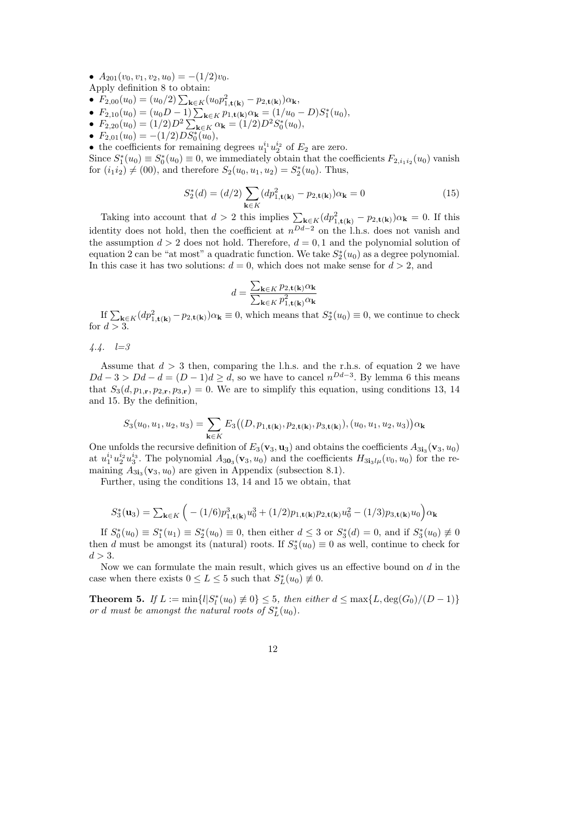•  $A_{201}(v_0, v_1, v_2, u_0) = -(1/2)v_0.$ 

Apply definition 8 to obtain:

- $F_{2,00}(u_0) = (u_0/2) \sum_{\mathbf{k} \in K} (u_0 p_{1,\mathbf{t}(\mathbf{k})}^2 p_{2,\mathbf{t}(\mathbf{k})}) \alpha_{\mathbf{k}},$
- $F_{2,10}(u_0) = (u_0 D 1) \sum_{\mathbf{k} \in K} p_{1,\mathbf{t}(\mathbf{k})} \alpha_{\mathbf{k}} = (1/u_0 D) S_1^*(u_0),$
- $F_{2,20}(u_0) = (1/2)D^2 \sum_{\mathbf{k} \in K} \alpha_{\mathbf{k}} = (1/2)D^2 S_0^*(u_0),$
- $F_{2,01}(u_0) = -(1/2)DS_0^*(u_0),$

• the coefficients for remaining degrees  $u_1^{i_1} u_2^{i_2}$  of  $E_2$  are zero.

Since  $S_1^*(u_0) \equiv S_0^*(u_0) \equiv 0$ , we immediately obtain that the coefficients  $F_{2,i_1i_2}(u_0)$  vanish for  $(i_1 i_2) \neq (00)$ , and therefore  $S_2(u_0, u_1, u_2) = S_2^*(u_0)$ . Thus,

$$
S_2^*(d) = (d/2) \sum_{\mathbf{k} \in K} (dp_{1,\mathbf{t}(\mathbf{k})}^2 - p_{2,\mathbf{t}(\mathbf{k})}) \alpha_{\mathbf{k}} = 0
$$
 (15)

Taking into account that  $d > 2$  this implies  $\sum_{\mathbf{k} \in K} (dp_{1,\mathbf{t}(\mathbf{k})}^2 - p_{2,\mathbf{t}(\mathbf{k})}) \alpha_{\mathbf{k}} = 0$ . If this identity does not hold, then the coefficient at  $n^{Dd-2}$  on the l.h.s. does not vanish and the assumption  $d > 2$  does not hold. Therefore,  $d = 0, 1$  and the polynomial solution of equation 2 can be "at most" a quadratic function. We take  $S_2^*(u_0)$  as a degree polynomial. In this case it has two solutions:  $d = 0$ , which does not make sense for  $d > 2$ , and

$$
d = \frac{\sum_{\mathbf{k} \in K} p_{2,\mathbf{t}(\mathbf{k})} \alpha_{\mathbf{k}}}{\sum_{\mathbf{k} \in K} p_{1,\mathbf{t}(\mathbf{k})}^2 \alpha_{\mathbf{k}}}
$$

If  $\sum_{\mathbf{k}\in K} (dp_{1,\mathbf{t}(\mathbf{k})}^2 - p_{2,\mathbf{t}(\mathbf{k})}) \alpha_{\mathbf{k}} \equiv 0$ , which means that  $S_2^*(u_0) \equiv 0$ , we continue to check for  $d > 3$ .

 $4.4. \quad l=3$ 

Assume that  $d > 3$  then, comparing the l.h.s. and the r.h.s. of equation 2 we have  $Dd-3 > Dd-d = (D-1)d \ge d$ , so we have to cancel  $n^{Dd-3}$ . By lemma 6 this means that  $S_3(d, p_{1,\mathbf{r}}, p_{2,\mathbf{r}}, p_{3,\mathbf{r}}) = 0$ . We are to simplify this equation, using conditions 13, 14 and 15. By the definition,

$$
S_3(u_0,u_1,u_2,u_3)=\sum_{{\bf k}\in K}E_3\bigl((D,p_{1,{\bf t}({\bf k})},p_{2,{\bf t}({\bf k})},p_{3,{\bf t}({\bf k})}), (u_0,u_1,u_2,u_3)\bigr)\alpha_{\bf k}
$$

One unfolds the recursive definition of  $E_3$ (**v**<sub>3</sub>, **u**<sub>3</sub>) and obtains the coefficients  $A_{3i_3}$ (**v**<sub>3</sub>, *u*<sub>0</sub>) at  $u_1^{i_1}u_2^{i_2}u_3^{i_3}$ . The polynomial  $A_{30_3}(v_3, u_0)$  and the coefficients  $H_{3i_3l}\mu(v_0, u_0)$  for the remaining  $A_{3i_3}(\mathbf{v}_3, u_0)$  are given in Appendix (subsection 8.1).

Further, using the conditions 13, 14 and 15 we obtain, that

$$
S_3^*(\mathbf{u}_3) = \sum_{\mathbf{k} \in K} \Big( - (1/6)p_{1,\mathbf{t}(\mathbf{k})}^3 u_0^3 + (1/2)p_{1,\mathbf{t}(\mathbf{k})}p_{2,\mathbf{t}(\mathbf{k})}u_0^2 - (1/3)p_{3,\mathbf{t}(\mathbf{k})}u_0 \Big) \alpha_{\mathbf{k}}
$$

If  $S_0^*(u_0) \equiv S_1^*(u_1) \equiv S_2^*(u_0) \equiv 0$ , then either  $d \leq 3$  or  $S_3^*(d) = 0$ , and if  $S_3^*(u_0) \not\equiv 0$ then d must be amongst its (natural) roots. If  $S_3^*(u_0) \equiv 0$  as well, continue to check for  $d > 3$ .

Now we can formulate the main result, which gives us an effective bound on d in the case when there exists  $0 \le L \le 5$  such that  $S_L^*(u_0) \neq 0$ .

**Theorem 5.** If  $L := min\{l | S_l^*(u_0) \neq 0\}$  ≤ 5, then either  $d ≤ max\{L, deg(G_0)/(D-1)\}$ or d must be amongst the natural roots of  $S_L^*(u_0)$ .

12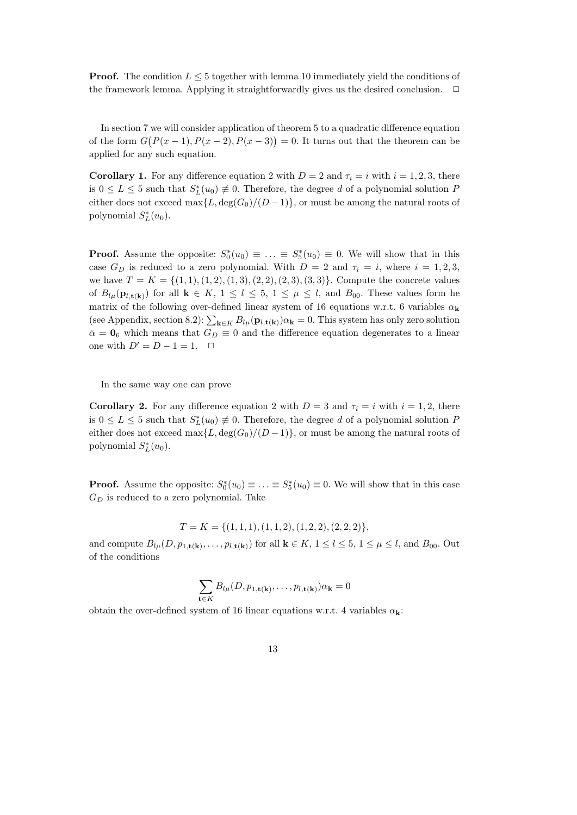**Proof.** The condition  $L \leq 5$  together with lemma 10 immediately yield the conditions of the framework lemma. Applying it straightforwardly gives us the desired conclusion.  $\Box$ 

In section 7 we will consider application of theorem 5 to a quadratic difference equation of the form  $G(P(x-1), P(x-2), P(x-3)) = 0$ . It turns out that the theorem can be applied for any such equation.

**Corollary 1.** For any difference equation 2 with  $D = 2$  and  $\tau_i = i$  with  $i = 1, 2, 3$ , there is  $0 \le L \le 5$  such that  $S_L^*(u_0) \neq 0$ . Therefore, the degree d of a polynomial solution P either does not exceed max $\{L, \deg(G_0)/(D-1)\}\$ , or must be among the natural roots of polynomial  $S_L^*(u_0)$ .

**Proof.** Assume the opposite:  $S_0^*(u_0) \equiv \ldots \equiv S_5^*(u_0) \equiv 0$ . We will show that in this case  $G_D$  is reduced to a zero polynomial. With  $D = 2$  and  $\tau_i = i$ , where  $i = 1, 2, 3$ , we have  $T = K = \{(1, 1), (1, 2), (1, 3), (2, 2), (2, 3), (3, 3)\}.$  Compute the concrete values of  $B_{l\mu}(\mathbf{p}_{l,t(k)})$  for all  $\mathbf{k} \in K$ ,  $1 \leq l \leq 5$ ,  $1 \leq \mu \leq l$ , and  $B_{00}$ . These values form he matrix of the following over-defined linear system of 16 equations w.r.t. 6 variables  $\alpha_{\mathbf{k}}$ (see Appendix, section 8.2):  $\sum_{\mathbf{k}\in K} B_{l\mu}(\mathbf{p}_{l,\mathbf{t}(\mathbf{k})})\alpha_{\mathbf{k}} = 0$ . This system has only zero solution  $\bar{\alpha} = 0_6$  which means that  $G_D \equiv 0$  and the difference equation degenerates to a linear one with  $D' = D - 1 = 1$ .  $\Box$ 

In the same way one can prove

**Corollary 2.** For any difference equation 2 with  $D = 3$  and  $\tau_i = i$  with  $i = 1, 2$ , there is  $0 \le L \le 5$  such that  $S_L^*(u_0) \neq 0$ . Therefore, the degree d of a polynomial solution P either does not exceed max $\{L, \deg(G_0)/(D-1)\}\$ , or must be among the natural roots of polynomial  $S_L^*(u_0)$ .

**Proof.** Assume the opposite:  $S_0^*(u_0) \equiv \ldots \equiv S_5^*(u_0) \equiv 0$ . We will show that in this case  $G_D$  is reduced to a zero polynomial. Take

$$
T = K = \{ (1, 1, 1), (1, 1, 2), (1, 2, 2), (2, 2, 2) \},
$$

and compute  $B_{l\mu}(D, p_{1,\mathbf{t}(\mathbf{k})}, \ldots, p_{l,\mathbf{t}(\mathbf{k})})$  for all  $\mathbf{k} \in K$ ,  $1 \leq l \leq 5$ ,  $1 \leq \mu \leq l$ , and  $B_{00}$ . Out of the conditions

$$
\sum_{\mathbf{t}\in K} B_{l\mu}(D, p_{1,\mathbf{t}(\mathbf{k})}, \dots, p_{l,\mathbf{t}(\mathbf{k})}) \alpha_{\mathbf{k}} = 0
$$

obtain the over-defined system of 16 linear equations w.r.t. 4 variables  $\alpha_k$ .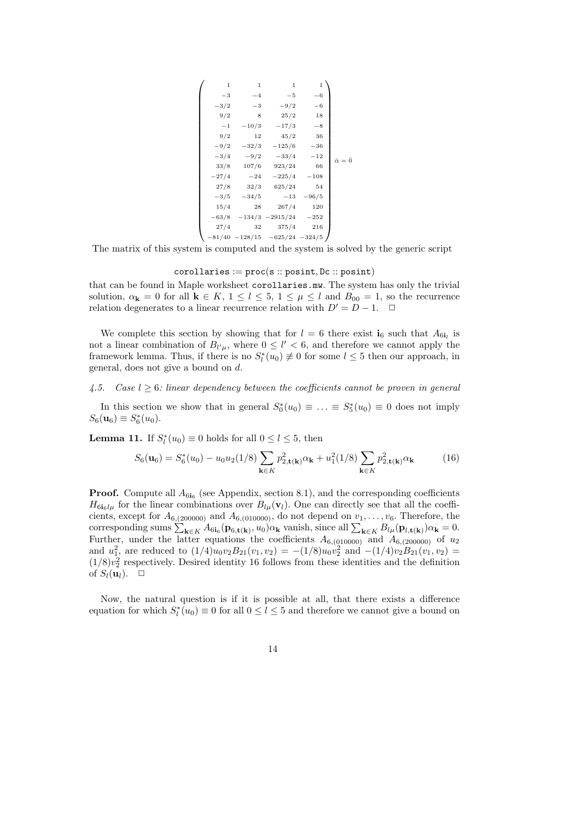$$
\left(\begin{array}{ccccc} 1 & 1 & 1 & 1 \\ -3 & -4 & -5 & -6 \\ -3/2 & -3 & -9/2 & -6 \\ 9/2 & 8 & 25/2 & 18 \\ -1 & -10/3 & -17/3 & -8 \\ 9/2 & 12 & 45/2 & 36 \\ -9/2 & -32/3 & -125/6 & -36 \\ -3/4 & -9/2 & -33/4 & -12 \\ 33/8 & 107/6 & 923/24 & 66 \\ -27/4 & -24 & -225/4 & -108 \\ 27/8 & 32/3 & 625/24 & 54 \\ -3/5 & -34/5 & -13 & -96/5 \\ 15/4 & 28 & 267/4 & 120 \\ -63/8 & -134/3 & -2915/24 & -252 \\ 27/4 & 32 & 375/4 & 216 \\ -81/40 & -128/15 & -625/24 & -324/5 \end{array}\right)
$$

The matrix of this system is computed and the system is solved by the generic script

## $corollaries := proc(s::posit, Dc::posit)$

that can be found in Maple worksheet corollaries.mw. The system has only the trivial solution,  $\alpha_{\mathbf{k}} = 0$  for all  $\mathbf{k} \in K$ ,  $1 \leq l \leq 5$ ,  $1 \leq \mu \leq l$  and  $B_{00} = 1$ , so the recurrence relation degenerates to a linear recurrence relation with  $D' = D - 1$ .  $\Box$ 

We complete this section by showing that for  $l = 6$  there exist  $\mathbf{i}_6$  such that  $A_{6\mathbf{i}_l}$  is not a linear combination of  $B_{l^{\prime}\mu}$ , where  $0 \leq l^{\prime} < 6$ , and therefore we cannot apply the framework lemma. Thus, if there is no  $S_l^*(u_0) \neq 0$  for some  $l \leq 5$  then our approach, in general, does not give a bound on d.

## 4.5. Case  $l > 6$ : linear dependency between the coefficients cannot be proven in general

In this section we show that in general  $S_0^*(u_0) \equiv \ldots \equiv S_5^*(u_0) \equiv 0$  does not imply  $S_6(\mathbf{u}_6) \equiv S_6^*(u_0).$ 

**Lemma 11.** If  $S_l^*(u_0) \equiv 0$  holds for all  $0 \le l \le 5$ , then

$$
S_6(\mathbf{u}_6) = S_6^*(u_0) - u_0 u_2(1/8) \sum_{\mathbf{k} \in K} p_{2, \mathbf{t}(\mathbf{k})}^2 \alpha_{\mathbf{k}} + u_1^2(1/8) \sum_{\mathbf{k} \in K} p_{2, \mathbf{t}(\mathbf{k})}^2 \alpha_{\mathbf{k}} \tag{16}
$$

**Proof.** Compute all  $A_{6i_6}$  (see Appendix, section 8.1), and the corresponding coefficients  $H_{6i_6l\mu}$  for the linear combinations over  $B_{l\mu}(\mathbf{v}_l)$ . One can directly see that all the coefficients, except for  $A_{6,(200000)}$  and  $A_{6,(010000)}$ , do not depend on  $v_1, \ldots, v_6$ . Therefore, the corresponding sums  $\sum_{\mathbf{k}\in K} A_{6i_6}(\mathbf{p}_{6,\mathbf{t}(\mathbf{k})},u_0)\alpha_{\mathbf{k}}$  vanish, since all  $\sum_{\mathbf{k}\in K} B_{l\mu}(\mathbf{p}_{l,\mathbf{t}(\mathbf{k})})\alpha_{\mathbf{k}}=0$ . Further, under the latter equations the coefficients  $A_{6,(010000)}$  and  $A_{6,(200000)}$  of  $u_2$ and  $u_1^2$ , are reduced to  $(1/4)u_0v_2B_{21}(v_1, v_2) = -(1/8)u_0v_2^2$  and  $-(1/4)v_2B_{21}(v_1, v_2)$  $(1/8)v_2^2$  respectively. Desired identity 16 follows from these identities and the definition of  $S_l(\mathbf{u}_l)$ .  $\Box$ 

Now, the natural question is if it is possible at all, that there exists a difference equation for which  $S_l^*(u_0) \equiv 0$  for all  $0 \le l \le 5$  and therefore we cannot give a bound on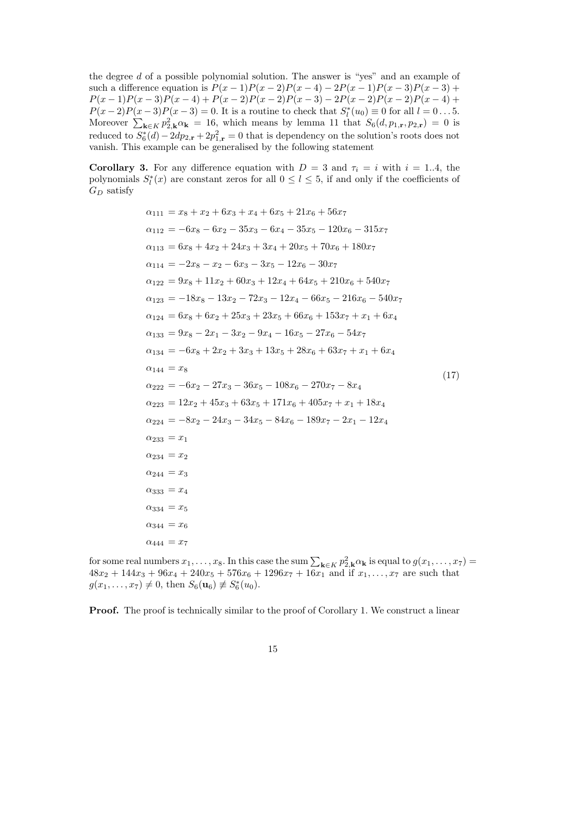the degree d of a possible polynomial solution. The answer is "yes" and an example of such a difference equation is  $P(x-1)P(x-2)P(x-4) - 2P(x-1)P(x-3)P(x-3) +$  $P(x-1)P(x-3)P(x-4) + P(x-2)P(x-2)P(x-3) - 2P(x-2)P(x-2)P(x-4) +$  $P(x-2)P(x-3)P(x-3) = 0$ . It is a routine to check that  $S_l^*(u_0) \equiv 0$  for all  $l = 0...5$ . Moreover  $\sum_{\mathbf{k}\in K} p_{2,\mathbf{k}}^2 \alpha_{\mathbf{k}} = 16$ , which means by lemma 11 that  $S_6(d, p_{1,\mathbf{r}}, p_{2,\mathbf{r}}) = 0$  is reduced to  $S_6^*(d) - 2dp_{2,\mathbf{r}} + 2p_{1,\mathbf{r}}^2 = 0$  that is dependency on the solution's roots does not vanish. This example can be generalised by the following statement

Corollary 3. For any difference equation with  $D = 3$  and  $\tau_i = i$  with  $i = 1..4$ , the polynomials  $S_l^*(x)$  are constant zeros for all  $0 \le l \le 5$ , if and only if the coefficients of  $G_D$  satisfy

$$
\alpha_{111} = x_8 + x_2 + 6x_3 + x_4 + 6x_5 + 21x_6 + 56x_7
$$
  
\n
$$
\alpha_{112} = -6x_8 - 6x_2 - 35x_3 - 6x_4 - 35x_5 - 120x_6 - 315x_7
$$
  
\n
$$
\alpha_{113} = 6x_8 + 4x_2 + 24x_3 + 3x_4 + 20x_5 + 70x_6 + 180x_7
$$
  
\n
$$
\alpha_{114} = -2x_8 - x_2 - 6x_3 - 3x_5 - 12x_6 - 30x_7
$$
  
\n
$$
\alpha_{122} = 9x_8 + 11x_2 + 60x_3 + 12x_4 + 64x_5 + 210x_6 + 540x_7
$$
  
\n
$$
\alpha_{123} = -18x_8 - 13x_2 - 72x_3 - 12x_4 - 66x_5 - 216x_6 - 540x_7
$$
  
\n
$$
\alpha_{124} = 6x_8 + 6x_2 + 25x_3 + 23x_5 + 66x_6 + 153x_7 + x_1 + 6x_4
$$
  
\n
$$
\alpha_{133} = 9x_8 - 2x_1 - 3x_2 - 9x_4 - 16x_5 - 27x_6 - 54x_7
$$
  
\n
$$
\alpha_{134} = -6x_8 + 2x_2 + 3x_3 + 13x_5 + 28x_6 + 63x_7 + x_1 + 6x_4
$$
  
\n
$$
\alpha_{144} = x_8
$$
  
\n
$$
\alpha_{222} = -6x_2 - 27x_3 - 36x_5 - 108x_6 - 270x_7 - 8x_4
$$
  
\n
$$
\alpha_{223} = 12x_2 + 45x_3 + 63x_5 + 171x_6 + 405x_7 + x_1 + 18x_4
$$
  
\n
$$
\alpha_{224} = -8x_2 - 24x_3 - 34x_5 - 84x_6 -
$$

for some real numbers  $x_1, \ldots, x_8$ . In this case the sum  $\sum_{\mathbf{k}\in K} p_{2,\mathbf{k}}^2 \alpha_{\mathbf{k}}$  is equal to  $g(x_1, \ldots, x_7)$  $48x_2 + 144x_3 + 96x_4 + 240x_5 + 576x_6 + 1296x_7 + 16x_1$  and if  $x_1, \ldots, x_7$  are such that  $g(x_1, \ldots, x_7) \neq 0$ , then  $S_6(\mathbf{u}_6) \not\equiv S_6^*(u_0)$ .

**Proof.** The proof is technically similar to the proof of Corollary 1. We construct a linear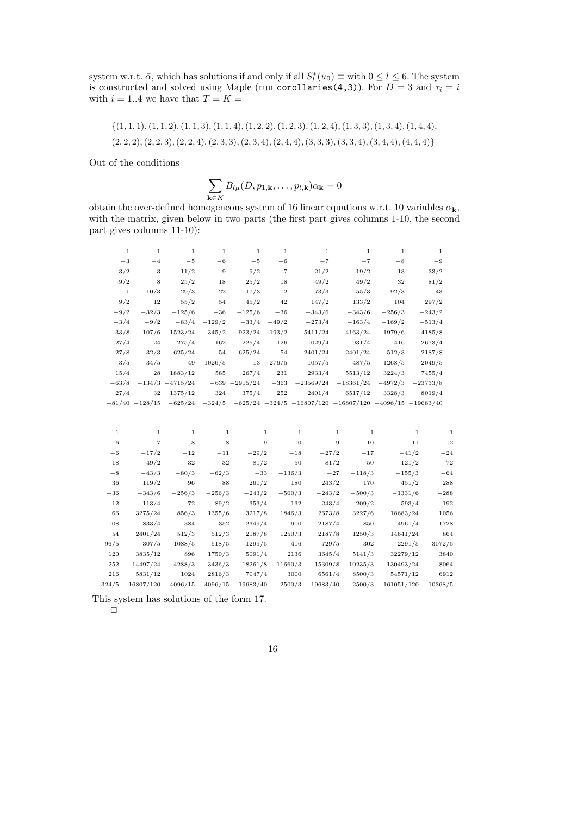system w.r.t.  $\bar{\alpha}$ , which has solutions if and only if all  $S_l^*(u_0) \equiv \text{with } 0 \le l \le 6$ . The system is constructed and solved using Maple (run corollaries(4,3)). For  $D = 3$  and  $\tau_i = i$ with  $i = 1..4$  we have that  $T = K =$ 

$$
\{(1,1,1),(1,1,2),(1,1,3),(1,1,4),(1,2,2),(1,2,3),(1,2,4),(1,3,3),(1,3,4),(1,4,4),(2,2,2),(2,2,3),(2,2,4),(2,3,3),(2,3,4),(3,3,3),(3,3,4),(3,4,4),(4,4,4)\}
$$

Out of the conditions

$$
\sum_{\mathbf{k}\in K}B_{l\mu}(D,p_{1,\mathbf{k}},\ldots,p_{l,\mathbf{k}})\alpha_{\mathbf{k}}=0
$$

obtain the over-defined homogeneous system of 16 linear equations w.r.t. 10 variables  $\alpha_{\mathbf{k}}$ , with the matrix, given below in two parts (the first part gives columns 1-10, the second part gives columns 11-10):

| $\mathbf{1}$ | $\mathbf{1}$       | $\mathbf{1}$        | $\mathbf{1}$    | $\mathbf{1}$     | $\mathbf{1}$  | $\mathbf{1}$                    | $\mathbf{1}$ | $\mathbf{1}$ | $\mathbf{1}$ |
|--------------|--------------------|---------------------|-----------------|------------------|---------------|---------------------------------|--------------|--------------|--------------|
| $-3$         | $-4$               | $-5$                | $-6$            | $-5$             | $-6$          | $-7$                            | $-7$         | $-8$         | $-9$         |
| $-3/2$       | $-3$               | $-11/2$             | $-9$            | $-9/2$           | $-7$          | $-21/2$                         | $-19/2$      | $^{-13}$     | $-33/2$      |
| 9/2          | 8                  | 25/2                | 18              | 25/2             | 18            | 49/2                            | 49/2         | 32           | 81/2         |
| $^{-1}$      | $-10/3$            | $-29/3$             | $-22$           | $-17/3$          | $-12$         | $-73/3$                         | $-55/3$      | $-92/3$      | $-43$        |
| 9/2          | 12                 | 55/2                | 54              | 45/2             | 42            | 147/2                           | 133/2        | 104          | 297/2        |
| $-9/2$       | $-32/3$            | $-125/6$            | $-36$           | $-125/6$         | $-36$         | $-343/6$                        | $-343/6$     | $-256/3$     | $-243/2$     |
| $-3/4$       | $-9/2$             | $-83/4$             | $-129/2$        | $-33/4$          | $-49/2$       | $-273/4$                        | $-163/4$     | $-169/2$     | $-513/4$     |
| 33/8         | 107/6              | 1523/24             | 345/2           | 923/24           | 193/2         | 5411/24                         | 4163/24      | 1979/6       | 4185/8       |
| $-27/4$      | $-24$              | $-275/4$            | $-162$          | $-225/4$         | $-126$        | $-1029/4$                       | $-931/4$     | $-416$       | $-2673/4$    |
| 27/8         | 32/3               | 625/24              | 54              | 625/24           | 54            | 2401/24                         | 2401/24      | 512/3        | 2187/8       |
| $-3/5$       | $-34/5$            |                     | $-49$ $-1026/5$ |                  | $-13 - 276/5$ | $-1057/5$                       | $-487/5$     | $-1268/5$    | $-2049/5$    |
| 15/4         | 28                 | 1883/12             | 585             | 267/4            | 231           | 2933/4                          | 5513/12      | 3224/3       | 7455/4       |
| $-63/8$      |                    | $-134/3$ $-4715/24$ |                 | $-639 - 2915/24$ | $-363$        | $-23569/24$                     | $-18361/24$  | $-4972/3$    | $-23733/8$   |
| 27/4         | 32                 | 1375/12             | 324             | 375/4            | 252           | 2401/4                          | 6517/12      | 3328/3       | 8019/4       |
|              | $-81/40$ $-128/15$ | $-625/24$           | $-324/5$        |                  |               | $-625/24$ $-324/5$ $-16807/120$ | $-16807/120$ | $-4096/15$   | $-19683/40$  |
|              |                    |                     |                 |                  |               |                                 |              |              |              |

| 1       | 1                                                       | 1         | $\mathbf{1}$ | 1         | $\mathbf{1}$          | 1                     | 1          | 1                                  | $\mathbf{1}$ |
|---------|---------------------------------------------------------|-----------|--------------|-----------|-----------------------|-----------------------|------------|------------------------------------|--------------|
| $-6$    | $-7$                                                    | $-8$      | $-8$         | $-9$      | $-10$                 | $-9$                  | $-10$      | $-11$                              | $-12$        |
| $-6$    | $-17/2$                                                 | $-12$     | $^{-11}$     | $-29/2$   | $-18$                 | $-27/2$               | $-17$      | $-41/2$                            | $^{-24}$     |
| 18      | 49/2                                                    | 32        | 32           | 81/2      | 50                    | 81/2                  | 50         | 121/2                              | 72           |
| $-8$    | $-43/3$                                                 | $-80/3$   | $-62/3$      | $-33$     | $-136/3$              | $-27$                 | $-118/3$   | $-155/3$                           | $-64$        |
| 36      | 119/2                                                   | 96        | 88           | 261/2     | 180                   | 243/2                 | 170        | 451/2                              | 288          |
| $-36$   | $-343/6$                                                | $-256/3$  | $-256/3$     | $-243/2$  | $-500/3$              | $-243/2$              | $-500/3$   | $-1331/6$                          | $-288$       |
| $-12$   | $-113/4$                                                | $-72$     | $-89/2$      | $-353/4$  | $-132$                | $-243/4$              | $-209/2$   | $-593/4$                           | $-192$       |
| 66      | 3275/24                                                 | 856/3     | 1355/6       | 3217/8    | 1846/3                | 2673/8                | 3227/6     | 18683/24                           | 1056         |
| $-108$  | $-833/4$                                                | $-384$    | $-352$       | $-2349/4$ | $-900$                | $-2187/4$             | $-850$     | $-4961/4$                          | $-1728$      |
| 54      | 2401/24                                                 | 512/3     | 512/3        | 2187/8    | 1250/3                | 2187/8                | 1250/3     | 14641/24                           | 864          |
| $-96/5$ | $-307/5$                                                | $-1088/5$ | $-518/5$     | $-1299/5$ | $-416$                | $-729/5$              | $-302$     | $-2291/5$                          | $-3072/5$    |
| 120     | 3835/12                                                 | 896       | 1750/3       | 5091/4    | 2136                  | 3645/4                | 5141/3     | 32279/12                           | 3840         |
| $-252$  | $-14497/24$                                             | $-4288/3$ | $-3436/3$    |           | $-18261/8$ $-11660/3$ | $-15309/8$            | $-10235/3$ | $-130493/24$                       | $-8064$      |
| 216     | 5831/12                                                 | 1024      | 2816/3       | 7047/4    | 3000                  | 6561/4                | 8500/3     | 54571/12                           | 6912         |
|         | $-324/5$ $-16807/120$ $-4096/15$ $-4096/15$ $-19683/40$ |           |              |           |                       | $-2500/3$ $-19683/40$ |            | $-2500/3$ $-161051/120$ $-10368/5$ |              |

This system has solutions of the form 17.

 $\Box$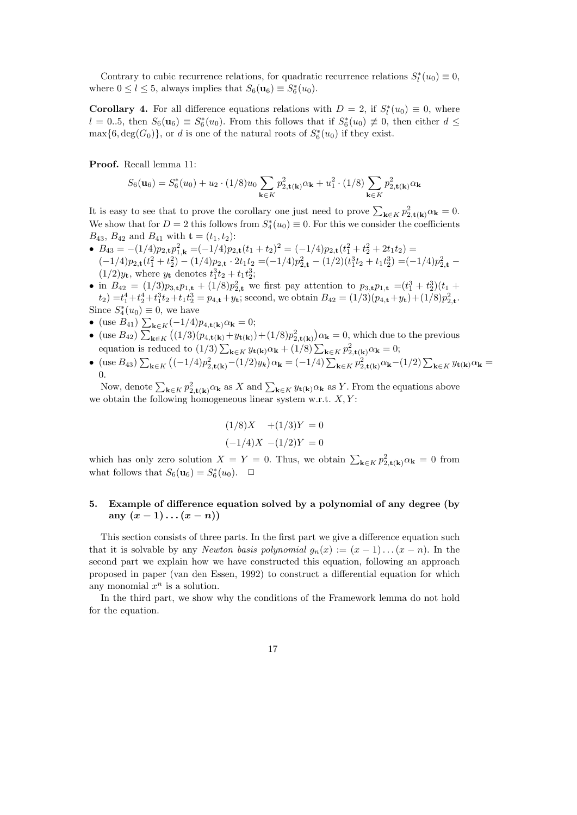Contrary to cubic recurrence relations, for quadratic recurrence relations  $S_l^*(u_0) \equiv 0$ , where  $0 \le l \le 5$ , always implies that  $S_6(\mathbf{u}_6) \equiv S_6^*(u_0)$ .

**Corollary 4.** For all difference equations relations with  $D = 2$ , if  $S_l^*(u_0) \equiv 0$ , where  $l = 0..5$ , then  $S_6(\mathbf{u}_6) \equiv S_6^*(u_0)$ . From this follows that if  $S_6^*(u_0) \not\equiv 0$ , then either  $d \leq$  $\max\{6, \deg(G_0)\}\$ , or d is one of the natural roots of  $S_6^*(u_0)$  if they exist.

Proof. Recall lemma 11:

$$
S_6(\mathbf{u}_6) = S_6^*(u_0) + u_2 \cdot (1/8)u_0 \sum_{\mathbf{k} \in K} p_{2,\mathbf{t}(\mathbf{k})}^2 \alpha_{\mathbf{k}} + u_1^2 \cdot (1/8) \sum_{\mathbf{k} \in K} p_{2,\mathbf{t}(\mathbf{k})}^2 \alpha_{\mathbf{k}}
$$

It is easy to see that to prove the corollary one just need to prove  $\sum_{\mathbf{k}\in K} p_{2,\mathbf{t}(\mathbf{k})}^2 \alpha_{\mathbf{k}} = 0$ . We show that for  $D=2$  this follows from  $S_4^*(u_0) \equiv 0$ . For this we consider the coefficients  $B_{43}$ ,  $B_{42}$  and  $B_{41}$  with  $\mathbf{t} = (t_1, t_2)$ :

- $B_{43} = -(1/4)p_{2,\mathbf{t}}p_{1,\mathbf{k}}^2 = (-1/4)p_{2,\mathbf{t}}(t_1+t_2)^2 = (-1/4)p_{2,\mathbf{t}}(t_1^2+t_2^2+2t_1t_2) =$  $(-1/4)p_{2,\mathbf{t}}(t_1^2+t_2^2) - (1/4)p_{2,\mathbf{t}} \cdot 2t_1t_2 = (-1/4)p_{2,\mathbf{t}}^2 - (1/2)(t_1^3t_2+t_1t_2^3) = (-1/4)p_{2,\mathbf{t}}^2 (1/2)y_t$ , where  $y_t$  denotes  $t_1^3t_2 + t_1t_2^3$ ;
- in  $B_{42} = (1/3)p_{3,t}p_{1,t} + (1/8)p_{2,t}^2$  we first pay attention to  $p_{3,t}p_{1,t} = (t_1^3 + t_2^3)(t_1 +$  $(t_2) = t_1^4 + t_2^4 + t_1^3 t_2 + t_1 t_2^3 = p_{4,t} + y_t$ ; second, we obtain  $B_{42} = (1/3)(p_{4,t} + y_t) + (1/8)p_{2,t}^2$ . Since  $S_4^*(u_0) \equiv 0$ , we have
- (use  $B_{41}$ )  $\sum_{\mathbf{k} \in K} (-1/4) p_{4,\mathbf{t}(\mathbf{k})} \alpha_{\mathbf{k}} = 0;$
- (use  $B_{42}$ )  $\sum_{\mathbf{k}\in K} ((1/3)(p_{4,\mathbf{t}(\mathbf{k})}+y_{\mathbf{t}(\mathbf{k})})+(1/8)p_{2,\mathbf{t}(\mathbf{k})}^2)\alpha_{\mathbf{k}}=0$ , which due to the previous equation is reduced to  $(1/3) \sum_{\mathbf{k} \in K} y_{\mathbf{t}(\mathbf{k})} \alpha_{\mathbf{k}} + (1/8) \sum_{\mathbf{k} \in K} p_{2,\mathbf{t}(\mathbf{k})}^2 \alpha_{\mathbf{k}} = 0;$
- (use  $B_{43}$ )  $\sum_{\mathbf{k}\in K}$   $((-1/4)p_{2,\mathbf{t}(\mathbf{k})}^2-(1/2)y_k)\alpha_{\mathbf{k}}=(-1/4)\sum_{\mathbf{k}\in K}p_{2,\mathbf{t}(\mathbf{k})}^2\alpha_{\mathbf{k}}-(1/2)\sum_{\mathbf{k}\in K}y_{\mathbf{t}(\mathbf{k})}\alpha_{\mathbf{k}}=$ 0.

Now, denote  $\sum_{k \in K} p_{2,t(k)}^2 \alpha_k$  as X and  $\sum_{k \in K} y_{t(k)} \alpha_k$  as Y. From the equations above we obtain the following homogeneous linear system w.r.t.  $X, Y$ :

$$
(1/8)X + (1/3)Y = 0
$$
  

$$
(-1/4)X - (1/2)Y = 0
$$

which has only zero solution  $X = Y = 0$ . Thus, we obtain  $\sum_{\mathbf{k} \in K} p_{2,\mathbf{t}(\mathbf{k})}^2 \alpha_{\mathbf{k}} = 0$  from what follows that  $S_6(\mathbf{u}_6) = S_6^*(u_0)$ .  $\Box$ 

## 5. Example of difference equation solved by a polynomial of any degree (by any  $(x-1)...(x-n)$

This section consists of three parts. In the first part we give a difference equation such that it is solvable by any *Newton basis polynomial*  $g_n(x) := (x - 1) \dots (x - n)$ . In the second part we explain how we have constructed this equation, following an approach proposed in paper (van den Essen, 1992) to construct a differential equation for which any monomial  $x^n$  is a solution.

In the third part, we show why the conditions of the Framework lemma do not hold for the equation.

17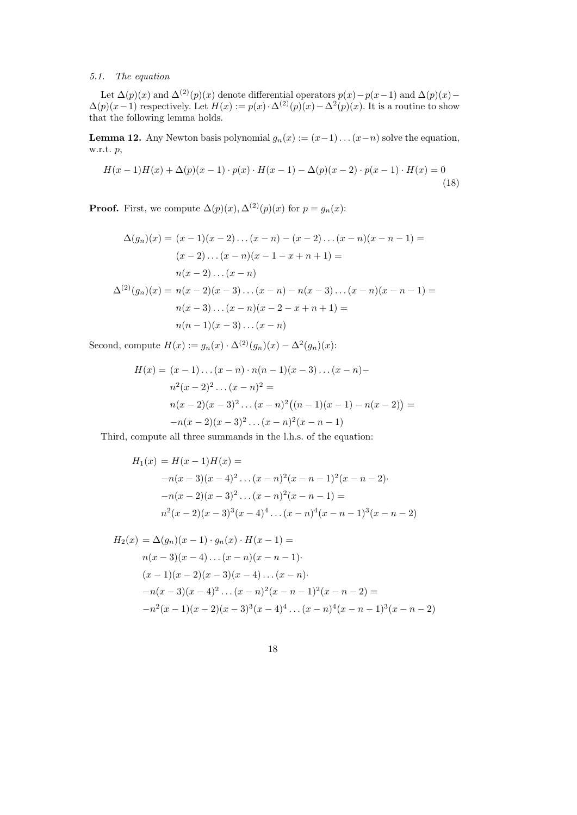## 5.1. The equation

Let  $\Delta(p)(x)$  and  $\Delta^{(2)}(p)(x)$  denote differential operators  $p(x)-p(x-1)$  and  $\Delta(p)(x)-p(x-1)$  $\Delta(p)(x-1)$  respectively. Let  $H(x) := p(x) \cdot \Delta^{(2)}(p)(x) - \Delta^{(2)}(p)(x)$ . It is a routine to show that the following lemma holds.

**Lemma 12.** Any Newton basis polynomial  $g_n(x) := (x-1)...(x-n)$  solve the equation, w.r.t. p,

$$
H(x-1)H(x) + \Delta(p)(x-1) \cdot p(x) \cdot H(x-1) - \Delta(p)(x-2) \cdot p(x-1) \cdot H(x) = 0
$$
\n(18)

**Proof.** First, we compute  $\Delta(p)(x), \Delta^{(2)}(p)(x)$  for  $p = g_n(x)$ :

$$
\Delta(g_n)(x) = (x - 1)(x - 2) \dots (x - n) - (x - 2) \dots (x - n)(x - n - 1) =
$$
  
\n
$$
(x - 2) \dots (x - n)(x - 1 - x + n + 1) =
$$
  
\n
$$
n(x - 2) \dots (x - n)
$$
  
\n
$$
\Delta^{(2)}(g_n)(x) = n(x - 2)(x - 3) \dots (x - n) - n(x - 3) \dots (x - n)(x - n - 1) =
$$
  
\n
$$
n(x - 3) \dots (x - n)(x - 2 - x + n + 1) =
$$
  
\n
$$
n(n - 1)(x - 3) \dots (x - n)
$$

Second, compute  $H(x) := g_n(x) \cdot \Delta^{(2)}(g_n)(x) - \Delta^{(2)}(g_n)(x)$ :

$$
H(x) = (x - 1) \dots (x - n) \cdot n(n - 1)(x - 3) \dots (x - n) -
$$
  
\n
$$
n^2(x - 2)^2 \dots (x - n)^2 =
$$
  
\n
$$
n(x - 2)(x - 3)^2 \dots (x - n)^2 ((n - 1)(x - 1) - n(x - 2)) =
$$
  
\n
$$
-n(x - 2)(x - 3)^2 \dots (x - n)^2 (x - n - 1)
$$

Third, compute all three summands in the l.h.s. of the equation:

$$
H_1(x) = H(x-1)H(x) =
$$
  
-n(x-3)(x-4)<sup>2</sup>...(x-n)<sup>2</sup>(x-n-1)<sup>2</sup>(x-n-2)  
-n(x-2)(x-3)<sup>2</sup>...(x-n)<sup>2</sup>(x-n-1) =  

$$
n^2(x-2)(x-3)^3(x-4)^4...(x-n)^4(x-n-1)^3(x-n-2)
$$

$$
H_2(x) = \Delta(g_n)(x-1) \cdot g_n(x) \cdot H(x-1) =
$$
  
\n
$$
n(x-3)(x-4) \dots (x-n)(x-n-1)
$$
  
\n
$$
(x-1)(x-2)(x-3)(x-4) \dots (x-n)
$$
  
\n
$$
-n(x-3)(x-4)^2 \dots (x-n)^2(x-n-1)^2(x-n-2) =
$$
  
\n
$$
-n^2(x-1)(x-2)(x-3)^3(x-4)^4 \dots (x-n)^4(x-n-1)^3(x-n-2)
$$

18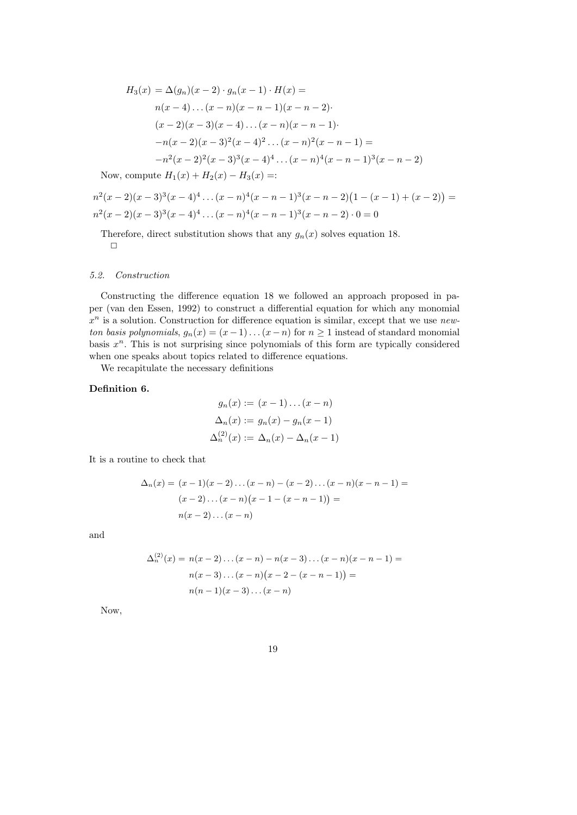$$
H_3(x) = \Delta(g_n)(x-2) \cdot g_n(x-1) \cdot H(x) =
$$
  
\n
$$
n(x-4) \dots (x-n)(x-n-1)(x-n-2)
$$
  
\n
$$
(x-2)(x-3)(x-4) \dots (x-n)(x-n-1)
$$
  
\n
$$
-n(x-2)(x-3)^2(x-4)^2 \dots (x-n)^2(x-n-1) =
$$
  
\n
$$
-n^2(x-2)^2(x-3)^3(x-4)^4 \dots (x-n)^4(x-n-1)^3(x-n-2)
$$

Now, compute  $H_1(x) + H_2(x) - H_3(x) =$ :

$$
n^{2}(x-2)(x-3)^{3}(x-4)^{4}\dots(x-n)^{4}(x-n-1)^{3}(x-n-2)(1-(x-1)+(x-2)) =
$$
  

$$
n^{2}(x-2)(x-3)^{3}(x-4)^{4}\dots(x-n)^{4}(x-n-1)^{3}(x-n-2) \cdot 0 = 0
$$

Therefore, direct substitution shows that any  $g_n(x)$  solves equation 18.  $\Box$ 

## 5.2. Construction

Constructing the difference equation 18 we followed an approach proposed in paper (van den Essen, 1992) to construct a differential equation for which any monomial  $x^n$  is a solution. Construction for difference equation is similar, except that we use newton basis polynomials,  $g_n(x) = (x-1)...(x-n)$  for  $n \ge 1$  instead of standard monomial basis  $x<sup>n</sup>$ . This is not surprising since polynomials of this form are typically considered when one speaks about topics related to difference equations.

We recapitulate the necessary definitions

## Definition 6.

$$
g_n(x) := (x - 1) \dots (x - n)
$$
  
\n
$$
\Delta_n(x) := g_n(x) - g_n(x - 1)
$$
  
\n
$$
\Delta_n^{(2)}(x) := \Delta_n(x) - \Delta_n(x - 1)
$$

It is a routine to check that

$$
\Delta_n(x) = (x-1)(x-2)\dots(x-n) - (x-2)\dots(x-n)(x-n-1) =
$$
  
\n
$$
(x-2)\dots(x-n)(x-1-(x-n-1)) =
$$
  
\n
$$
n(x-2)\dots(x-n)
$$

and

$$
\Delta_n^{(2)}(x) = n(x-2)\dots(x-n) - n(x-3)\dots(x-n)(x-n-1) =
$$
  
 
$$
n(x-3)\dots(x-n)(x-2-(x-n-1)) =
$$
  
 
$$
n(n-1)(x-3)\dots(x-n)
$$

Now,

19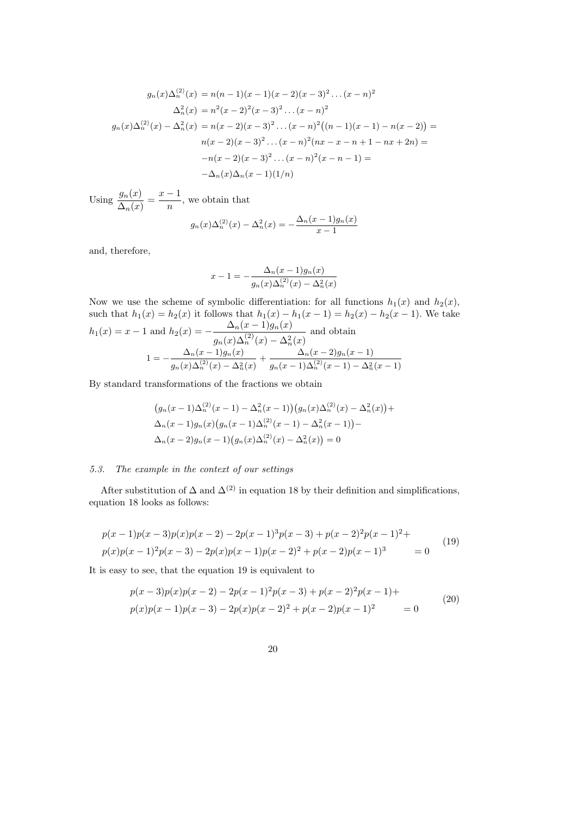$$
g_n(x)\Delta_n^{(2)}(x) = n(n-1)(x-1)(x-2)(x-3)^2 \dots (x-n)^2
$$
  
\n
$$
\Delta_n^2(x) = n^2(x-2)^2(x-3)^2 \dots (x-n)^2
$$
  
\n
$$
g_n(x)\Delta_n^{(2)}(x) - \Delta_n^2(x) = n(x-2)(x-3)^2 \dots (x-n)^2((n-1)(x-1) - n(x-2)) =
$$
  
\n
$$
n(x-2)(x-3)^2 \dots (x-n)^2(nx-x-n+1-nx+2n) =
$$
  
\n
$$
-n(x-2)(x-3)^2 \dots (x-n)^2(x-n-1) =
$$
  
\n
$$
-\Delta_n(x)\Delta_n(x-1)(1/n)
$$

Using  $\frac{g_n(x)}{\Delta_n(x)} = \frac{x-1}{n}$  $\frac{1}{n}$ , we obtain that

$$
g_n(x)\Delta_n^{(2)}(x) - \Delta_n^{2}(x) = -\frac{\Delta_n(x-1)g_n(x)}{x-1}
$$

and, therefore,

$$
x - 1 = -\frac{\Delta_n(x - 1)g_n(x)}{g_n(x)\Delta_n^{(2)}(x) - \Delta_n^{(2)}(x)}
$$

Now we use the scheme of symbolic differentiation: for all functions  $h_1(x)$  and  $h_2(x)$ , such that  $h_1(x) = h_2(x)$  it follows that  $h_1(x) - h_1(x - 1) = h_2(x) - h_2(x - 1)$ . We take  $h_1(x) = x - 1$  and  $h_2(x) = -\frac{\Delta_n(x-1)g_n(x)}{(x-1)(x-1)}$  $g_n(x)\Delta_n^{(2)}(x) - \Delta_n^{2}(x)$ and obtain  $1 = -\frac{\Delta_n(x-1)g_n(x)}{g_n(x)}$  $g_n(x)\Delta_n^{(2)}(x) - \Delta_n^{2}(x)$  $+\frac{\Delta_n(x-2)g_n(x-1)}{g_n(x-1)}$  $g_n(x-1)\Delta_n^{(2)}(x-1)-\Delta_n^2(x-1)$ 

By standard transformations of the fractions we obtain

$$
(g_n(x-1)\Delta_n^{(2)}(x-1) - \Delta_n^{2}(x-1))(g_n(x)\Delta_n^{(2)}(x) - \Delta_n^{2}(x)) +
$$
  

$$
\Delta_n(x-1)g_n(x)(g_n(x-1)\Delta_n^{(2)}(x-1) - \Delta_n^{2}(x-1)) -
$$
  

$$
\Delta_n(x-2)g_n(x-1)(g_n(x)\Delta_n^{(2)}(x) - \Delta_n^{2}(x)) = 0
$$

#### 5.3. The example in the context of our settings

After substitution of  $\Delta$  and  $\Delta^{(2)}$  in equation 18 by their definition and simplifications, equation 18 looks as follows:

$$
p(x-1)p(x-3)p(x)p(x-2) - 2p(x-1)^3p(x-3) + p(x-2)^2p(x-1)^2 +
$$
  
\n
$$
p(x)p(x-1)^2p(x-3) - 2p(x)p(x-1)p(x-2)^2 + p(x-2)p(x-1)^3 = 0
$$
\n(19)

It is easy to see, that the equation 19 is equivalent to

$$
p(x-3)p(x)p(x-2) - 2p(x-1)^2p(x-3) + p(x-2)^2p(x-1) +
$$
  
\n
$$
p(x)p(x-1)p(x-3) - 2p(x)p(x-2)^2 + p(x-2)p(x-1)^2 = 0
$$
\n(20)

20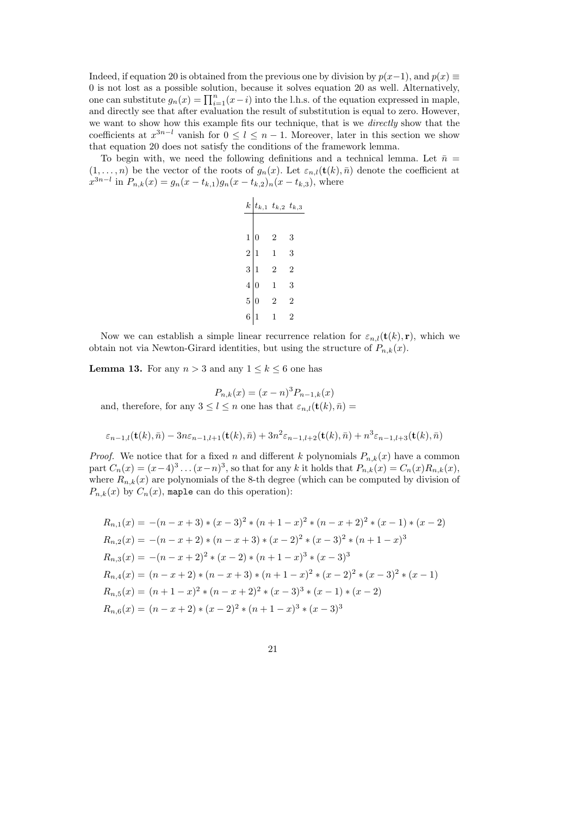Indeed, if equation 20 is obtained from the previous one by division by  $p(x-1)$ , and  $p(x) \equiv$ 0 is not lost as a possible solution, because it solves equation 20 as well. Alternatively, one can substitute  $g_n(x) = \prod_{i=1}^n (x-i)$  into the l.h.s. of the equation expressed in maple, and directly see that after evaluation the result of substitution is equal to zero. However, we want to show how this example fits our technique, that is we directly show that the coefficients at  $x^{3n-l}$  vanish for  $0 \leq l \leq n-1$ . Moreover, later in this section we show that equation 20 does not satisfy the conditions of the framework lemma.

To begin with, we need the following definitions and a technical lemma. Let  $\bar{n}$  =  $(1,\ldots,n)$  be the vector of the roots of  $g_n(x)$ . Let  $\varepsilon_{n,l}(\mathbf{t}(k),\bar{n})$  denote the coefficient at  $x^{3n-l}$  in  $P_{n,k}(x) = g_n(x - t_{k,1})g_n(x - t_{k,2})_n(x - t_{k,3})$ , where

| $k$ | $t_{k,1}$ | $t_{k,2}$ | $t_{k,3}$ |
|-----|-----------|-----------|-----------|
| 1   | 0         | 2         | 3         |
| 2   | 1         | 1         | 3         |
| 3   | 1         | 2         | 2         |
| 4   | 0         | 1         | 3         |
| 5   | 0         | 2         | 2         |
| 6   | 1         | 1         | 2         |

Now we can establish a simple linear recurrence relation for  $\varepsilon_{n,l}(\mathbf{t}(k), \mathbf{r})$ , which we obtain not via Newton-Girard identities, but using the structure of  $P_{n,k}(x)$ .

**Lemma 13.** For any  $n > 3$  and any  $1 \leq k \leq 6$  one has

$$
P_{n,k}(x) = (x - n)^3 P_{n-1,k}(x)
$$
  
and, therefore, for any  $3 \le l \le n$  one has that  $\varepsilon_{n,l}(\mathbf{t}(k), \bar{n}) =$ 

$$
\varepsilon_{n-1,l}(\mathbf{t}(k),\bar{n}) - 3n\varepsilon_{n-1,l+1}(\mathbf{t}(k),\bar{n}) + 3n^2\varepsilon_{n-1,l+2}(\mathbf{t}(k),\bar{n}) + n^3\varepsilon_{n-1,l+3}(\mathbf{t}(k),\bar{n})
$$

*Proof.* We notice that for a fixed n and different k polynomials  $P_{n,k}(x)$  have a common part  $C_n(x) = (x-4)^3 \dots (x-n)^3$ , so that for any k it holds that  $P_{n,k}(x) = C_n(x)R_{n,k}(x)$ , where  $R_{n,k}(x)$  are polynomials of the 8-th degree (which can be computed by division of  $P_{n,k}(x)$  by  $C_n(x)$ , maple can do this operation):

$$
R_{n,1}(x) = -(n-x+3)*(x-3)^2*(n+1-x)^2*(n-x+2)^2*(x-1)*(x-2)
$$
  
\n
$$
R_{n,2}(x) = -(n-x+2)*(n-x+3)*(x-2)^2*(x-3)^2*(n+1-x)^3
$$
  
\n
$$
R_{n,3}(x) = -(n-x+2)^2*(x-2)*(n+1-x)^3*(x-3)^3
$$
  
\n
$$
R_{n,4}(x) = (n-x+2)*(n-x+3)*(n+1-x)^2*(x-2)^2*(x-3)^2*(x-1)
$$
  
\n
$$
R_{n,5}(x) = (n+1-x)^2*(n-x+2)^2*(x-3)^3*(x-1)*(x-2)
$$
  
\n
$$
R_{n,6}(x) = (n-x+2)*(x-2)^2*(n+1-x)^3*(x-3)^3
$$

21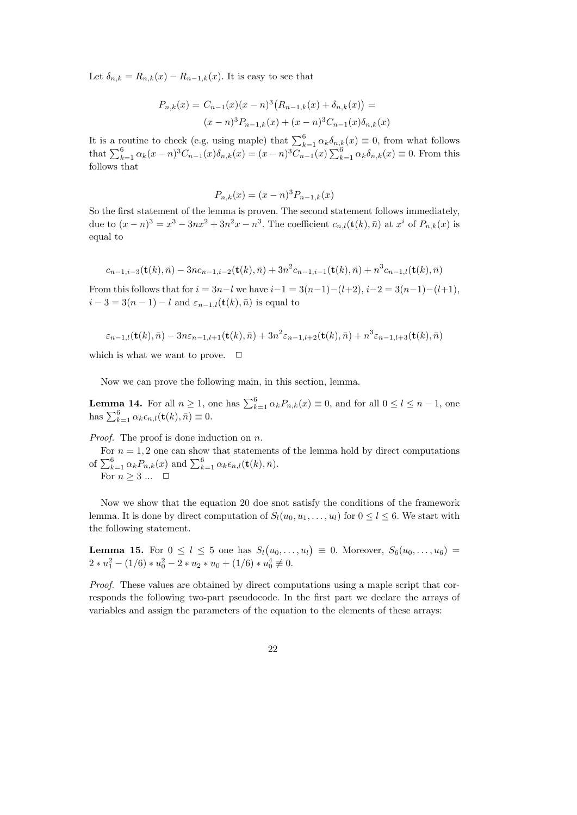Let  $\delta_{n,k} = R_{n,k}(x) - R_{n-1,k}(x)$ . It is easy to see that

$$
P_{n,k}(x) = C_{n-1}(x)(x-n)^3 (R_{n-1,k}(x) + \delta_{n,k}(x)) =
$$
  

$$
(x-n)^3 P_{n-1,k}(x) + (x-n)^3 C_{n-1}(x) \delta_{n,k}(x)
$$

It is a routine to check (e.g. using maple) that  $\sum_{k=1}^{6} \alpha_k \delta_{n,k}(x) \equiv 0$ , from what follows that  $\sum_{k=1}^{6} \alpha_k (x-n)^3 C_{n-1}(x) \delta_{n,k}(x) = (x-n)^3 C_{n-1}(x) \sum_{k=1}^{6} \alpha_k \delta_{n,k}(x) \equiv 0$ . From this follows that

$$
P_{n,k}(x) = (x - n)^3 P_{n-1,k}(x)
$$

So the first statement of the lemma is proven. The second statement follows immediately, due to  $(x - n)^3 = x^3 - 3nx^2 + 3n^2x - n^3$ . The coefficient  $c_{n,l}(\mathbf{t}(k), \bar{n})$  at  $x^i$  of  $P_{n,k}(x)$  is equal to

$$
c_{n-1,i-3}(\mathbf{t}(k),\bar{n}) - 3nc_{n-1,i-2}(\mathbf{t}(k),\bar{n}) + 3n^2c_{n-1,i-1}(\mathbf{t}(k),\bar{n}) + n^3c_{n-1,l}(\mathbf{t}(k),\bar{n})
$$

From this follows that for  $i = 3n-l$  we have  $i-1 = 3(n-1)-(l+2), i-2 = 3(n-1)-(l+1)$ ,  $i-3=3(n-1)-l$  and  $\varepsilon_{n-1,l}(\mathbf{t}(k),\bar{n})$  is equal to

$$
\varepsilon_{n-1,l}(\mathbf{t}(k),\bar{n})-3n\varepsilon_{n-1,l+1}(\mathbf{t}(k),\bar{n})+3n^2\varepsilon_{n-1,l+2}(\mathbf{t}(k),\bar{n})+n^3\varepsilon_{n-1,l+3}(\mathbf{t}(k),\bar{n})
$$

which is what we want to prove.  $\Box$ 

Now we can prove the following main, in this section, lemma.

**Lemma 14.** For all  $n \geq 1$ , one has  $\sum_{k=1}^{6} \alpha_k P_{n,k}(x) \equiv 0$ , and for all  $0 \leq l \leq n-1$ , one has  $\sum_{k=1}^{6} \alpha_k \epsilon_{n,l}(\mathbf{t}(k), \bar{n}) \equiv 0.$ 

Proof. The proof is done induction on n.

For  $n = 1, 2$  one can show that statements of the lemma hold by direct computations of  $\sum_{k=1}^{6} \alpha_k P_{n,k}(x)$  and  $\sum_{k=1}^{6} \alpha_k \epsilon_{n,l}(\mathbf{t}(k), \bar{n}).$ For  $n \geq 3$  ...  $\Box$ 

Now we show that the equation 20 doe snot satisfy the conditions of the framework lemma. It is done by direct computation of  $S_l(u_0, u_1, \ldots, u_l)$  for  $0 \leq l \leq 6$ . We start with the following statement.

**Lemma 15.** For  $0 \leq l \leq 5$  one has  $S_l(u_0, \ldots, u_l) \equiv 0$ . Moreover,  $S_6(u_0, \ldots, u_6)$  $2 * u_1^2 - (1/6) * u_0^2 - 2 * u_2 * u_0 + (1/6) * u_0^4 \not\equiv 0.$ 

Proof. These values are obtained by direct computations using a maple script that corresponds the following two-part pseudocode. In the first part we declare the arrays of variables and assign the parameters of the equation to the elements of these arrays:

22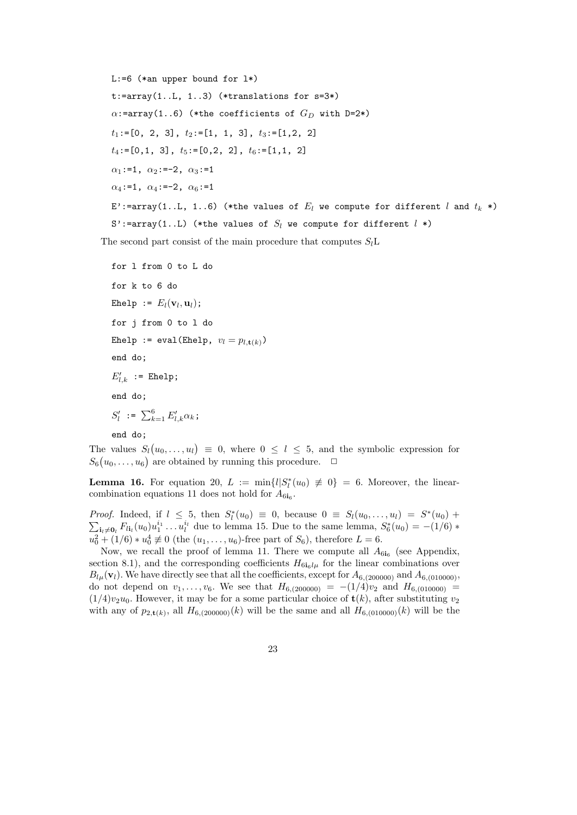```
L:=6 (*an upper bound for l*)
t:=\text{array}(1..L, 1..3) (*translations for s=3*)\alpha:=array(1..6) (*the coefficients of G_D with D=2*)
t_1:=[0, 2, 3], t_2:=[1, 1, 3], t_3:=[1, 2, 2]t_4:=[0,1, 3], t_5:=[0,2, 2], t_6:=[1,1, 2]\alpha_1:=1, \alpha_2:=-2, \alpha_3:=1
\alpha_4:=1, \alpha_4:=-2, \alpha_6:=1
E':=array(1..L, 1..6) (*the values of E_l we compute for different l and t_k *)
S':=array(1..L) (*the values of S_l we compute for different l *)
```
The second part consist of the main procedure that computes  $S<sub>i</sub>$ L

```
for l from 0 to L do
for k to 6 do
Ehelp := E_l(\mathbf{v}_l, \mathbf{u}_l);
for j from 0 to l do
Ehelp := eval(Ehelp, v_l = p_{l, \mathbf{t}(k)})
end do;
E'_{l,k} := Ehelp;
end do;
S'_{l} := \sum_{k=1}^{6} E'_{l,k} \alpha_{k};
```
end do;

The values  $S_l(u_0,\ldots,u_l) \equiv 0$ , where  $0 \leq l \leq 5$ , and the symbolic expression for  $S_6(u_0,\ldots,u_6)$  are obtained by running this procedure.  $\Box$ 

**Lemma 16.** For equation 20,  $L := \min\{l|S_l^*(u_0) \neq 0\} = 6$ . Moreover, the linearcombination equations 11 does not hold for  $A_{6i_6}$ .

*Proof.* Indeed, if  $l \leq 5$ , then  $S_l^*(u_0) \equiv 0$ , because  $0 \equiv S_l(u_0, \ldots, u_l) = S^*(u_0) +$  $\sum_{i_l \neq 0_l} F_{li_l}(u_0) u_1^{i_1} \dots u_l^{i_l}$  due to lemma 15. Due to the same lemma,  $S_6^*(u_0) = -(1/6) *$  $u_0^2 + (1/6) * u_0^4 \not\equiv 0$  (the  $(u_1, \ldots, u_6)$ -free part of  $S_6$ ), therefore  $L = 6$ .

Now, we recall the proof of lemma 11. There we compute all  $A_{6i_6}$  (see Appendix, section 8.1), and the corresponding coefficients  $H_{6i_6l\mu}$  for the linear combinations over  $B_{l\mu}(\mathbf{v}_l)$ . We have directly see that all the coefficients, except for  $A_{6,(200000)}$  and  $A_{6,(010000)}$ , do not depend on  $v_1, \ldots, v_6$ . We see that  $H_{6,(200000)} = -(1/4)v_2$  and  $H_{6,(010000)} =$  $(1/4)v_2u_0$ . However, it may be for a some particular choice of  $\mathbf{t}(k)$ , after substituting  $v_2$ with any of  $p_{2,\mathsf{t}(k)}$ , all  $H_{6,(200000)}(k)$  will be the same and all  $H_{6,(010000)}(k)$  will be the

23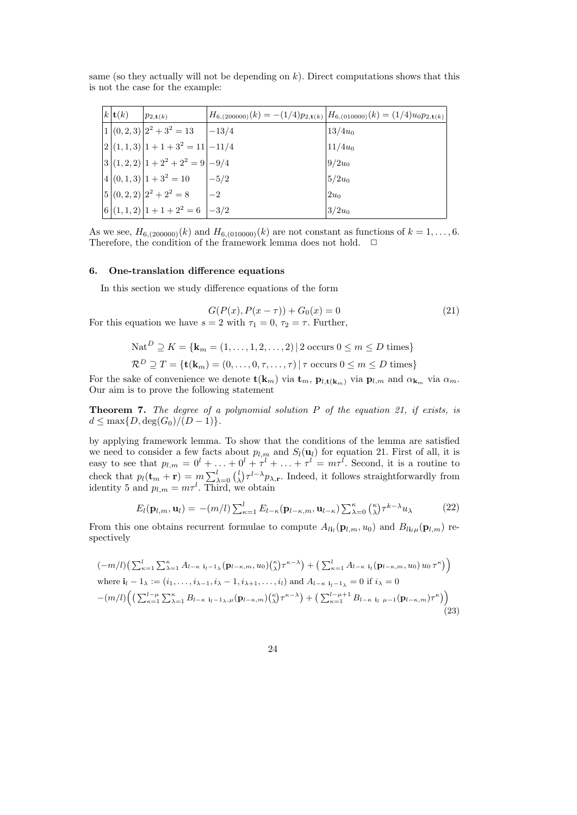same (so they actually will not be depending on  $k$ ). Direct computations shows that this is not the case for the example:

| $k\left \mathbf{t}(k)\right $ | $ p_{2,\mathbf{t}(k)} $        |         | $H_{6,(200000)}(k) = -(1/4)p_{2,\mathbf{t}(k)}\left H_{6,(010000)}(k)\right  = (1/4)u_0p_{2,\mathbf{t}(k)}\left k\right $ |
|-------------------------------|--------------------------------|---------|---------------------------------------------------------------------------------------------------------------------------|
|                               | $1 (0,2,3) 2^2+3^2=13$         | $-13/4$ | $13/4u_0$                                                                                                                 |
|                               | $ 2 (1,1,3) 1+1+3^2=11 -11/4$  |         | $11/4u_0$                                                                                                                 |
|                               | $ 3 (1,2,2) 1+2^2+2^2=9 -9/4$  |         | $9/2u_0$                                                                                                                  |
|                               | $ 4 (0,1,3) 1+3^2=10$          | $ -5/2$ | $5/2u_0$                                                                                                                  |
|                               | $ 5 (0,2,2) 2^2+2^2=8$         | $-2$    | $2u_0$                                                                                                                    |
|                               | $ 6 (1,1,2) 1+1+2^2=6$ $ -3/2$ |         | $3/2u_0$                                                                                                                  |

As we see,  $H_{6,(200000)}(k)$  and  $H_{6,(010000)}(k)$  are not constant as functions of  $k = 1, ..., 6$ . Therefore, the condition of the framework lemma does not hold.  $\Box$ 

## 6. One-translation difference equations

In this section we study difference equations of the form

$$
G(P(x), P(x - \tau)) + G_0(x) = 0
$$
\n
$$
Q(x, y) = 0 \qquad \text{Explain} \tag{21}
$$

For this equation we have  $s = 2$  with  $\tau_1 = 0$ ,  $\tau_2 = \tau$ . Further,

$$
\text{Nat}^D \supseteq K = \{ \mathbf{k}_m = (1, \dots, 1, 2, \dots, 2) \mid 2 \text{ occurs } 0 \le m \le D \text{ times} \}
$$
  

$$
\mathcal{R}^D \supseteq T = \{ \mathbf{t}(\mathbf{k}_m) = (0, \dots, 0, \tau, \dots, \tau) \mid \tau \text{ occurs } 0 \le m \le D \text{ times} \}
$$

For the sake of convenience we denote  $\mathbf{t}(\mathbf{k}_m)$  via  $\mathbf{t}_m$ ,  $\mathbf{p}_{l,\mathbf{t}(\mathbf{k}_m)}$  via  $\mathbf{p}_{l,m}$  and  $\alpha_{\mathbf{k}_m}$  via  $\alpha_m$ . Our aim is to prove the following statement

**Theorem 7.** The degree of a polynomial solution  $P$  of the equation 21, if exists, is  $d \leq \max\{D, \deg(G_0)/(D-1)\}.$ 

by applying framework lemma. To show that the conditions of the lemma are satisfied we need to consider a few facts about  $p_{l,m}$  and  $S_l(\mathbf{u}_l)$  for equation 21. First of all, it is easy to see that  $p_{l,m} = 0^l + \ldots + 0^l + \tau^l + \ldots + \tau^l = m\tau^l$ . Second, it is a routine to check that  $p_l(\mathbf{t}_m + \mathbf{r}) = m \sum_{\lambda=0}^l {l \choose \lambda} \tau^{l-\lambda} p_{\lambda,\mathbf{r}}$ . Indeed, it follows straightforwardly from identity 5 and  $p_{l,m} = m\tau^l$ . Third, we obtain

$$
E_l(\mathbf{p}_{l,m}, \mathbf{u}_l) = -(m/l) \sum_{\kappa=1}^l E_{l-\kappa}(\mathbf{p}_{l-\kappa,m}, \mathbf{u}_{l-\kappa}) \sum_{\lambda=0}^\kappa \binom{\kappa}{\lambda} \tau^{k-\lambda} u_\lambda \tag{22}
$$

From this one obtains recurrent formulae to compute  $A_{li}(\mathbf{p}_{l,m}, u_0)$  and  $B_{li}(\mathbf{p}_{l,m})$  respectively

$$
(-m/l)\left(\sum_{\kappa=1}^{l}\sum_{\lambda=1}^{\kappa}A_{l-\kappa}\mathbf{i}_{l-1\lambda}(\mathbf{p}_{l-\kappa,m},u_{0})(\begin{matrix}\kappa\\\lambda\end{matrix})\tau^{\kappa-\lambda}\right)+\left(\sum_{\kappa=1}^{l}A_{l-\kappa}\mathbf{i}_{l}(\mathbf{p}_{l-\kappa,m},u_{0})u_{0}\tau^{\kappa}\right)
$$
\nwhere  $\mathbf{i}_{l}-1_{\lambda} := (i_{1},...,i_{\lambda-1},i_{\lambda}-1,i_{\lambda+1},...,i_{l})$  and  $A_{l-\kappa}\mathbf{i}_{l-1\lambda} = 0$  if  $i_{\lambda} = 0$   
\n
$$
-(m/l)\left(\left(\sum_{\kappa=1}^{l-\mu}\sum_{\lambda=1}^{\kappa}B_{l-\kappa}\mathbf{i}_{l-1\lambda,\mu}(\mathbf{p}_{l-\kappa,m})(\begin{matrix}\kappa\\\lambda\end{matrix})\tau^{\kappa-\lambda}\right)+\left(\sum_{\kappa=1}^{l-\mu+1}B_{l-\kappa}\mathbf{i}_{l}\mu-1(\mathbf{p}_{l-\kappa,m})\tau^{\kappa}\right)\right)
$$
\n(23)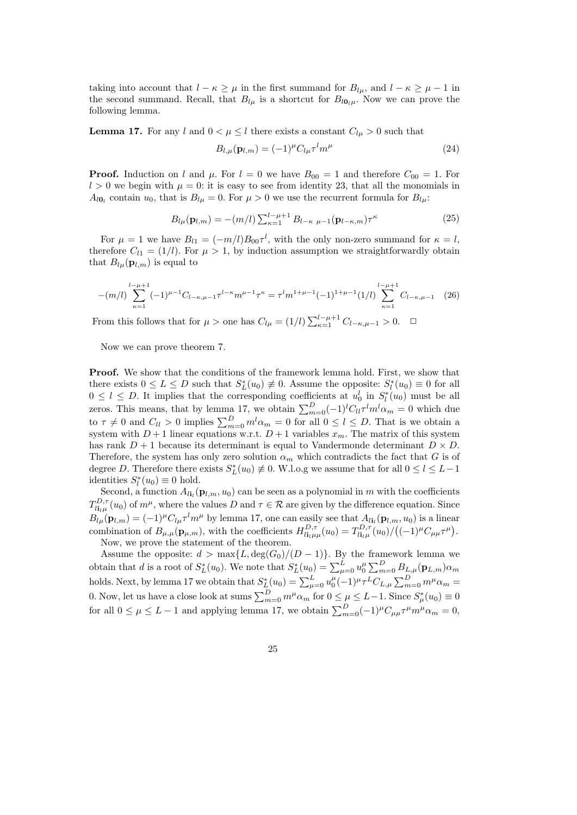taking into account that  $l - \kappa \geq \mu$  in the first summand for  $B_{l\mu}$ , and  $l - \kappa \geq \mu - 1$  in the second summand. Recall, that  $B_{l\mu}$  is a shortcut for  $B_{l0_l\mu}$ . Now we can prove the following lemma.

**Lemma 17.** For any l and  $0 < \mu \leq l$  there exists a constant  $C_{l\mu} > 0$  such that

$$
B_{l,\mu}(\mathbf{p}_{l,m}) = (-1)^{\mu} C_{l\mu} \tau^l m^{\mu} \tag{24}
$$

**Proof.** Induction on l and  $\mu$ . For  $l = 0$  we have  $B_{00} = 1$  and therefore  $C_{00} = 1$ . For  $l > 0$  we begin with  $\mu = 0$ : it is easy to see from identity 23, that all the monomials in  $A_{l0_l}$  contain  $u_0$ , that is  $B_{l\mu} = 0$ . For  $\mu > 0$  we use the recurrent formula for  $B_{l\mu}$ :

$$
B_{l\mu}(\mathbf{p}_{l,m}) = -(m/l) \sum_{\kappa=1}^{l-\mu+1} B_{l-\kappa \mu-1}(\mathbf{p}_{l-\kappa,m}) \tau^{\kappa}
$$
 (25)

For  $\mu = 1$  we have  $B_{l1} = (-m/l)B_{00}\tau^l$ , with the only non-zero summand for  $\kappa = l$ , therefore  $C_{11} = (1/l)$ . For  $\mu > 1$ , by induction assumption we straightforwardly obtain that  $B_{l\mu}(\mathbf{p}_{l,m})$  is equal to

$$
-(m/l)\sum_{\kappa=1}^{l-\mu+1}(-1)^{\mu-1}C_{l-\kappa,\mu-1}\tau^{l-\kappa}m^{\mu-1}\tau^{\kappa}=\tau^l m^{1+\mu-1}(-1)^{1+\mu-1}(1/l)\sum_{\kappa=1}^{l-\mu+1}C_{l-\kappa,\mu-1}
$$
(26)

From this follows that for  $\mu >$  one has  $C_{l\mu} = (1/l) \sum_{\kappa=1}^{l-\mu+1} C_{l-\kappa,\mu-1} > 0$ .  $\Box$ 

Now we can prove theorem 7.

Proof. We show that the conditions of the framework lemma hold. First, we show that there exists  $0 \le L \le D$  such that  $S_L^*(u_0) \neq 0$ . Assume the opposite:  $S_l^*(u_0) \equiv 0$  for all  $0 \leq l \leq D$ . It implies that the corresponding coefficients at  $u_0^l$  in  $S_l^*(u_0)$  must be all zeros. This means, that by lemma 17, we obtain  $\sum_{m=0}^{D}(-1)^{l}C_{ll}\tau^{l}m^{l}\alpha_{m} = 0$  which due to  $\tau \neq 0$  and  $C_{ll} > 0$  implies  $\sum_{m=0}^{D} m^{l} \alpha_m = 0$  for all  $0 \leq l \leq D$ . That is we obtain a system with  $D+1$  linear equations w.r.t.  $D+1$  variables  $x_m$ . The matrix of this system has rank  $D+1$  because its determinant is equal to Vandermonde determinant  $D \times D$ . Therefore, the system has only zero solution  $\alpha_m$  which contradicts the fact that G is of degree D. Therefore there exists  $S_L^*(u_0) \neq 0$ . W.l.o.g we assume that for all  $0 \le l \le L-1$ identities  $S_l^*(u_0) \equiv 0$  hold.

Second, a function  $A_{l_i}(\mathbf{p}_{l,m}, u_0)$  can be seen as a polynomial in m with the coefficients  $T^{D,\tau}_{li_l\mu}(u_0)$  of  $m^{\mu}$ , where the values D and  $\tau \in \mathcal{R}$  are given by the difference equation. Since  $B_{l\mu}(\mathbf{p}_{l,m}) = (-1)^{\mu} C_{l\mu} \tau^l m^{\mu}$  by lemma 17, one can easily see that  $A_{l\mathbf{i}_l}(\mathbf{p}_{l,m}, u_0)$  is a linear combination of  $B_{\mu,\mu}(\mathbf{p}_{\mu,m})$ , with the coefficients  $H_{l\mathbf{i}_{l}\mu\mu}^{D,\tau}(u_0) = T_{l\mathbf{i}_{l}\mu}^{D,\tau}(u_0)/\left((-1)^{\mu}C_{\mu\mu}\tau^{\mu}\right)$ . Now, we prove the statement of the theorem.

Assume the opposite:  $d > \max\{L, \deg(G_0)/(D-1)\}.$  By the framework lemma we obtain that d is a root of  $S^*_{L}(u_0)$ . We note that  $S^*_{L}(u_0) = \sum_{\mu=0}^{L} u_0^{\mu} \sum_{m=0}^{D} B_{L,\mu}(\mathbf{p}_{L,m}) \alpha_m$ holds. Next, by lemma 17 we obtain that  $S_L^*(u_0) = \sum_{\mu=0}^L u_0^{\mu} (-1)^{\mu} \tau^L C_{L,\mu} \sum_{m=0}^D m^{\mu} \alpha_m =$ 0. Now, let us have a close look at sums  $\sum_{m=0}^{D} m^{\mu} \alpha_m$  for  $0 \le \mu \le L-1$ . Since  $S^*_{\mu}(u_0) \equiv 0$ for all  $0 \le \mu \le L - 1$  and applying lemma 17, we obtain  $\sum_{m=0}^{D} (-1)^{\mu} C_{\mu\mu} \tau^{\mu} m^{\mu} \alpha_m = 0$ ,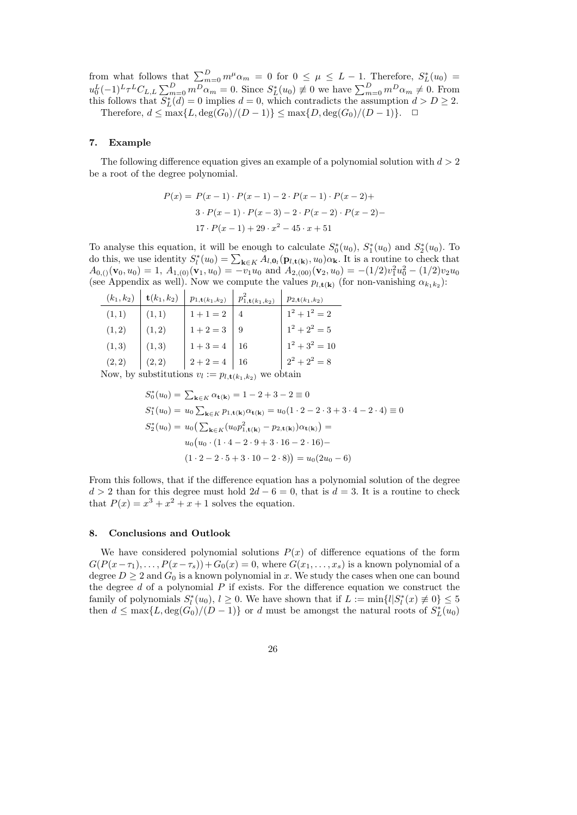from what follows that  $\sum_{m=0}^{D} m^{\mu} \alpha_m = 0$  for  $0 \leq \mu \leq L - 1$ . Therefore,  $S_L^*(u_0) =$  $u_0^L(-1)^L \tau^L C_{L,L} \sum_{m=0}^D m^D \alpha_m = 0$ . Since  $S_L^*(u_0) \neq 0$  we have  $\sum_{m=0}^D m^D \alpha_m \neq 0$ . From this follows that  $S_L^*(d) = 0$  implies  $d = 0$ , which contradicts the assumption  $d > D \geq 2$ . Therefore,  $d \leq \max\{L, \deg(G_0)/(D-1)\} \leq \max\{D, \deg(G_0)/(D-1)\}.$ 

## 7. Example

The following difference equation gives an example of a polynomial solution with  $d > 2$ be a root of the degree polynomial.

$$
P(x) = P(x-1) \cdot P(x-1) - 2 \cdot P(x-1) \cdot P(x-2) +
$$
  
3 \cdot P(x-1) \cdot P(x-3) - 2 \cdot P(x-2) \cdot P(x-2) -  
17 \cdot P(x-1) + 29 \cdot x^2 - 45 \cdot x + 51

To analyse this equation, it will be enough to calculate  $S_0^*(u_0)$ ,  $S_1^*(u_0)$  and  $S_2^*(u_0)$ . To do this, we use identity  $S_l^*(u_0) = \sum_{\mathbf{k} \in K} A_{l,\mathbf{0}_l}(\mathbf{p}_{l,\mathbf{t}(\mathbf{k})}, u_0) \alpha_{\mathbf{k}}$ . It is a routine to check that  $A_{0,()}(\mathbf{v}_0, u_0) = 1, A_{1,(0)}(\mathbf{v}_1, u_0) = -v_1 u_0$  and  $A_{2,(00)}(\mathbf{v}_2, u_0) = -(1/2)v_1^2 u_0^2 - (1/2)v_2 u_0$ (see Appendix as well). Now we compute the values  $p_{l, t(k)}$  (for non-vanishing  $\alpha_{k_1 k_2}$ ):

| $(k_1, k_2)$ | $\mathbf{t}(k_1,k_2)$   | $p_{1,\mathbf{t}(k_1,k_2)}$ | $p_{1,\mathbf{t}(k_1,k_2)}^2$ | $p_{2,\mathbf{t}(k_1,k_2)}$ |
|--------------|-------------------------|-----------------------------|-------------------------------|-----------------------------|
| (1, 1)       | (1, 1)                  | $1 + 1 = 2$                 |                               | $1^2 + 1^2 = 2$             |
| (1, 2)       | (1, 2)                  | $1+2=3$                     |                               | $1^2 + 2^2 = 5$             |
| (1,3)        | (1,3)                   | $1+3=4$   16                |                               | $1^2 + 3^2 = 10$            |
| (2, 2)       | (2, 2)                  | $2+2=4$   16                |                               | $2^2 + 2^2 = 8$             |
|              | Now by qubetitutions as |                             |                               |                             |

Now, by substitutions  $v_l := p_{l, \mathbf{t}(k_1, k_2)}$  we obtain

$$
S_0^*(u_0) = \sum_{\mathbf{k} \in K} \alpha_{\mathbf{t}(\mathbf{k})} = 1 - 2 + 3 - 2 \equiv 0
$$
  
\n
$$
S_1^*(u_0) = u_0 \sum_{\mathbf{k} \in K} p_{1,\mathbf{t}(\mathbf{k})} \alpha_{\mathbf{t}(\mathbf{k})} = u_0 (1 \cdot 2 - 2 \cdot 3 + 3 \cdot 4 - 2 \cdot 4) \equiv 0
$$
  
\n
$$
S_2^*(u_0) = u_0 \left( \sum_{\mathbf{k} \in K} (u_0 p_{1,\mathbf{t}(\mathbf{k})}^2 - p_{2,\mathbf{t}(\mathbf{k})}) \alpha_{\mathbf{t}(\mathbf{k})} \right) =
$$
  
\n
$$
u_0 \left( u_0 \cdot (1 \cdot 4 - 2 \cdot 9 + 3 \cdot 16 - 2 \cdot 16) -
$$
  
\n
$$
(1 \cdot 2 - 2 \cdot 5 + 3 \cdot 10 - 2 \cdot 8) \right) = u_0 (2u_0 - 6)
$$

From this follows, that if the difference equation has a polynomial solution of the degree  $d > 2$  than for this degree must hold  $2d - 6 = 0$ , that is  $d = 3$ . It is a routine to check that  $P(x) = x^3 + x^2 + x + 1$  solves the equation.

## 8. Conclusions and Outlook

We have considered polynomial solutions  $P(x)$  of difference equations of the form  $G(P(x-\tau_1), \ldots, P(x-\tau_s))+G_0(x)=0$ , where  $G(x_1, \ldots, x_s)$  is a known polynomial of a degree  $D \geq 2$  and  $G_0$  is a known polynomial in x. We study the cases when one can bound the degree  $d$  of a polynomial  $P$  if exists. For the difference equation we construct the family of polynomials  $S_l^*(u_0)$ ,  $l \geq 0$ . We have shown that if  $L := \min\{l | S_l^*(x) \neq 0\} \leq 5$ then  $d \leq \max\{L, \deg(G_0)/(D-1)\}$  or d must be amongst the natural roots of  $S_L^*(u_0)$ 

26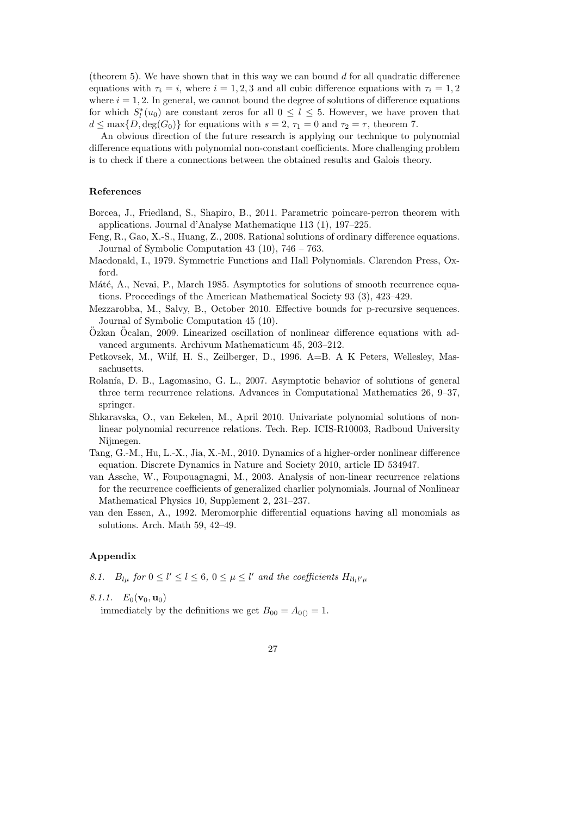(theorem 5). We have shown that in this way we can bound  $d$  for all quadratic difference equations with  $\tau_i = i$ , where  $i = 1, 2, 3$  and all cubic difference equations with  $\tau_i = 1, 2$ where  $i = 1, 2$ . In general, we cannot bound the degree of solutions of difference equations for which  $S_l^*(u_0)$  are constant zeros for all  $0 \leq l \leq 5$ . However, we have proven that  $d \leq \max\{D, \deg(G_0)\}\$ for equations with  $s = 2, \tau_1 = 0$  and  $\tau_2 = \tau$ , theorem 7.

An obvious direction of the future research is applying our technique to polynomial difference equations with polynomial non-constant coefficients. More challenging problem is to check if there a connections between the obtained results and Galois theory.

#### References

- Borcea, J., Friedland, S., Shapiro, B., 2011. Parametric poincare-perron theorem with applications. Journal d'Analyse Mathematique 113 (1), 197–225.
- Feng, R., Gao, X.-S., Huang, Z., 2008. Rational solutions of ordinary difference equations. Journal of Symbolic Computation 43 (10), 746 – 763.
- Macdonald, I., 1979. Symmetric Functions and Hall Polynomials. Clarendon Press, Oxford.
- Máté, A., Nevai, P., March 1985. Asymptotics for solutions of smooth recurrence equations. Proceedings of the American Mathematical Society 93 (3), 423–429.
- Mezzarobba, M., Salvy, B., October 2010. Effective bounds for p-recursive sequences. Journal of Symbolic Computation 45 (10).
- $Oz$ kan  $Oz$ calan, 2009. Linearized oscillation of nonlinear difference equations with advanced arguments. Archivum Mathematicum 45, 203–212.
- Petkovsek, M., Wilf, H. S., Zeilberger, D., 1996. A=B. A K Peters, Wellesley, Massachusetts.
- Rolanía, D. B., Lagomasino, G. L., 2007. Asymptotic behavior of solutions of general three term recurrence relations. Advances in Computational Mathematics 26, 9–37, springer.
- Shkaravska, O., van Eekelen, M., April 2010. Univariate polynomial solutions of nonlinear polynomial recurrence relations. Tech. Rep. ICIS-R10003, Radboud University Nijmegen.
- Tang, G.-M., Hu, L.-X., Jia, X.-M., 2010. Dynamics of a higher-order nonlinear difference equation. Discrete Dynamics in Nature and Society 2010, article ID 534947.
- van Assche, W., Foupouagnagni, M., 2003. Analysis of non-linear recurrence relations for the recurrence coefficients of generalized charlier polynomials. Journal of Nonlinear Mathematical Physics 10, Supplement 2, 231–237.
- van den Essen, A., 1992. Meromorphic differential equations having all monomials as solutions. Arch. Math 59, 42–49.

## Appendix

8.1.  $B_{l\mu}$  for  $0 \le l' \le l \le 6$ ,  $0 \le \mu \le l'$  and the coefficients  $H_{l\mathbf{i}_l l'\mu}$ 

8.1.1.  $E_0(\mathbf{v}_0, \mathbf{u}_0)$ 

immediately by the definitions we get  $B_{00} = A_{0} = 1$ .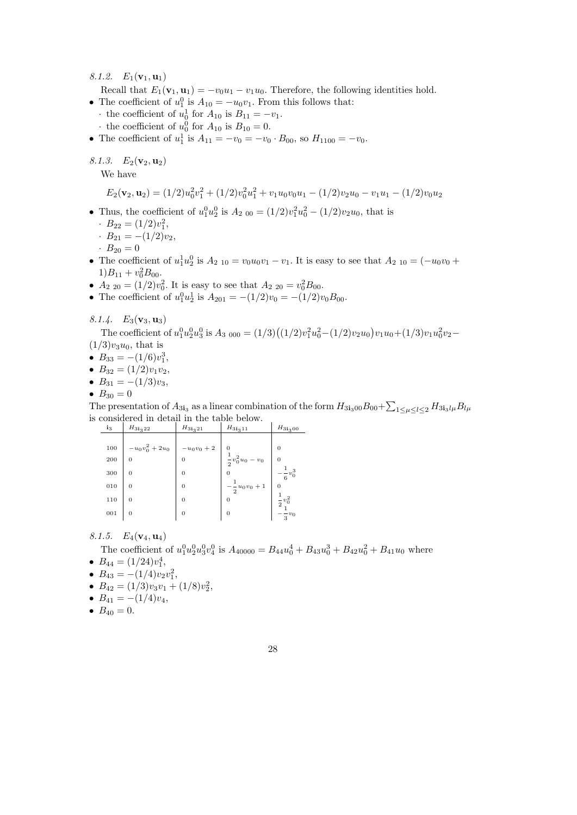8.1.2.  $E_1({\bf v}_1,{\bf u}_1)$ 

Recall that  $E_1(\mathbf{v}_1, \mathbf{u}_1) = -v_0u_1 - v_1u_0$ . Therefore, the following identities hold.

- The coefficient of  $u_1^0$  is  $A_{10} = -u_0v_1$ . From this follows that:
	- $\cdot$  the coefficient of  $u_0^1$  for  $A_{10}$  is  $B_{11} = -v_1$ .
	- $\cdot$  the coefficient of  $u_0^0$  for  $A_{10}$  is  $B_{10} = 0$ .
- The coefficient of  $u_1^1$  is  $A_{11} = -v_0 = -v_0 \cdot B_{00}$ , so  $H_{1100} = -v_0$ .

8.1.3.  $E_2(\mathbf{v}_2, \mathbf{u}_2)$ 

We have

$$
E_2(\mathbf{v}_2, \mathbf{u}_2) = (1/2)u_0^2v_1^2 + (1/2)v_0^2u_1^2 + v_1u_0v_0u_1 - (1/2)v_2u_0 - v_1u_1 - (1/2)v_0u_2
$$

• Thus, the coefficient of  $u_1^0 u_2^0$  is  $A_{2\ 00} = (1/2)v_1^2 u_0^2 - (1/2)v_2 u_0$ , that is

$$
B_{22} = (1/2)v_1^2,
$$

- $B_{21} = -(1/2)v_2$ ,
- $B_{20} = 0$
- The coefficient of  $u_1^1 u_2^0$  is  $A_{2,10} = v_0 u_0 v_1 v_1$ . It is easy to see that  $A_{2,10} = (-u_0 v_0 +$  $1)B_{11} + v_0^2 B_{00}.$
- $A_{2,20} = (1/2)v_0^2$ . It is easy to see that  $A_{2,20} = v_0^2 B_{00}$ .
- The coefficient of  $u_1^0 u_2^1$  is  $A_{201} = -(1/2)v_0 = -(1/2)v_0B_{00}$ .

## 8.1.4.  $E_3$ (**v**<sub>3</sub>, **u**<sub>3</sub>)

The coefficient of  $u_1^0 u_2^0 u_3^0$  is  $A_3$  <sub>000</sub> =  $(1/3)((1/2)v_1^2 u_0^2 - (1/2)v_2 u_0)v_1 u_0 + (1/3)v_1 u_0^2 v_2 -$ 

- $(1/3)v_3u_0$ , that is
- $B_{33} = -(1/6)v_1^3$ ,
- $B_{32} = (1/2)v_1v_2$ ,
- $B_{31} = -(1/3)v_3$ ,
- $B_{30} = 0$

The presentation of  $A_{3i_3}$  as a linear combination of the form  $H_{3i_300}B_{00} + \sum_{1 \leq \mu \leq l \leq 2} H_{3i_3l\mu}B_{l\mu}$ is considered in detail in the table below.

| $i_3$ | $H_{3_1 \, 2_2}$ | $H_{3_1 \underline{3}_2 \underline{1}_1}$ | $H_{3i_311}$              | $H_{31300}$             |
|-------|------------------|-------------------------------------------|---------------------------|-------------------------|
|       |                  |                                           |                           |                         |
| 100   | $-u_0v_0^2+2u_0$ | $-u_0v_0+2$                               | $\theta$                  | $\Omega$                |
| 200   | $\Omega$         | $\Omega$                                  | $\frac{1}{2}v_0^2u_0-v_0$ | $\overline{0}$          |
| 300   | $\Omega$         | $\Omega$                                  | 0                         | $\frac{1}{2}v_0^3$<br>6 |
| 010   | $\overline{0}$   | $\Omega$                                  | $-\frac{1}{2}u_0v_0+1$    | $\overline{0}$          |
| 110   | $\overline{0}$   | $\Omega$                                  | $\Omega$                  | $\overline{2}$          |
| 001   | $\overline{0}$   | $\overline{0}$                            | 0                         | $\frac{1}{3}v_0$        |

8.1.5.  $E_4$ (**v**<sub>4</sub>, **u**<sub>4</sub>)

The coefficient of  $u_1^0 u_2^0 u_3^0 v_4^0$  is  $A_{40000} = B_{44} u_0^4 + B_{43} u_0^3 + B_{42} u_0^2 + B_{41} u_0$  where

- $B_{44} = (1/24)v_1^4$ ,
- $B_{43} = -(1/4)v_2v_1^2,$
- $B_{42} = (1/3)v_3v_1 + (1/8)v_2^2$ ,
- $B_{41} = -(1/4)v_4$ ,
- $B_{40} = 0$ .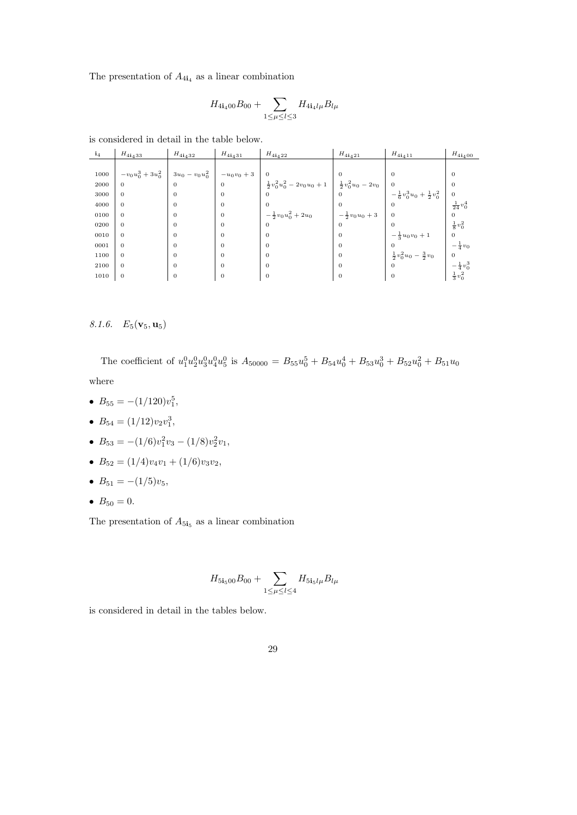The presentation of  $A_{4i_4}$  as a linear combination

$$
H_{4\mathbf{i}_4 00} B_{00} + \sum_{1 \le \mu \le l \le 3} H_{4\mathbf{i}_4 l \mu} B_{l \mu}
$$

is considered in detail in the table below.

| $i_4$ | $H_{41\underline{1}33}$ | $H_{41_432}$      | $H_{41_431}$ | $H_{41,422}$                      | $H_{41,421}$               | $H_{4i_411}$                            | $H_{4\mathbf{i}_400}$ |
|-------|-------------------------|-------------------|--------------|-----------------------------------|----------------------------|-----------------------------------------|-----------------------|
|       |                         |                   |              |                                   |                            |                                         |                       |
| 1000  | $-v_0u_0^3+3u_0^2$      | $3u_0 - v_0u_0^2$ | $-u_0v_0+3$  | $\overline{0}$                    | 0                          | $\Omega$                                | $\theta$              |
| 2000  | $\overline{0}$          | $\overline{0}$    | $\theta$     | $\frac{1}{2}v_0^2u_0^2-2v_0u_0+1$ | $\frac{1}{2}v_0^2u_0-2v_0$ | $\mathbf{0}$                            | $\theta$              |
| 3000  | $\overline{0}$          | $\mathbf{0}$      | $\theta$     | $\theta$                          |                            | $-\frac{1}{6}v_0^3u_0+\frac{1}{2}v_0^2$ | $\mathbf{0}$          |
| 4000  | $\overline{0}$          | $\mathbf{0}$      | $\mathbf{0}$ | $\theta$                          | $\mathbf{0}$               | $\theta$                                | $\frac{1}{24}v_0^4$   |
| 0100  | $\overline{0}$          | $\overline{0}$    | $\Omega$     | $-\frac{1}{2}v_0u_0^2+2u_0$       | $-\frac{1}{2}v_0u_0+3$     | $\theta$                                |                       |
| 0200  | $\overline{0}$          | $\mathbf{0}$      | $\Omega$     | $\theta$                          | $\mathbf{0}$               | $\Omega$                                | $\frac{1}{8}v_0^2$    |
| 0010  | $\mathbf{0}$            | $\overline{0}$    | $\Omega$     | $\theta$                          | $\Omega$                   | $-\frac{1}{3}u_0v_0+1$                  | $\mathbf{0}$          |
| 0001  | $\mathbf{0}$            | $\mathbf{0}$      | $\Omega$     | $\mathbf{0}$                      | $\Omega$                   |                                         | $-\frac{1}{4}v_0$     |
| 1100  | $\mathbf{0}$            | $\mathbf{0}$      | $\Omega$     | $\mathbf{0}$                      | $\mathbf{0}$               | $rac{1}{2}v_0^2u_0-\frac{3}{2}v_0$      | $\mathbf{0}$          |
| 2100  | $\mathbf{0}$            | $\mathbf{0}$      | $\Omega$     | $\mathbf{0}$                      | $\mathbf{0}$               | $\mathbf{0}$                            | $-\frac{1}{4}v_0^3$   |
| 1010  | $\mathbf{0}$            | $\mathbf{0}$      | $\theta$     | $\mathbf{0}$                      | $\mathbf{0}$               | $\theta$                                | $\frac{1}{3}v_0^2$    |

## 8.1.6.  $E_5(\mathbf{v}_5, \mathbf{u}_5)$

The coefficient of  $u_1^0 u_2^0 u_3^0 u_4^0 u_5^0$  is  $A_{50000} = B_{55} u_0^5 + B_{54} u_0^4 + B_{53} u_0^3 + B_{52} u_0^2 + B_{51} u_0$ where

- $B_{55} = -(1/120)v_1^5$ ,
- $B_{54} = (1/12)v_2v_1^3$ ,
- $B_{53} = -(1/6)v_1^2v_3 (1/8)v_2^2v_1,$
- $B_{52} = (1/4)v_4v_1 + (1/6)v_3v_2,$
- $B_{51} = -(1/5)v_5$ ,
- $B_{50} = 0$ .

The presentation of  $A_{5i_5}$  as a linear combination

$$
H_{5\mathbf{i}_5 00} B_{00} + \sum_{1 \le \mu \le l \le 4} H_{5\mathbf{i}_5 l \mu} B_{l \mu}
$$

is considered in detail in the tables below.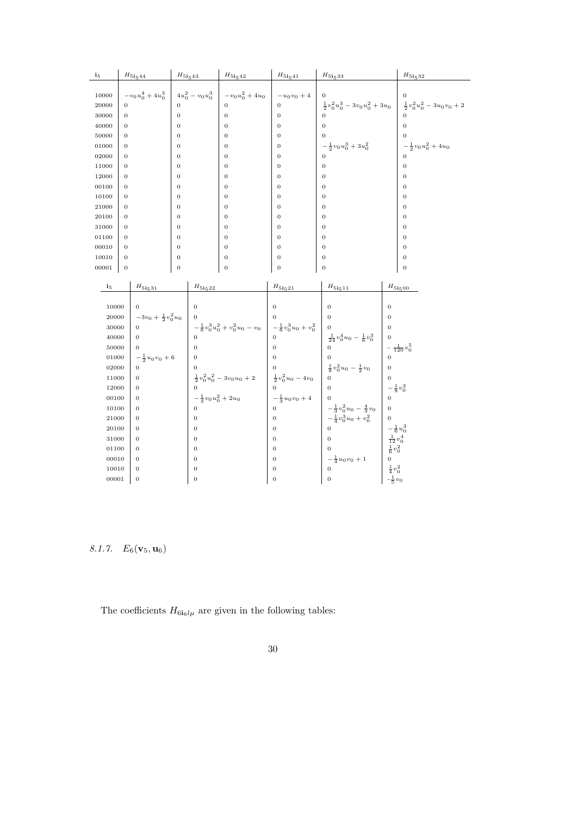| i <sub>5</sub> |                | $H_{51544}$                                     | $H_{\rm 515\,43}$ |                             | ${\cal H}_{5{\bf i}_542}$                                               | $H_{5\mathbf{i}_541}$                                   | $H_{51,533}$                                           |                                                                         | $H_{\bf 5i_532}$                  |
|----------------|----------------|-------------------------------------------------|-------------------|-----------------------------|-------------------------------------------------------------------------|---------------------------------------------------------|--------------------------------------------------------|-------------------------------------------------------------------------|-----------------------------------|
|                |                |                                                 |                   |                             |                                                                         |                                                         |                                                        |                                                                         |                                   |
| 10000          |                | $-v_0u_0^4+4u_0^3$                              |                   | $4u_0^2 - v_0u_0^3$         | $-v_0u_0^2+4u_0$                                                        | $-u_0v_0+4$                                             |                                                        |                                                                         |                                   |
| 20000          | $\theta$       |                                                 | $\overline{0}$    |                             | $\theta$                                                                | $\mathbf 0$                                             | $\frac{1}{2}v_0^2u_0^3-3v_0u_0^2+3u_0$                 |                                                                         | $\frac{1}{2}v_0^2u_0^2-3u_0v_0+2$ |
| 30000          | $\mathbf{0}$   |                                                 | $\mathbf 0$       |                             | $\boldsymbol{0}$                                                        | $\mathbf{0}$                                            |                                                        |                                                                         |                                   |
| 40000          | $\overline{0}$ |                                                 | $\overline{0}$    |                             | $\overline{0}$                                                          | $\overline{0}$                                          | $\Omega$                                               |                                                                         | $\Omega$                          |
| 50000          | $\mathbf{0}$   |                                                 | $\overline{0}$    |                             | $\overline{0}$                                                          | $\overline{0}$                                          |                                                        |                                                                         |                                   |
| 01000          | $\mathbf{0}$   |                                                 | $\overline{0}$    |                             | $\mathbf{0}$                                                            | $\mathbf 0$                                             | $-\frac{1}{2}v_0u_0^3+3u_0^2$                          |                                                                         | $-\frac{1}{2}v_0u_0^2+4u_0$       |
| 02000          | $\theta$       |                                                 | $\overline{0}$    |                             | $\overline{0}$                                                          | $\overline{0}$                                          |                                                        |                                                                         |                                   |
| 11000          | $\overline{0}$ |                                                 | $\overline{0}$    |                             | $\overline{0}$                                                          | $\overline{0}$                                          | $\overline{0}$                                         |                                                                         | $\overline{0}$                    |
| 12000          | $\mathbf{0}$   |                                                 | $\boldsymbol{0}$  |                             | $\mathbf{0}$                                                            | $\boldsymbol{0}$                                        | $\mathbf{0}$                                           |                                                                         | $\theta$                          |
| 00100          | $\mathbf{0}$   |                                                 | $\overline{0}$    |                             | $\mathbf{0}$                                                            | $\overline{0}$                                          | $\mathbf 0$                                            |                                                                         | $\overline{0}$                    |
| 10100          | $\overline{0}$ |                                                 | $\overline{0}$    |                             | $\overline{0}$                                                          | $\overline{0}$                                          | $\overline{0}$                                         |                                                                         | $\overline{0}$                    |
| 21000          | $\theta$       |                                                 | $\overline{0}$    |                             | $\overline{0}$                                                          | $\overline{0}$                                          | $\overline{0}$                                         |                                                                         | $\overline{0}$                    |
| 20100          | $\theta$       |                                                 | $\boldsymbol{0}$  |                             | $\mathbf{0}$                                                            | $\overline{0}$                                          | $\mathbf{0}$                                           |                                                                         | $\mathbf{0}$                      |
| 31000          | $\mathbf{0}$   |                                                 | $\overline{0}$    |                             | $\mathbf{0}$                                                            | $\mathbf 0$                                             | $\mathbf 0$                                            |                                                                         | $\mathbf 0$                       |
| 01100          | $\theta$       |                                                 | $\overline{0}$    |                             | $\overline{0}$                                                          | $\overline{0}$                                          | $\overline{0}$                                         |                                                                         | $\mathbf{0}$                      |
| 00010          | $\mathbf{0}$   |                                                 | $\boldsymbol{0}$  |                             | $\overline{0}$                                                          | $\overline{0}$                                          | $\boldsymbol{0}$                                       |                                                                         | $\mathbf{0}$                      |
| 10010          | $\mathbf{0}$   |                                                 | $\overline{0}$    |                             | $\mathbf{0}$                                                            | $\mathbf{0}$                                            | $\mathbf 0$                                            |                                                                         | $\boldsymbol{0}$                  |
| 00001          | $\mathbf{0}$   |                                                 | $\overline{0}$    |                             | $\overline{0}$                                                          | $\overline{0}$                                          | $\mathbf{0}$                                           |                                                                         | $\boldsymbol{0}$                  |
|                |                |                                                 |                   |                             |                                                                         |                                                         |                                                        |                                                                         |                                   |
| $\mathbf{i}_5$ |                | $H_{51,531}$                                    |                   | $H_{\bf 5i_522}$            |                                                                         | $H_{51,21}$                                             | $H_{51_{5}11}$                                         |                                                                         | $H_{\rm 51_500}$                  |
|                |                |                                                 |                   |                             |                                                                         |                                                         |                                                        |                                                                         |                                   |
| 10000          |                | $\overline{0}$<br>$-3v_0 + \frac{1}{2}v_0^2u_0$ |                   | $\overline{0}$              |                                                                         | $\overline{0}$                                          | $\overline{0}$<br>$\Omega$                             | $\overline{0}$<br>$\Omega$                                              |                                   |
| 20000<br>30000 |                | $\theta$                                        |                   |                             |                                                                         |                                                         | $\boldsymbol{0}$                                       | $\overline{0}$                                                          |                                   |
| 40000          |                | $\theta$                                        |                   | $\Omega$                    | $-\frac{1}{6}v_0^3u_0^2+v_0^2u_0-v_0$ $-\frac{1}{6}v_0^3u_0+v_0^2$      |                                                         | $\frac{1}{24}v_0^4u_0-\frac{1}{6}v_0^3$                | $\overline{0}$                                                          |                                   |
| 50000          |                | $\overline{0}$                                  |                   | $\overline{0}$              |                                                                         | $\overline{0}$                                          | $\overline{0}$                                         |                                                                         | $-\frac{1}{120}v_0^5$             |
| 01000          |                |                                                 |                   | $\overline{0}$              |                                                                         | $\Omega$                                                |                                                        | $\Omega$                                                                |                                   |
| 02000          |                | $-\frac{1}{2}u_0v_0+6$<br>$\overline{0}$        |                   |                             |                                                                         |                                                         |                                                        | $\overline{0}$                                                          |                                   |
| 11000          |                | $\mathbf 0$                                     |                   |                             |                                                                         |                                                         | $rac{1}{8}v_0^2u_0 - \frac{1}{2}v_0$<br>$\overline{0}$ | $\overline{0}$                                                          |                                   |
| 12000          |                | $\mathbf 0$                                     |                   |                             | $\frac{1}{2}v_0^2u_0^2 - 3v_0u_0 + 2 \qquad \frac{1}{2}v_0^2u_0 - 4v_0$ |                                                         | $\overline{0}$                                         | $-\frac{1}{8}v_0^3$                                                     |                                   |
| 00100          |                | $\theta$                                        |                   | $-\frac{1}{3}v_0u_0^2+2u_0$ |                                                                         |                                                         |                                                        | $\Omega$                                                                |                                   |
| 10100          |                | $\mathbf{0}$                                    |                   | $\Omega$                    |                                                                         | $\frac{1}{0} - \frac{1}{3}u_0v_0 + 4$<br>$\overline{0}$ | $-\frac{1}{3}v_0^2u_0-\frac{4}{3}v_0$                  | $\overline{0}$                                                          |                                   |
| 21000          |                | $\mathbf{0}$                                    |                   | $\mathbf{0}$                |                                                                         | $\mathbf 0$                                             | $-\frac{1}{4}v_0^3u_0+v_0^2$                           |                                                                         |                                   |
| 20100          |                | $\theta$                                        |                   | $\overline{0}$              |                                                                         | $\overline{0}$                                          | $\overline{0}$                                         |                                                                         |                                   |
| 31000          |                | $\overline{0}$                                  |                   | $\overline{0}$              |                                                                         | $\overline{0}$                                          | $\overline{0}$                                         | $\begin{array}{l} -\frac{1}{6} u_0^3 \\ \frac{1}{12} v_0^4 \end{array}$ |                                   |
| 01100          |                | $\mathbf{0}$                                    |                   | $\mathbf{0}$                |                                                                         | 0                                                       | $\mathbf{0}$                                           | $\frac{1}{6}v_0^2$                                                      |                                   |
| 00010          |                | $\mathbf{0}$                                    |                   | $\mathbf{0}$                |                                                                         | $\overline{0}$                                          | $-\frac{1}{4}u_0v_0+1$                                 |                                                                         |                                   |
| 10010          |                | $\overline{0}$                                  |                   | $\mathbf{0}$                |                                                                         | $\mathbf 0$                                             | $\overline{0}$                                         |                                                                         |                                   |
| 00001          |                | $\mathbf{0}$                                    |                   | $\boldsymbol{0}$            |                                                                         | $\mathbf 0$                                             | $\boldsymbol{0}$                                       | $\frac{1}{4}v_0^2$<br>- $\frac{1}{5}v_0$                                |                                   |
|                |                |                                                 |                   |                             |                                                                         |                                                         |                                                        |                                                                         |                                   |

8.1.7.  $E_6(\mathbf{v}_5, \mathbf{u}_6)$ 

The coefficients  $H_{6\mathbf{i}_6 l \mu}$  are given in the following tables: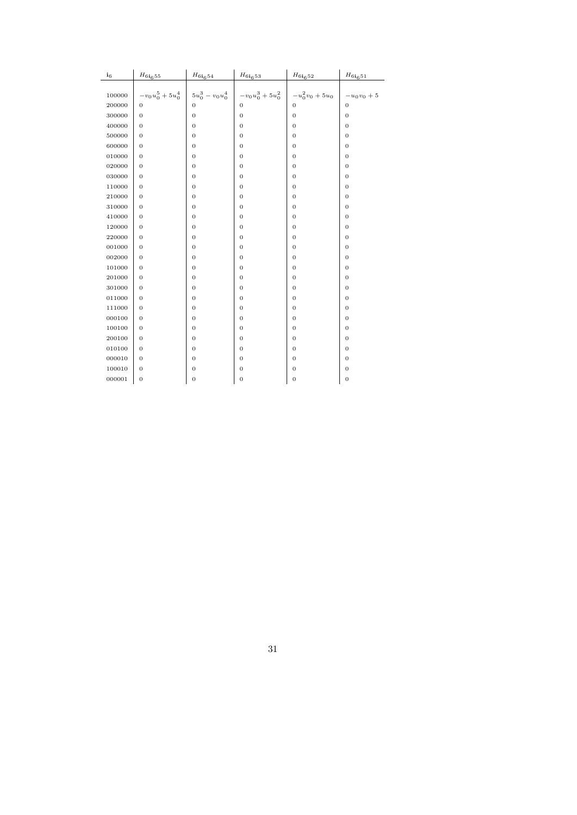| $i_6$  | $H_{6\mathbf{i}_655}$          | $H_{6i_654}$     | $H_{6i_{6}53}$                                                                                                                     | $\mathcal{H}_{6\mathbf{i}_6 52}$ | $H_{6i651}$      |
|--------|--------------------------------|------------------|------------------------------------------------------------------------------------------------------------------------------------|----------------------------------|------------------|
|        |                                |                  |                                                                                                                                    |                                  |                  |
| 100000 | $-v_0 u_0^5 + 5 u_0^4 \ \Big $ |                  | $\left \begin{array}{cc} 5u_0^3-v_0u_0^4\\ 0\\ \end{array}\right  \left \begin{array}{c}-v_0u_0^3+5u_0^2\\ 0\\ \end{array}\right $ | $-u_0^2v_0+5u_0$                 | $-u_0v_0+5$      |
| 200000 | $\mathbf{0}$                   |                  |                                                                                                                                    | $\boldsymbol{0}$                 | $\mathbf{0}$     |
| 300000 | $\boldsymbol{0}$               | $\mathbf{0}$     | $\overline{0}$                                                                                                                     | $\mathbf{0}$                     | $\mathbf{0}$     |
| 400000 | $\boldsymbol{0}$               | $\mathbf{0}$     | $\boldsymbol{0}$                                                                                                                   | $\mathbf{0}$                     | $\mathbf{0}$     |
| 500000 | $\mathbf{0}$                   | $\mathbf{0}$     | $\boldsymbol{0}$                                                                                                                   | $\mathbf{0}$                     | $\mathbf{0}$     |
| 600000 | $\mathbf{0}$                   | $\mathbf{0}$     | $\boldsymbol{0}$                                                                                                                   | $\mathbf{0}$                     | $\mathbf{0}$     |
| 010000 | $\boldsymbol{0}$               | $\mathbf{0}$     | $\boldsymbol{0}$                                                                                                                   | $\mathbf{0}$                     | 0                |
| 020000 | $\mathbf{0}$                   | $\mathbf{0}$     | $\boldsymbol{0}$                                                                                                                   | $\mathbf{0}$                     | $\mathbf{0}$     |
| 030000 | $\mathbf{0}$                   | $\mathbf{0}$     | $\boldsymbol{0}$                                                                                                                   | $\mathbf{0}$                     | $\mathbf{0}$     |
| 110000 | $\boldsymbol{0}$               | $\mathbf{0}$     | $\boldsymbol{0}$                                                                                                                   | $\mathbf{0}$                     | 0                |
| 210000 | $\mathbf{0}$                   | $\mathbf{0}$     | $\mathbf{0}$                                                                                                                       | $\mathbf{0}$                     | $\mathbf{0}$     |
| 310000 | $\boldsymbol{0}$               | $\boldsymbol{0}$ | 0                                                                                                                                  | $\boldsymbol{0}$                 | 0                |
| 410000 | $\boldsymbol{0}$               | $\mathbf{0}$     | 0                                                                                                                                  | $\mathbf{0}$                     | 0                |
| 120000 | $\boldsymbol{0}$               | $\mathbf{0}$     | $\boldsymbol{0}$                                                                                                                   | $\mathbf{0}$                     | $\boldsymbol{0}$ |
| 220000 | $\boldsymbol{0}$               | $\boldsymbol{0}$ | 0                                                                                                                                  | $\boldsymbol{0}$                 | $\mathbf{0}$     |
| 001000 | $\mathbf{0}$                   | $\boldsymbol{0}$ | 0                                                                                                                                  | $\mathbf{0}$                     | 0                |
| 002000 | $\boldsymbol{0}$               | $\mathbf{0}$     | $\boldsymbol{0}$                                                                                                                   | $\mathbf{0}$                     | $\boldsymbol{0}$ |
| 101000 | $\mathbf{0}$                   | $\mathbf{0}$     | $\boldsymbol{0}$                                                                                                                   | $\mathbf{0}$                     | $\mathbf{0}$     |
| 201000 | $\mathbf{0}$                   | $\mathbf{0}$     | 0                                                                                                                                  | $\mathbf{0}$                     | $\mathbf{0}$     |
| 301000 | $\boldsymbol{0}$               | $\mathbf{0}$     | $\boldsymbol{0}$                                                                                                                   | $\mathbf{0}$                     | $\mathbf{0}$     |
| 011000 | $\boldsymbol{0}$               | $\mathbf{0}$     | $\mathbf{0}$                                                                                                                       | $\mathbf{0}$                     | $\mathbf{0}$     |
| 111000 | $\boldsymbol{0}$               | $\mathbf{0}$     | 0                                                                                                                                  | $\mathbf{0}$                     | $\mathbf{0}$     |
| 000100 | $\boldsymbol{0}$               | $\boldsymbol{0}$ | 0                                                                                                                                  | $\mathbf{0}$                     | 0                |
| 100100 | $\boldsymbol{0}$               | $\mathbf{0}$     | $\boldsymbol{0}$                                                                                                                   | $\boldsymbol{0}$                 | $\boldsymbol{0}$ |
| 200100 | $\boldsymbol{0}$               | $\mathbf{0}$     | $\boldsymbol{0}$                                                                                                                   | $\mathbf{0}$                     | $\mathbf{0}$     |
| 010100 | $\mathbf{0}$                   | $\mathbf{0}$     | $\boldsymbol{0}$                                                                                                                   | $\mathbf{0}$                     | $\mathbf{0}$     |
| 000010 | $\boldsymbol{0}$               | $\mathbf{0}$     | 0                                                                                                                                  | $\mathbf{0}$                     | $\boldsymbol{0}$ |
| 100010 | $\boldsymbol{0}$               | $\mathbf{0}$     | $\boldsymbol{0}$                                                                                                                   | $\mathbf{0}$                     | $\mathbf{0}$     |
| 000001 | $\mathbf{0}$                   | $\mathbf{0}$     | $\mathbf{0}$                                                                                                                       | $\mathbf{0}$                     | $\mathbf{0}$     |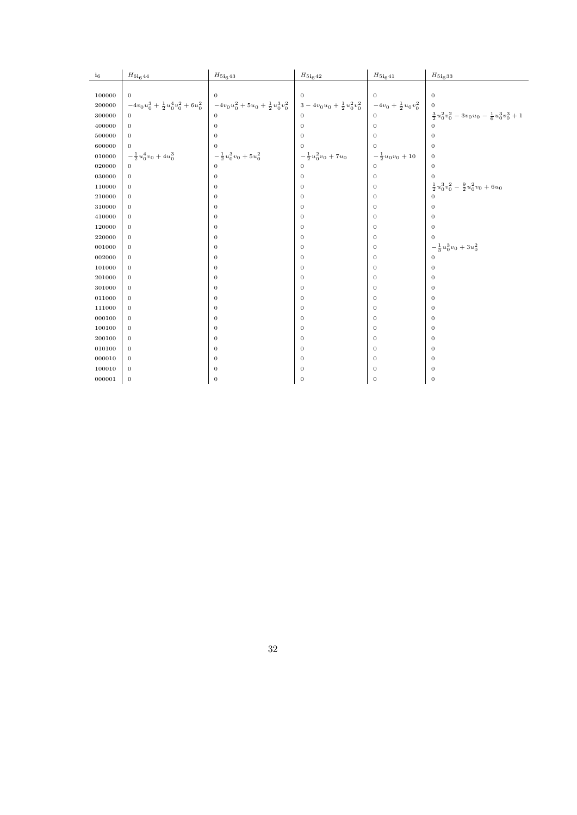| $i_6$  | $H_{6i644}$                               | $H_{51643}$                             | $H_{51642}$                       | $H_{51_641}$                  | $H_{51_633}$                                            |
|--------|-------------------------------------------|-----------------------------------------|-----------------------------------|-------------------------------|---------------------------------------------------------|
|        |                                           |                                         |                                   |                               |                                                         |
| 100000 | $\mathbf{0}$                              | $\mathbf{0}$                            | $\theta$                          | $\theta$                      | $\boldsymbol{0}$                                        |
| 200000 | $-4v_0u_0^3+\frac{1}{2}u_0^4v_0^2+6u_0^2$ | $-4v_0u_0^2+5u_0+\frac{1}{2}u_0^3v_0^2$ | $3-4v_0u_0+\frac{1}{2}u_0^2v_0^2$ | $-4v_0 + \frac{1}{2}u_0v_0^2$ | $\mathbf{0}$                                            |
| 300000 | $\overline{0}$                            | $\Omega$                                | $\Omega$                          | $\mathbf{0}$                  | $\frac{3}{2}u_0^2v_0^2-3v_0u_0-\frac{1}{6}u_0^3v_0^3+1$ |
| 400000 | $\boldsymbol{0}$                          | $\mathbf{0}$                            | $\mathbf{0}$                      | $\mathbf{0}$                  | $\Omega$                                                |
| 500000 | $\boldsymbol{0}$                          | $\mathbf{0}$                            | $\mathbf{0}$                      | $\mathbf{0}$                  | $\boldsymbol{0}$                                        |
| 600000 | $\overline{0}$                            | $\mathbf{0}$                            | $\Omega$                          | $\overline{0}$                | $\mathbf{0}$                                            |
| 010000 | $-\frac{1}{2}u_0^4v_0+4u_0^3$             | $-\frac{1}{2}u_0^3v_0+5u_0^2$           | $-\frac{1}{2}u_0^2v_0+7u_0$       | $-\frac{1}{2}u_0v_0+10$       | $\boldsymbol{0}$                                        |
| 020000 | $\mathbf{0}$                              | $\Omega$                                | $\Omega$                          | $\mathbf{0}$                  | $\boldsymbol{0}$                                        |
| 030000 | $\mathbf{0}$                              | $\mathbf{0}$                            | $\mathbf{0}$                      | $\mathbf{0}$                  | $\mathbf{0}$                                            |
| 110000 | $\mathbf{0}$                              | $\theta$                                | $\mathbf{0}$                      | $\boldsymbol{0}$              | $\frac{1}{2}u_0^3v_0^2 - \frac{9}{2}u_0^2v_0 + 6u_0$    |
| 210000 | $\mathbf{0}$                              | $\mathbf{0}$                            | $\mathbf{0}$                      | $\mathbf{0}$                  | $\Omega$                                                |
| 310000 | $\boldsymbol{0}$                          | $\mathbf{0}$                            | $\mathbf{0}$                      | $\boldsymbol{0}$              | $\boldsymbol{0}$                                        |
| 410000 | $\mathbf{0}$                              | $\mathbf{0}$                            | $\mathbf{0}$                      | $\boldsymbol{0}$              | $\boldsymbol{0}$                                        |
| 120000 | $\boldsymbol{0}$                          | $\mathbf{0}$                            | $\mathbf{0}$                      | $\mathbf{0}$                  | $\mathbf{0}$                                            |
| 220000 | $\boldsymbol{0}$                          | $\theta$                                | $\mathbf{0}$                      | $\boldsymbol{0}$              | $\boldsymbol{0}$                                        |
| 001000 | $\boldsymbol{0}$                          | $\mathbf{0}$                            | $\mathbf{0}$                      | $\boldsymbol{0}$              | $-\frac{1}{3}u_0^3v_0+3u_0^2$                           |
| 002000 | $\mathbf{0}$                              | $\mathbf{0}$                            | $\mathbf{0}$                      | $\boldsymbol{0}$              | $\overline{0}$                                          |
| 101000 | $\mathbf{0}$                              | $\mathbf{0}$                            | $\mathbf{0}$                      | $\mathbf{0}$                  | $\boldsymbol{0}$                                        |
| 201000 | $\boldsymbol{0}$                          | $\mathbf{0}$                            | $\mathbf{0}$                      | $\boldsymbol{0}$              | $\boldsymbol{0}$                                        |
| 301000 | $\boldsymbol{0}$                          | $\mathbf{0}$                            | $\mathbf{0}$                      | $\boldsymbol{0}$              | $\boldsymbol{0}$                                        |
| 011000 | $\mathbf{0}$                              | $\mathbf{0}$                            | $\mathbf{0}$                      | $\boldsymbol{0}$              | $\boldsymbol{0}$                                        |
| 111000 | $\mathbf{0}$                              | $\mathbf{0}$                            | $\mathbf{0}$                      | $\boldsymbol{0}$              | $\boldsymbol{0}$                                        |
| 000100 | $\boldsymbol{0}$                          | $\mathbf{0}$                            | $\mathbf{0}$                      | $\boldsymbol{0}$              | $\boldsymbol{0}$                                        |
| 100100 | $\mathbf{0}$                              | $\mathbf{0}$                            | $\mathbf{0}$                      | $\mathbf{0}$                  | $\mathbf{0}$                                            |
| 200100 | $\mathbf{0}$                              | $\mathbf{0}$                            | $\mathbf{0}$                      | $\boldsymbol{0}$              | $\mathbf{0}$                                            |
| 010100 | $\mathbf{0}$                              | $\theta$                                | $\mathbf{0}$                      | $\mathbf{0}$                  | $\mathbf{0}$                                            |
| 000010 | $\boldsymbol{0}$                          | $\mathbf{0}$                            | $\mathbf{0}$                      | $\mathbf{0}$                  | $\boldsymbol{0}$                                        |
| 100010 | $\boldsymbol{0}$                          | $\mathbf{0}$                            | $\boldsymbol{0}$                  | $\boldsymbol{0}$              | $\boldsymbol{0}$                                        |
| 000001 | $\boldsymbol{0}$                          | $\mathbf{0}$                            | $\boldsymbol{0}$                  | $\mathbf{0}$                  | $\boldsymbol{0}$                                        |
|        |                                           |                                         |                                   |                               |                                                         |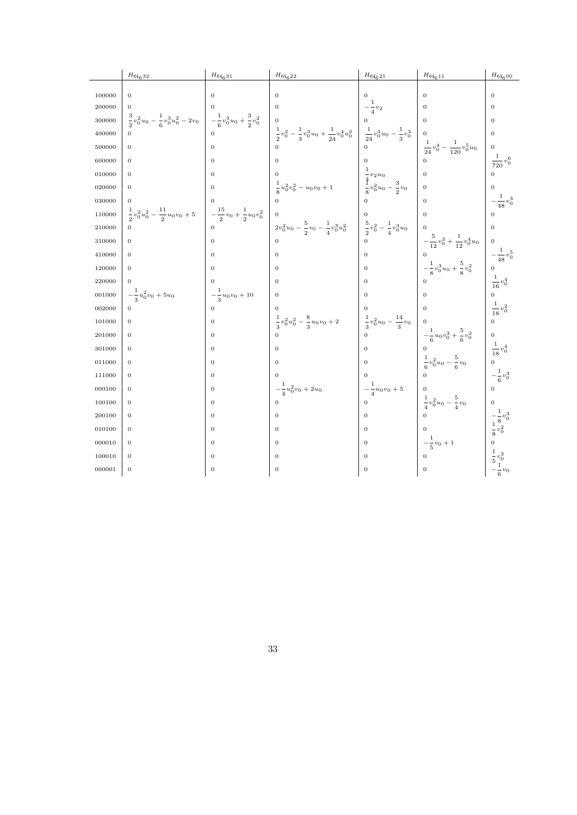|        | $H_{6i632}$                                                                                                                                                                                           | $H_{61631}$             | $H_{61622}$                                                                                                                                                                                                             | $H_{61621}$            | $H_{6i611}$                                                                                                                      | $H_{6i600}$                                                            |
|--------|-------------------------------------------------------------------------------------------------------------------------------------------------------------------------------------------------------|-------------------------|-------------------------------------------------------------------------------------------------------------------------------------------------------------------------------------------------------------------------|------------------------|----------------------------------------------------------------------------------------------------------------------------------|------------------------------------------------------------------------|
| 100000 | $\overline{0}$                                                                                                                                                                                        | $\Omega$                | $\Omega$                                                                                                                                                                                                                |                        | $\Omega$                                                                                                                         | $\overline{0}$                                                         |
| 200000 | $\overline{0}$                                                                                                                                                                                        |                         | $\overline{0}$                                                                                                                                                                                                          |                        | $\Omega$                                                                                                                         | $\overline{0}$                                                         |
|        |                                                                                                                                                                                                       |                         |                                                                                                                                                                                                                         | $-\frac{1}{4}v_2$      |                                                                                                                                  |                                                                        |
| 300000 | $\begin{array}{ccc} \frac{3}{2}v_0^2u_0-\frac{1}{6}v_0^3u_0^2-2v_0\\ 0 \end{array} \Bigg  \begin{array}{c} -\frac{1}{6}v_0^3u_0+\frac{3}{2}v_0^2\\ -\frac{1}{6}v_0^3u_0+\frac{3}{2}v_0^2 \end{array}$ |                         |                                                                                                                                                                                                                         |                        | $\Omega$                                                                                                                         | $\overline{0}$                                                         |
| 400000 | $\Omega$                                                                                                                                                                                              |                         | $\begin{bmatrix} 0 & 4 \ 0 & 2 \ 0 & 3 \end{bmatrix} v_0^3 u_0 + \frac{1}{24} v_0^4 u_0^2 \begin{bmatrix} 0 & 4 \ 0 & 0 \ \frac{1}{24} v_0^4 u_0 - \frac{1}{3} v_0^3 \ 0 & 0 \end{bmatrix}$                             |                        |                                                                                                                                  | $\overline{0}$                                                         |
| 500000 | $\mathbf{0}$                                                                                                                                                                                          | $\Omega$                |                                                                                                                                                                                                                         |                        | $\frac{1}{24}v_0^4 - \frac{1}{120}v_0^5u_0$                                                                                      | $\overline{0}$                                                         |
| 600000 | $\boldsymbol{0}$                                                                                                                                                                                      | $\overline{0}$          |                                                                                                                                                                                                                         |                        |                                                                                                                                  | $\frac{1}{720}v_0^6$                                                   |
| 010000 | $\mathbf{0}$                                                                                                                                                                                          | $\Omega$                |                                                                                                                                                                                                                         |                        |                                                                                                                                  |                                                                        |
| 020000 | $\mathbf{0}$                                                                                                                                                                                          | $\Omega$                | 0<br>$\frac{1}{8}u_0^2v_0^2 - u_0v_0 + 1$<br>$\frac{4}{8}v_0^2u_0 - \frac{3}{2}v_0$                                                                                                                                     |                        | $\overline{0}$                                                                                                                   |                                                                        |
| 030000 | $\mathbf{0}$                                                                                                                                                                                          |                         |                                                                                                                                                                                                                         |                        |                                                                                                                                  | $-\frac{1}{48}v_0^3$                                                   |
| 110000 | $\begin{array}{ccc} \frac{1}{2}v_0^2u_0^2-\frac{11}{2}u_0v_0+5\\ 0&\qquad \qquad 0 \end{array} \qquad \begin{array}{c} -\frac{15}{2}v_0+\frac{1}{2}u_0v_0^2\\ 0& \qquad \qquad \end{array}$           |                         |                                                                                                                                                                                                                         |                        | $\Omega$                                                                                                                         |                                                                        |
| 210000 |                                                                                                                                                                                                       |                         |                                                                                                                                                                                                                         |                        |                                                                                                                                  |                                                                        |
| 310000 | $\overline{0}$                                                                                                                                                                                        | $\Omega$                | $\left \begin{array}{cc} 0 & & \\ 2v_0^2u_0 - \frac{5}{2}v_0 - \frac{1}{4}v_0^3u_0^2 & \left \begin{array}{cc} \ddot{5} & & \\ \frac{5}{2}v_0^2 - \frac{1}{4}v_0^3u_0 & \\ 0 & & \end{array}\right. \end{array}\right.$ |                        |                                                                                                                                  |                                                                        |
| 410000 | $\mathbf{0}$                                                                                                                                                                                          | $\Omega$                | $\Omega$                                                                                                                                                                                                                |                        | $\begin{aligned} &-\frac{5}{12}v_0^3+\frac{1}{12}v_0^4u_0\\ &0\\ &-\frac{1}{8}v_0^3u_0+\frac{5}{8}v_0^2\\ &0\\ \end{aligned}$    | $-\frac{1}{48}v_0^5$                                                   |
| 120000 | $\overline{0}$                                                                                                                                                                                        | $\mathbf{0}$            | $\overline{0}$                                                                                                                                                                                                          | $\overline{0}$         |                                                                                                                                  |                                                                        |
| 220000 | $\overline{0}$                                                                                                                                                                                        |                         | $\overline{0}$                                                                                                                                                                                                          | $\Omega$               |                                                                                                                                  | $\frac{1}{16}v_0^4$                                                    |
| 001000 | $-\frac{1}{3}u_0^2v_0+5u_0$                                                                                                                                                                           | $-\frac{1}{3}u_0v_0+10$ | $\overline{0}$                                                                                                                                                                                                          | $\Omega$               |                                                                                                                                  |                                                                        |
| 002000 | $\mathbf{0}$                                                                                                                                                                                          | $\Omega$                |                                                                                                                                                                                                                         |                        |                                                                                                                                  | $\frac{1}{18}v_0^2$                                                    |
| 101000 | $\mathbf{0}$                                                                                                                                                                                          | $\overline{0}$          | $\begin{array}{c c}\n\frac{1}{3}v_0^2u_0^2 - \frac{8}{3}u_0v_0 + 2 \\ 0 & 0\n\end{array}$<br>$\begin{array}{c c}\n\frac{1}{3}v_0^2u_0 - \frac{14}{3}v_0 \\ 0 & 0\n\end{array}$                                          |                        |                                                                                                                                  |                                                                        |
| 201000 | $\mathbf{0}$                                                                                                                                                                                          | $\mathbf{0}$            |                                                                                                                                                                                                                         |                        | $\left  \begin{array}{l} -\frac{1}{6}u_0v_0^3+\frac{5}{6}v_0^2\\ 0\\ 0\\ \frac{1}{6}v_0^2u_0-\frac{5}{6}v_0 \end{array} \right.$ |                                                                        |
| 301000 | $\mathbf{0}$                                                                                                                                                                                          | $\overline{0}$          | $\Omega$                                                                                                                                                                                                                |                        |                                                                                                                                  | $\frac{1}{18}v_0^4$                                                    |
| 011000 | $\boldsymbol{0}$                                                                                                                                                                                      | $\overline{0}$          | $\overline{0}$                                                                                                                                                                                                          | $\overline{0}$         |                                                                                                                                  |                                                                        |
| 111000 | $\overline{0}$                                                                                                                                                                                        | $\overline{0}$          | $\overline{0}$                                                                                                                                                                                                          | $\Omega$               |                                                                                                                                  | $-\frac{1}{6}v_0^3$                                                    |
| 000100 | $\mathbf{0}$                                                                                                                                                                                          | $\mathbf{0}$            | $-\frac{1}{4}u_0^2v_0+2u_0$                                                                                                                                                                                             | $-\frac{1}{4}u_0v_0+5$ |                                                                                                                                  |                                                                        |
| 100100 | $\mathbf{0}$                                                                                                                                                                                          | $\mathbf{0}$            | $\Omega$                                                                                                                                                                                                                | $\Omega$               | $\frac{1}{4}v_0^2u_0-\frac{5}{4}v_0$                                                                                             |                                                                        |
| 200100 | $\mathbf{0}$                                                                                                                                                                                          | $\overline{0}$          | $\Omega$                                                                                                                                                                                                                | $\Omega$               |                                                                                                                                  | $\begin{array}{c} -\frac{1}{8} v_0^3 \\ \frac{1}{8} v_0^2 \end{array}$ |
| 010100 | $\mathbf{0}$                                                                                                                                                                                          | $\overline{0}$          | $\overline{0}$                                                                                                                                                                                                          | $\Omega$               |                                                                                                                                  |                                                                        |
| 000010 | $\overline{0}$                                                                                                                                                                                        | $\mathbf{0}$            | $\Omega$                                                                                                                                                                                                                | $\Omega$               | $-\frac{1}{5}v_0+1$                                                                                                              |                                                                        |
| 100010 | $\overline{0}$                                                                                                                                                                                        | $\mathbf{0}$            | $\overline{0}$                                                                                                                                                                                                          | $\mathbf{0}$           | $\Omega$                                                                                                                         | $\frac{1}{5}v_0^2$                                                     |
| 000001 | $\boldsymbol{0}$                                                                                                                                                                                      | $\mathbf{0}$            | $\overline{0}$                                                                                                                                                                                                          | $\mathbf{0}$           | $\overline{0}$                                                                                                                   | $-v_0$                                                                 |
|        |                                                                                                                                                                                                       |                         |                                                                                                                                                                                                                         |                        |                                                                                                                                  | 6                                                                      |